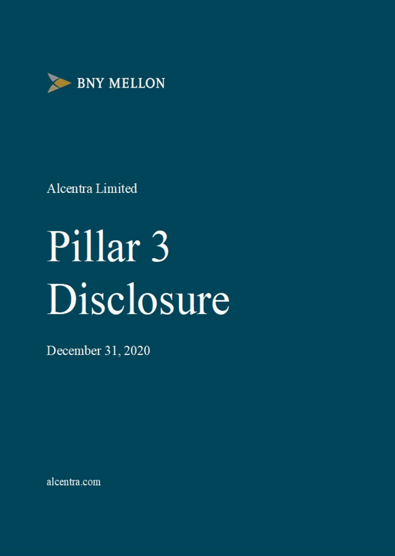

# Pillar<sub>3</sub> Disclosure

December 31, 2020

alcentra.com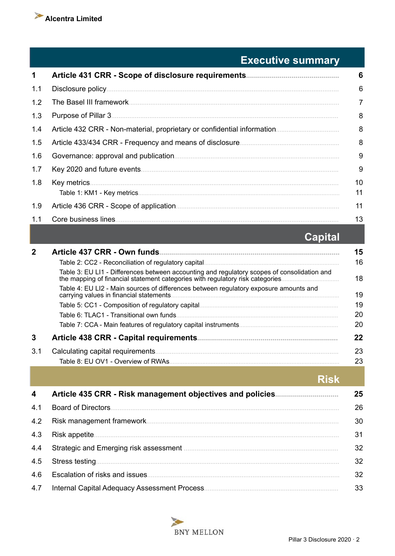

## **Executive summary**

| 1            |                                                                                                                                                                              | 6        |
|--------------|------------------------------------------------------------------------------------------------------------------------------------------------------------------------------|----------|
| 1.1          |                                                                                                                                                                              | 6        |
| 1.2          |                                                                                                                                                                              | 7        |
| 1.3          |                                                                                                                                                                              | 8        |
| 1.4          |                                                                                                                                                                              | 8        |
| 1.5          |                                                                                                                                                                              | 8        |
| 1.6          |                                                                                                                                                                              | 9        |
| 1.7          |                                                                                                                                                                              | 9        |
| 1.8          |                                                                                                                                                                              | 10<br>11 |
| 1.9          |                                                                                                                                                                              | 11       |
| 1.1          |                                                                                                                                                                              | 13       |
|              | <b>Capital</b>                                                                                                                                                               |          |
| $\mathbf{2}$ |                                                                                                                                                                              | 15       |
|              |                                                                                                                                                                              | 16       |
|              | Table 3: EU LI1 - Differences between accounting and regulatory scopes of consolidation and<br>the mapping of financial statement categories with regulatory risk categories | 18       |
|              | Table 4: EU LI2 - Main sources of differences between regulatory exposure amounts and<br>carrying values in financial statements                                             | 19       |
|              |                                                                                                                                                                              | 19       |

|     | Table 6: TLAC1 - Transitional own funds.                        | 20 |
|-----|-----------------------------------------------------------------|----|
|     | Table 7: CCA - Main features of regulatory capital instruments. | 20 |
|     | <b>Article 438 CRR - Capital requirements</b>                   | 22 |
| 3.1 | Calculating capital requirements.                               | 23 |
|     | Table 8: EU OV1 - Overview of RWAs.                             | 23 |

**Risk** 

| $\overline{\mathbf{4}}$ | Article 435 CRR - Risk management objectives and policies. | 25 |
|-------------------------|------------------------------------------------------------|----|
| 4.1                     | Board of Directors.                                        | 26 |
| 4.2                     |                                                            | 30 |
| 4.3                     |                                                            | 31 |
| 4.4                     |                                                            | 32 |
| 4.5                     |                                                            | 32 |
| 4.6                     |                                                            | 32 |
| 4.7                     | Internal Capital Adequacy Assessment Process.              | 33 |

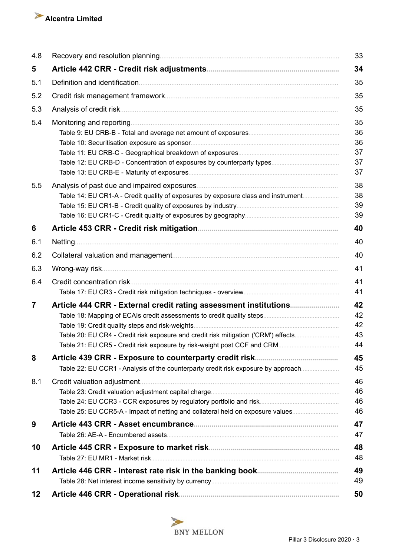

| 4.8 |                                                                                    | 33 |
|-----|------------------------------------------------------------------------------------|----|
| 5   |                                                                                    | 34 |
| 5.1 |                                                                                    | 35 |
| 5.2 |                                                                                    | 35 |
| 5.3 |                                                                                    | 35 |
| 5.4 | Monitoring and reporting.                                                          | 35 |
|     |                                                                                    | 36 |
|     |                                                                                    | 36 |
|     |                                                                                    | 37 |
|     |                                                                                    | 37 |
|     |                                                                                    | 37 |
| 5.5 |                                                                                    | 38 |
|     | Table 14: EU CR1-A - Credit quality of exposures by exposure class and instrument  | 38 |
|     |                                                                                    | 39 |
|     |                                                                                    | 39 |
| 6   |                                                                                    | 40 |
| 6.1 | <b>Netting</b>                                                                     | 40 |
| 6.2 |                                                                                    | 40 |
| 6.3 |                                                                                    | 41 |
| 6.4 |                                                                                    | 41 |
|     |                                                                                    | 41 |
| 7   |                                                                                    | 42 |
|     |                                                                                    | 42 |
|     |                                                                                    | 42 |
|     | Table 20: EU CR4 - Credit risk exposure and credit risk mitigation ('CRM') effects | 43 |
|     |                                                                                    | 44 |
| 8   |                                                                                    | 45 |
|     | Table 22: EU CCR1 - Analysis of the counterparty credit risk exposure by approach  | 45 |
| 8.1 |                                                                                    | 46 |
|     |                                                                                    | 46 |
|     |                                                                                    | 46 |
|     | Table 25: EU CCR5-A - Impact of netting and collateral held on exposure values     | 46 |
| 9   |                                                                                    | 47 |
|     |                                                                                    | 47 |
| 10  |                                                                                    | 48 |
|     |                                                                                    | 48 |
| 11  |                                                                                    | 49 |
|     |                                                                                    | 49 |
| 12  |                                                                                    | 50 |

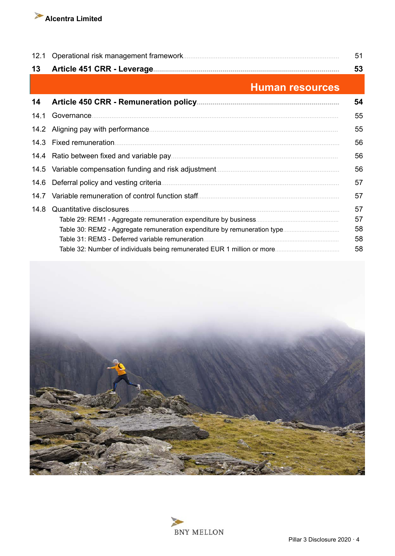

| 12.1 |                           | 51 |
|------|---------------------------|----|
| 13   |                           | 53 |
|      | <b>Human resources</b>    |    |
| 14   |                           | 54 |
| 14.1 | Governance.               | 55 |
|      |                           | 55 |
|      | 14.3 Fixed remuneration.  | 56 |
|      |                           | 56 |
|      |                           | 56 |
| 14.6 |                           | 57 |
| 14 7 |                           | 57 |
| 14.8 | Quantitative disclosures. | 57 |
|      |                           | 57 |
|      |                           | 58 |
|      |                           | 58 |
|      |                           | 58 |



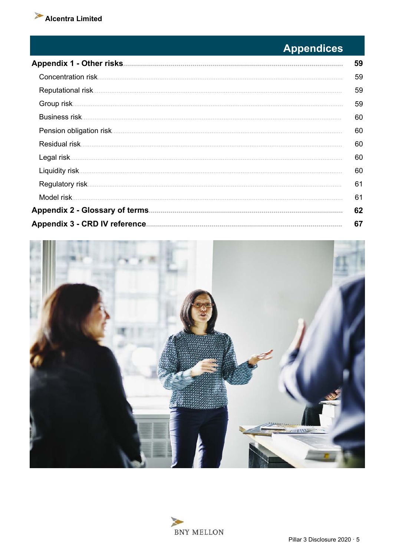

# **Appendices**

| 59 |
|----|
| 59 |
| 59 |
| 59 |
| 60 |
| 60 |
| 60 |
| 60 |
| 60 |
| 61 |
| 61 |
| 62 |
| 67 |



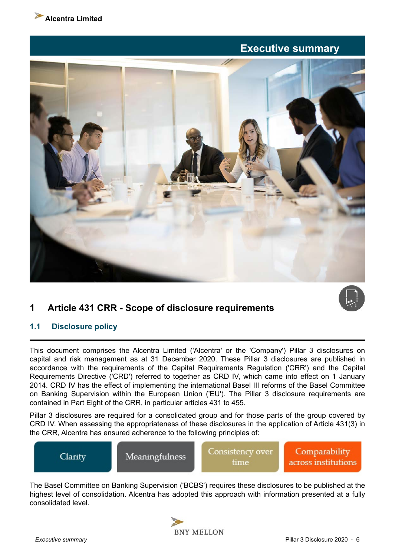<span id="page-5-0"></span>

## **Executive summary**



## **1 Article 431 CRR - Scope of disclosure requirements**

## **1.1 Disclosure policy**

This document comprises the Alcentra Limited ('Alcentra' or the 'Company') Pillar 3 disclosures on capital and risk management as at 31 December 2020. These Pillar 3 disclosures are published in accordance with the requirements of the Capital Requirements Regulation ('CRR') and the Capital Requirements Directive ('CRD') referred to together as CRD IV, which came into effect on 1 January 2014. CRD IV has the effect of implementing the international Basel III reforms of the Basel Committee on Banking Supervision within the European Union ('EU'). The Pillar 3 disclosure requirements are contained in Part Eight of the CRR, in particular articles 431 to 455.

Pillar 3 disclosures are required for a consolidated group and for those parts of the group covered by CRD IV. When assessing the appropriateness of these disclosures in the application of Article 431(3) in the CRR, Alcentra has ensured adherence to the following principles of:



The Basel Committee on Banking Supervision ('BCBS') requires these disclosures to be published at the highest level of consolidation. Alcentra has adopted this approach with information presented at a fully consolidated level.

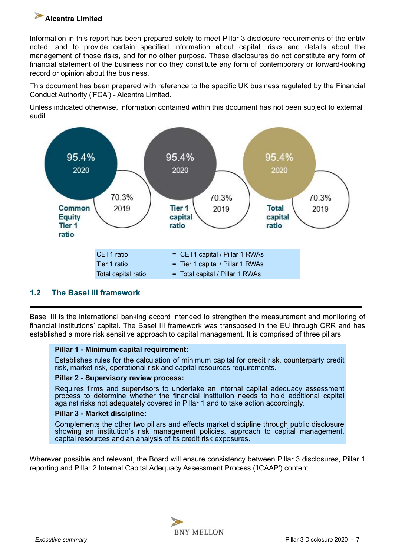<span id="page-6-0"></span>Information in this report has been prepared solely to meet Pillar 3 disclosure requirements of the entity noted, and to provide certain specified information about capital, risks and details about the management of those risks, and for no other purpose. These disclosures do not constitute any form of financial statement of the business nor do they constitute any form of contemporary or forward-looking record or opinion about the business.

This document has been prepared with reference to the specific UK business regulated by the Financial Conduct Authority ('FCA') - Alcentra Limited.

Unless indicated otherwise, information contained within this document has not been subject to external audit.



## **1.2 The Basel III framework**

Basel III is the international banking accord intended to strengthen the measurement and monitoring of financial institutions' capital. The Basel III framework was transposed in the EU through CRR and has established a more risk sensitive approach to capital management. It is comprised of three pillars:

#### **Pillar 1 - Minimum capital requirement:**

Establishes rules for the calculation of minimum capital for credit risk, counterparty credit risk, market risk, operational risk and capital resources requirements.

#### **Pillar 2 - Supervisory review process:**

Requires firms and supervisors to undertake an internal capital adequacy assessment process to determine whether the financial institution needs to hold additional capital against risks not adequately covered in Pillar 1 and to take action accordingly.

#### **Pillar 3 - Market discipline:**

Complements the other two pillars and effects market discipline through public disclosure showing an institution's risk management policies, approach to capital management, capital resources and an analysis of its credit risk exposures.

Wherever possible and relevant, the Board will ensure consistency between Pillar 3 disclosures, Pillar 1 reporting and Pillar 2 Internal Capital Adequacy Assessment Process ('ICAAP') content.

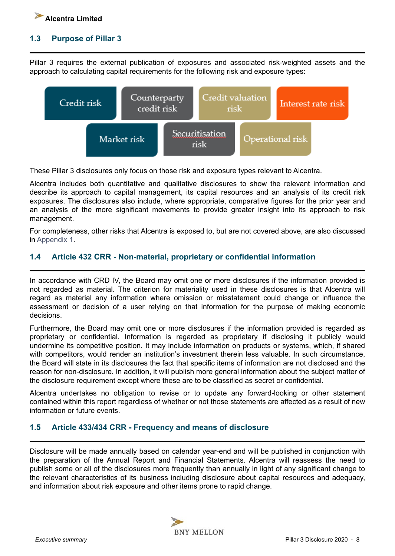<span id="page-7-0"></span>

## **1.3 Purpose of Pillar 3**

Pillar 3 requires the external publication of exposures and associated risk-weighted assets and the approach to calculating capital requirements for the following risk and exposure types:



These Pillar 3 disclosures only focus on those risk and exposure types relevant to Alcentra.

Alcentra includes both quantitative and qualitative disclosures to show the relevant information and describe its approach to capital management, its capital resources and an analysis of its credit risk exposures. The disclosures also include, where appropriate, comparative figures for the prior year and an analysis of the more significant movements to provide greater insight into its approach to risk management.

For completeness, other risks that Alcentra is exposed to, but are not covered above, are also discussed in [Appendix 1.](#page-58-0)

## **1.4 Article 432 CRR - Non-material, proprietary or confidential information**

In accordance with CRD IV, the Board may omit one or more disclosures if the information provided is not regarded as material. The criterion for materiality used in these disclosures is that Alcentra will regard as material any information where omission or misstatement could change or influence the assessment or decision of a user relying on that information for the purpose of making economic decisions.

Furthermore, the Board may omit one or more disclosures if the information provided is regarded as proprietary or confidential. Information is regarded as proprietary if disclosing it publicly would undermine its competitive position. It may include information on products or systems, which, if shared with competitors, would render an institution's investment therein less valuable. In such circumstance, the Board will state in its disclosures the fact that specific items of information are not disclosed and the reason for non-disclosure. In addition, it will publish more general information about the subject matter of the disclosure requirement except where these are to be classified as secret or confidential.

Alcentra undertakes no obligation to revise or to update any forward-looking or other statement contained within this report regardless of whether or not those statements are affected as a result of new information or future events.

## **1.5 Article 433/434 CRR - Frequency and means of disclosure**

Disclosure will be made annually based on calendar year-end and will be published in conjunction with the preparation of the Annual Report and Financial Statements. Alcentra will reassess the need to publish some or all of the disclosures more frequently than annually in light of any significant change to the relevant characteristics of its business including disclosure about capital resources and adequacy, and information about risk exposure and other items prone to rapid change.

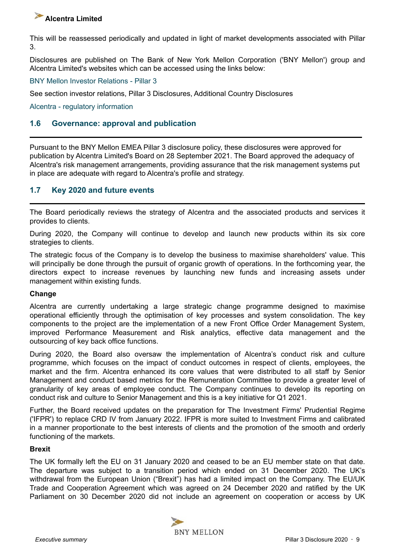<span id="page-8-0"></span>This will be reassessed periodically and updated in light of market developments associated with Pillar 3.

Disclosures are published on The Bank of New York Mellon Corporation ('BNY Mellon') group and Alcentra Limited's websites which can be accessed using the links below:

[BNY Mellon Investor Relations - Pillar 3](https://www.bnymellon.com/us/en/investor-relations/regulatory-filings.html#other_regulatory)

See section investor relations, Pillar 3 Disclosures, Additional Country Disclosures

[Alcentra - regulatory information](https://www.alcentra.com/regulatory-information/)

## **1.6 Governance: approval and publication**

Pursuant to the BNY Mellon EMEA Pillar 3 disclosure policy, these disclosures were approved for publication by Alcentra Limited's Board on 28 September 2021. The Board approved the adequacy of Alcentra's risk management arrangements, providing assurance that the risk management systems put in place are adequate with regard to Alcentra's profile and strategy.

## **1.7 Key 2020 and future events**

The Board periodically reviews the strategy of Alcentra and the associated products and services it provides to clients.

During 2020, the Company will continue to develop and launch new products within its six core strategies to clients.

The strategic focus of the Company is to develop the business to maximise shareholders' value. This will principally be done through the pursuit of organic growth of operations. In the forthcoming year, the directors expect to increase revenues by launching new funds and increasing assets under management within existing funds.

#### **Change**

Alcentra are currently undertaking a large strategic change programme designed to maximise operational efficiently through the optimisation of key processes and system consolidation. The key components to the project are the implementation of a new Front Office Order Management System, improved Performance Measurement and Risk analytics, effective data management and the outsourcing of key back office functions.

During 2020, the Board also oversaw the implementation of Alcentra's conduct risk and culture programme, which focuses on the impact of conduct outcomes in respect of clients, employees, the market and the firm. Alcentra enhanced its core values that were distributed to all staff by Senior Management and conduct based metrics for the Remuneration Committee to provide a greater level of granularity of key areas of employee conduct. The Company continues to develop its reporting on conduct risk and culture to Senior Management and this is a key initiative for Q1 2021.

Further, the Board received updates on the preparation for The Investment Firms' Prudential Regime ('IFPR') to replace CRD IV from January 2022. IFPR is more suited to Investment Firms and calibrated in a manner proportionate to the best interests of clients and the promotion of the smooth and orderly functioning of the markets.

#### **Brexit**

The UK formally left the EU on 31 January 2020 and ceased to be an EU member state on that date. The departure was subject to a transition period which ended on 31 December 2020. The UK's withdrawal from the European Union ("Brexit") has had a limited impact on the Company. The EU/UK Trade and Cooperation Agreement which was agreed on 24 December 2020 and ratified by the UK Parliament on 30 December 2020 did not include an agreement on cooperation or access by UK

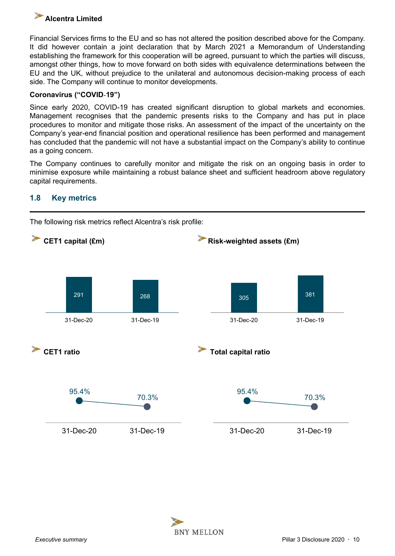<span id="page-9-0"></span>Financial Services firms to the EU and so has not altered the position described above for the Company. It did however contain a joint declaration that by March 2021 a Memorandum of Understanding establishing the framework for this cooperation will be agreed, pursuant to which the parties will discuss, amongst other things, how to move forward on both sides with equivalence determinations between the EU and the UK, without prejudice to the unilateral and autonomous decision-making process of each side. The Company will continue to monitor developments.

## **Coronavirus ("COVID**‑**19")**

Since early 2020, COVID-19 has created significant disruption to global markets and economies. Management recognises that the pandemic presents risks to the Company and has put in place procedures to monitor and mitigate those risks. An assessment of the impact of the uncertainty on the Company's year-end financial position and operational resilience has been performed and management has concluded that the pandemic will not have a substantial impact on the Company's ability to continue as a going concern.

The Company continues to carefully monitor and mitigate the risk on an ongoing basis in order to minimise exposure while maintaining a robust balance sheet and sufficient headroom above regulatory capital requirements.

## **1.8 Key metrics**



The following risk metrics reflect Alcentra's risk profile:

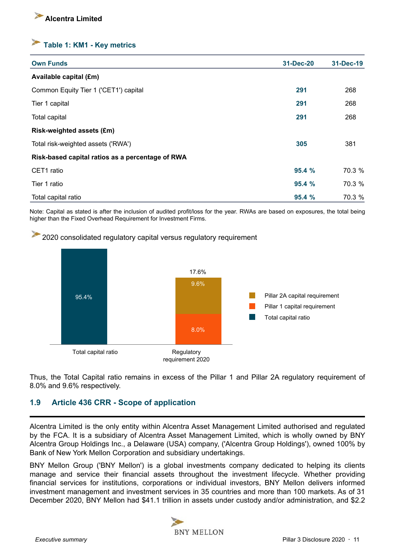## <span id="page-10-0"></span>**Table 1: KM1 - Key metrics**

| <b>Own Funds</b>                                 | 31-Dec-20 | 31-Dec-19 |
|--------------------------------------------------|-----------|-----------|
| Available capital (£m)                           |           |           |
| Common Equity Tier 1 ('CET1') capital            | 291       | 268       |
| Tier 1 capital                                   | 291       | 268       |
| Total capital                                    | 291       | 268       |
| Risk-weighted assets (£m)                        |           |           |
| Total risk-weighted assets ('RWA')               | 305       | 381       |
| Risk-based capital ratios as a percentage of RWA |           |           |
| CET1 ratio                                       | 95.4%     | 70.3 %    |
| Tier 1 ratio                                     | 95.4%     | 70.3 %    |
| Total capital ratio                              | 95.4%     | 70.3 %    |

Note: Capital as stated is after the inclusion of audited profit/loss for the year. RWAs are based on exposures, the total being higher than the Fixed Overhead Requirement for Investment Firms.





Thus, the Total Capital ratio remains in excess of the Pillar 1 and Pillar 2A regulatory requirement of 8.0% and 9.6% respectively.

## **1.9 Article 436 CRR - Scope of application**

Alcentra Limited is the only entity within Alcentra Asset Management Limited authorised and regulated by the FCA. It is a subsidiary of Alcentra Asset Management Limited, which is wholly owned by BNY Alcentra Group Holdings Inc., a Delaware (USA) company, ('Alcentra Group Holdings'), owned 100% by Bank of New York Mellon Corporation and subsidiary undertakings.

BNY Mellon Group ('BNY Mellon') is a global investments company dedicated to helping its clients manage and service their financial assets throughout the investment lifecycle. Whether providing financial services for institutions, corporations or individual investors, BNY Mellon delivers informed investment management and investment services in 35 countries and more than 100 markets. As of 31 December 2020, BNY Mellon had \$41.1 trillion in assets under custody and/or administration, and \$2.2

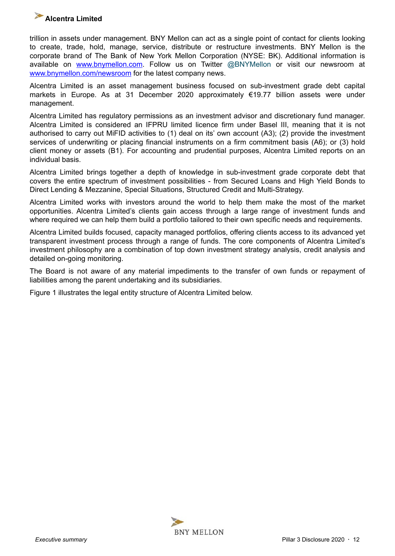

trillion in assets under management. BNY Mellon can act as a single point of contact for clients looking to create, trade, hold, manage, service, distribute or restructure investments. BNY Mellon is the corporate brand of The Bank of New York Mellon Corporation (NYSE: BK). Additional information is available on [www.bnymellon.com.](http://www.bnymellon.com) Follow us on Twitter @BNYMellon or visit our newsroom at [www.bnymellon.com/newsroom](http://www.bnymellon.com/newsroom) for the latest company news.

Alcentra Limited is an asset management business focused on sub-investment grade debt capital markets in Europe. As at 31 December 2020 approximately €19.77 billion assets were under management.

Alcentra Limited has regulatory permissions as an investment advisor and discretionary fund manager. Alcentra Limited is considered an IFPRU limited licence firm under Basel III, meaning that it is not authorised to carry out MiFID activities to (1) deal on its' own account (A3); (2) provide the investment services of underwriting or placing financial instruments on a firm commitment basis (A6); or (3) hold client money or assets (B1). For accounting and prudential purposes, Alcentra Limited reports on an individual basis.

Alcentra Limited brings together a depth of knowledge in sub-investment grade corporate debt that covers the entire spectrum of investment possibilities - from Secured Loans and High Yield Bonds to Direct Lending & Mezzanine, Special Situations, Structured Credit and Multi-Strategy.

Alcentra Limited works with investors around the world to help them make the most of the market opportunities. Alcentra Limited's clients gain access through a large range of investment funds and where required we can help them build a portfolio tailored to their own specific needs and requirements.

Alcentra Limited builds focused, capacity managed portfolios, offering clients access to its advanced yet transparent investment process through a range of funds. The core components of Alcentra Limited's investment philosophy are a combination of top down investment strategy analysis, credit analysis and detailed on-going monitoring.

The Board is not aware of any material impediments to the transfer of own funds or repayment of liabilities among the parent undertaking and its subsidiaries.

Figure 1 illustrates the legal entity structure of Alcentra Limited below.

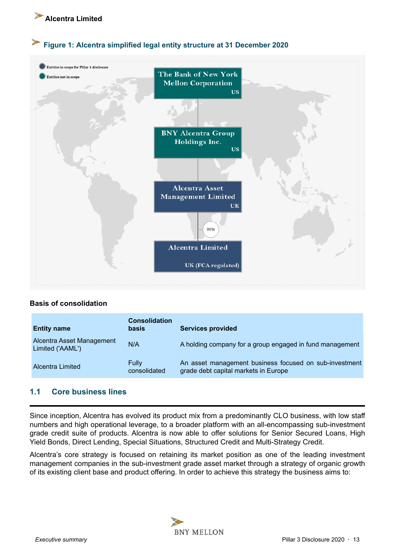<span id="page-12-0"></span>

## **Figure 1: Alcentra simplified legal entity structure at 31 December 2020**



## **Basis of consolidation**

| <b>Entity name</b>                            | <b>Consolidation</b><br><b>basis</b> | <b>Services provided</b>                                                                       |
|-----------------------------------------------|--------------------------------------|------------------------------------------------------------------------------------------------|
| Alcentra Asset Management<br>Limited ('AAML') | N/A                                  | A holding company for a group engaged in fund management                                       |
| Alcentra Limited                              | <b>Fully</b><br>consolidated         | An asset management business focused on sub-investment<br>grade debt capital markets in Europe |

## **1.1 Core business lines**

Since inception, Alcentra has evolved its product mix from a predominantly CLO business, with low staff numbers and high operational leverage, to a broader platform with an all-encompassing sub-investment grade credit suite of products. Alcentra is now able to offer solutions for Senior Secured Loans, High Yield Bonds, Direct Lending, Special Situations, Structured Credit and Multi-Strategy Credit.

Alcentra's core strategy is focused on retaining its market position as one of the leading investment management companies in the sub-investment grade asset market through a strategy of organic growth of its existing client base and product offering. In order to achieve this strategy the business aims to:

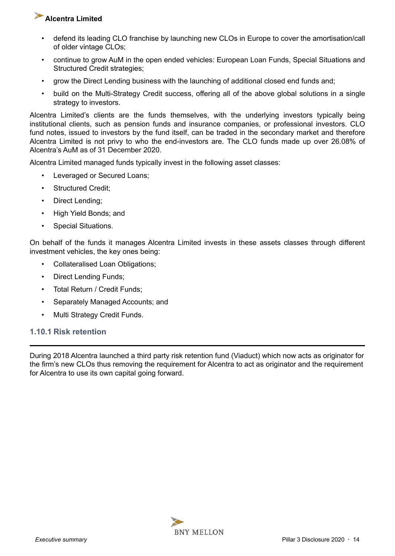- defend its leading CLO franchise by launching new CLOs in Europe to cover the amortisation/call of older vintage CLOs;
- continue to grow AuM in the open ended vehicles: European Loan Funds, Special Situations and Structured Credit strategies;
- grow the Direct Lending business with the launching of additional closed end funds and;
- build on the Multi-Strategy Credit success, offering all of the above global solutions in a single strategy to investors.

Alcentra Limited's clients are the funds themselves, with the underlying investors typically being institutional clients, such as pension funds and insurance companies, or professional investors. CLO fund notes, issued to investors by the fund itself, can be traded in the secondary market and therefore Alcentra Limited is not privy to who the end-investors are. The CLO funds made up over 26.08% of Alcentra's AuM as of 31 December 2020.

Alcentra Limited managed funds typically invest in the following asset classes:

- Leveraged or Secured Loans;
- Structured Credit;
- Direct Lending;
- High Yield Bonds; and
- Special Situations.

On behalf of the funds it manages Alcentra Limited invests in these assets classes through different investment vehicles, the key ones being:

- Collateralised Loan Obligations;
- Direct Lending Funds;
- Total Return / Credit Funds;
- Separately Managed Accounts; and
- Multi Strategy Credit Funds.

#### **1.10.1 Risk retention**

During 2018 Alcentra launched a third party risk retention fund (Viaduct) which now acts as originator for the firm's new CLOs thus removing the requirement for Alcentra to act as originator and the requirement for Alcentra to use its own capital going forward.

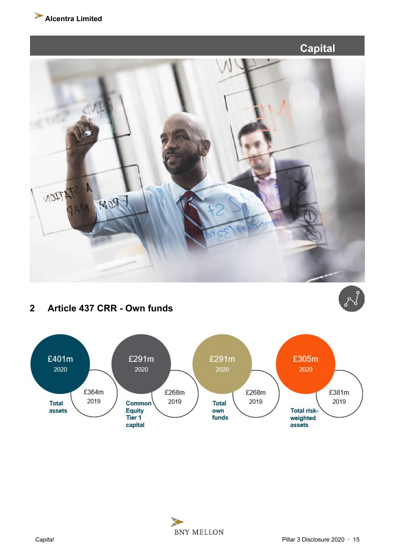<span id="page-14-0"></span>



## **2 Article 437 CRR - Own funds**



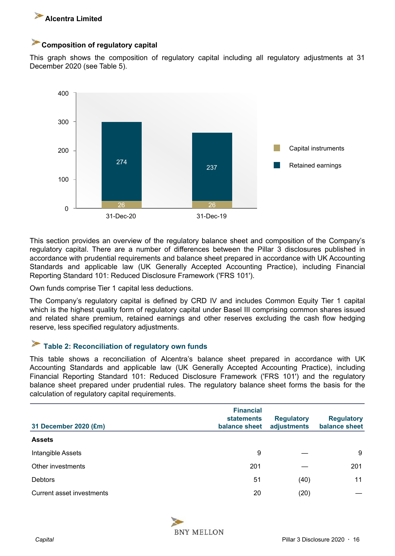<span id="page-15-0"></span>

## **Composition of regulatory capital**

This graph shows the composition of regulatory capital including all regulatory adjustments at 31 December 2020 (see Table 5).



This section provides an overview of the regulatory balance sheet and composition of the Company's regulatory capital. There are a number of differences between the Pillar 3 disclosures published in accordance with prudential requirements and balance sheet prepared in accordance with UK Accounting Standards and applicable law (UK Generally Accepted Accounting Practice), including Financial Reporting Standard 101: Reduced Disclosure Framework ('FRS 101').

Own funds comprise Tier 1 capital less deductions.

The Company's regulatory capital is defined by CRD IV and includes Common Equity Tier 1 capital which is the highest quality form of regulatory capital under Basel III comprising common shares issued and related share premium, retained earnings and other reserves excluding the cash flow hedging reserve, less specified regulatory adjustments.

#### $\blacktriangleright$ **Table 2: Reconciliation of regulatory own funds**

This table shows a reconciliation of Alcentra's balance sheet prepared in accordance with UK Accounting Standards and applicable law (UK Generally Accepted Accounting Practice), including Financial Reporting Standard 101: Reduced Disclosure Framework ('FRS 101') and the regulatory balance sheet prepared under prudential rules. The regulatory balance sheet forms the basis for the calculation of regulatory capital requirements.

| 31 December 2020 (£m)     | <b>Financial</b><br><b>statements</b><br>balance sheet | <b>Regulatory</b><br>adjustments | <b>Regulatory</b><br>balance sheet |
|---------------------------|--------------------------------------------------------|----------------------------------|------------------------------------|
| <b>Assets</b>             |                                                        |                                  |                                    |
| Intangible Assets         | 9                                                      |                                  | 9                                  |
| Other investments         | 201                                                    |                                  | 201                                |
| <b>Debtors</b>            | 51                                                     | (40)                             | 11                                 |
| Current asset investments | 20                                                     | (20)                             |                                    |

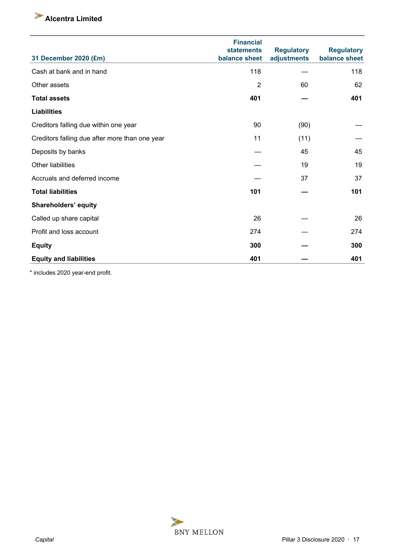| 31 December 2020 (£m)                          | <b>Financial</b><br><b>statements</b><br>balance sheet | <b>Regulatory</b><br>adjustments | <b>Regulatory</b><br>balance sheet |
|------------------------------------------------|--------------------------------------------------------|----------------------------------|------------------------------------|
| Cash at bank and in hand                       | 118                                                    |                                  | 118                                |
| Other assets                                   | $\overline{2}$                                         | 60                               | 62                                 |
| <b>Total assets</b>                            | 401                                                    |                                  | 401                                |
| <b>Liabilities</b>                             |                                                        |                                  |                                    |
| Creditors falling due within one year          | 90                                                     | (90)                             |                                    |
| Creditors falling due after more than one year | 11                                                     | (11)                             |                                    |
| Deposits by banks                              |                                                        | 45                               | 45                                 |
| Other liabilities                              |                                                        | 19                               | 19                                 |
| Accruals and deferred income                   |                                                        | 37                               | 37                                 |
| <b>Total liabilities</b>                       | 101                                                    |                                  | 101                                |
| Shareholders' equity                           |                                                        |                                  |                                    |
| Called up share capital                        | 26                                                     |                                  | 26                                 |
| Profit and loss account                        | 274                                                    |                                  | 274                                |
| <b>Equity</b>                                  | 300                                                    |                                  | 300                                |
| <b>Equity and liabilities</b>                  | 401                                                    |                                  | 401                                |

\* includes 2020 year-end profit.

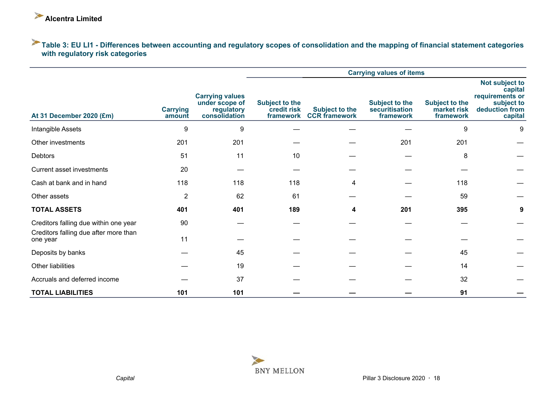## <span id="page-17-0"></span>**Table 3: EU LI1 - Differences between accounting and regulatory scopes of consolidation and the mapping of financial statement categories with regulatory risk categories**

|                                                   |                           |                                                                         |                                                   |                                               | <b>Carrying values of items</b>                      |                                                   |                                                                                         |
|---------------------------------------------------|---------------------------|-------------------------------------------------------------------------|---------------------------------------------------|-----------------------------------------------|------------------------------------------------------|---------------------------------------------------|-----------------------------------------------------------------------------------------|
| At 31 December 2020 (£m)                          | <b>Carrying</b><br>amount | <b>Carrying values</b><br>under scope of<br>regulatory<br>consolidation | <b>Subject to the</b><br>credit risk<br>framework | <b>Subject to the</b><br><b>CCR</b> framework | <b>Subject to the</b><br>securitisation<br>framework | <b>Subject to the</b><br>market risk<br>framework | Not subject to<br>capital<br>requirements or<br>subject to<br>deduction from<br>capital |
| Intangible Assets                                 | 9                         | 9                                                                       |                                                   |                                               |                                                      | 9                                                 | 9                                                                                       |
| Other investments                                 | 201                       | 201                                                                     |                                                   |                                               | 201                                                  | 201                                               |                                                                                         |
| <b>Debtors</b>                                    | 51                        | 11                                                                      | 10                                                |                                               |                                                      | 8                                                 |                                                                                         |
| Current asset investments                         | 20                        |                                                                         |                                                   |                                               |                                                      |                                                   |                                                                                         |
| Cash at bank and in hand                          | 118                       | 118                                                                     | 118                                               | 4                                             |                                                      | 118                                               |                                                                                         |
| Other assets                                      | $\overline{2}$            | 62                                                                      | 61                                                |                                               |                                                      | 59                                                |                                                                                         |
| <b>TOTAL ASSETS</b>                               | 401                       | 401                                                                     | 189                                               | 4                                             | 201                                                  | 395                                               | 9                                                                                       |
| Creditors falling due within one year             | 90                        |                                                                         |                                                   |                                               |                                                      |                                                   |                                                                                         |
| Creditors falling due after more than<br>one year | 11                        |                                                                         |                                                   |                                               |                                                      |                                                   |                                                                                         |
| Deposits by banks                                 |                           | 45                                                                      |                                                   |                                               |                                                      | 45                                                |                                                                                         |
| Other liabilities                                 |                           | 19                                                                      |                                                   |                                               |                                                      | 14                                                |                                                                                         |
| Accruals and deferred income                      |                           | 37                                                                      |                                                   |                                               |                                                      | 32                                                |                                                                                         |
| <b>TOTAL LIABILITIES</b>                          | 101                       | 101                                                                     |                                                   |                                               |                                                      | 91                                                |                                                                                         |

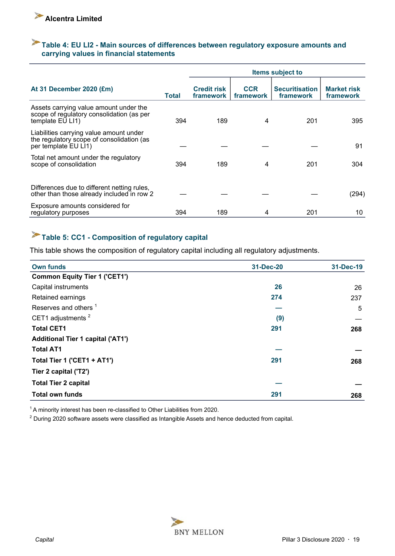## <span id="page-18-0"></span>**Table 4: EU LI2 - Main sources of differences between regulatory exposure amounts and carrying values in financial statements**

|                                                                                                              |              | <b>Items subject to</b>         |                         |                                    |                                        |  |
|--------------------------------------------------------------------------------------------------------------|--------------|---------------------------------|-------------------------|------------------------------------|----------------------------------------|--|
| At 31 December 2020 (£m)                                                                                     | <b>Total</b> | <b>Credit risk</b><br>framework | <b>CCR</b><br>framework | <b>Securitisation</b><br>framework | <b>Market risk</b><br><b>framework</b> |  |
| Assets carrying value amount under the<br>scope of regulatory consolidation (as per<br>template EU LI1)      | 394          | 189                             | 4                       | 201                                | 395                                    |  |
| Liabilities carrying value amount under<br>the regulatory scope of consolidation (as<br>per template EU LI1) |              |                                 |                         |                                    | 91                                     |  |
| Total net amount under the regulatory<br>scope of consolidation                                              | 394          | 189                             | 4                       | 201                                | 304                                    |  |
| Differences due to different netting rules.<br>other than those already included in row 2                    |              |                                 |                         |                                    | (294)                                  |  |
| Exposure amounts considered for<br>regulatory purposes                                                       | 394          | 189                             | 4                       | 201                                | 10                                     |  |

## **Table 5: CC1 - Composition of regulatory capital**

This table shows the composition of regulatory capital including all regulatory adjustments.

| <b>Own funds</b>                         | 31-Dec-20 | 31-Dec-19 |
|------------------------------------------|-----------|-----------|
| <b>Common Equity Tier 1 ('CET1')</b>     |           |           |
| Capital instruments                      | 26        | 26        |
| Retained earnings                        | 274       | 237       |
| Reserves and others <sup>1</sup>         |           | 5         |
| CET1 adjustments <sup>2</sup>            | (9)       |           |
| <b>Total CET1</b>                        | 291       | 268       |
| <b>Additional Tier 1 capital ('AT1')</b> |           |           |
| <b>Total AT1</b>                         |           |           |
| Total Tier 1 ('CET1 + AT1')              | 291       | 268       |
| Tier 2 capital ('T2')                    |           |           |
| <b>Total Tier 2 capital</b>              |           |           |
| <b>Total own funds</b>                   | 291       | 268       |
|                                          |           |           |

<sup>1</sup> A minority interest has been re-classified to Other Liabilities from 2020.

 $2$  During 2020 software assets were classified as Intangible Assets and hence deducted from capital.

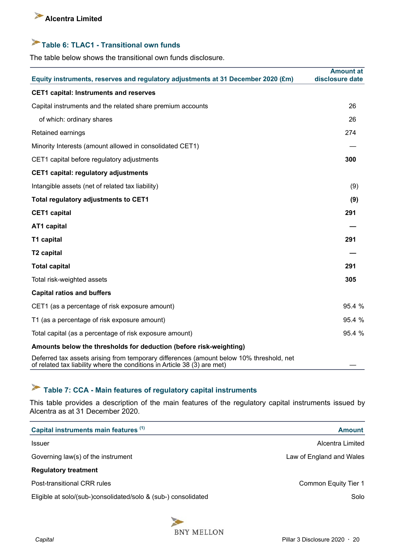## <span id="page-19-0"></span>**Table 6: TLAC1 - Transitional own funds**

The table below shows the transitional own funds disclosure.

| Equity instruments, reserves and regulatory adjustments at 31 December 2020 (£m)                                                                                    | <b>Amount at</b><br>disclosure date |
|---------------------------------------------------------------------------------------------------------------------------------------------------------------------|-------------------------------------|
| <b>CET1 capital: Instruments and reserves</b>                                                                                                                       |                                     |
| Capital instruments and the related share premium accounts                                                                                                          | 26                                  |
| of which: ordinary shares                                                                                                                                           | 26                                  |
| Retained earnings                                                                                                                                                   | 274                                 |
| Minority Interests (amount allowed in consolidated CET1)                                                                                                            |                                     |
| CET1 capital before regulatory adjustments                                                                                                                          | 300                                 |
| <b>CET1 capital: regulatory adjustments</b>                                                                                                                         |                                     |
| Intangible assets (net of related tax liability)                                                                                                                    | (9)                                 |
| <b>Total regulatory adjustments to CET1</b>                                                                                                                         | (9)                                 |
| <b>CET1</b> capital                                                                                                                                                 | 291                                 |
| AT1 capital                                                                                                                                                         |                                     |
| T1 capital                                                                                                                                                          | 291                                 |
| T2 capital                                                                                                                                                          |                                     |
| <b>Total capital</b>                                                                                                                                                | 291                                 |
| Total risk-weighted assets                                                                                                                                          | 305                                 |
| <b>Capital ratios and buffers</b>                                                                                                                                   |                                     |
| CET1 (as a percentage of risk exposure amount)                                                                                                                      | 95.4 %                              |
| T1 (as a percentage of risk exposure amount)                                                                                                                        | 95.4 %                              |
| Total capital (as a percentage of risk exposure amount)                                                                                                             | 95.4 %                              |
| Amounts below the thresholds for deduction (before risk-weighting)                                                                                                  |                                     |
| Deferred tax assets arising from temporary differences (amount below 10% threshold, net<br>of related tax liability where the conditions in Article 38 (3) are met) |                                     |

## **Table 7: CCA - Main features of regulatory capital instruments**

This table provides a description of the main features of the regulatory capital instruments issued by Alcentra as at 31 December 2020.

| Capital instruments main features (1)                          | <b>Amount</b>            |
|----------------------------------------------------------------|--------------------------|
| <b>Issuer</b>                                                  | Alcentra Limited         |
| Governing law(s) of the instrument                             | Law of England and Wales |
| <b>Regulatory treatment</b>                                    |                          |
| Post-transitional CRR rules                                    | Common Equity Tier 1     |
| Eligible at solo/(sub-)consolidated/solo & (sub-) consolidated | Solo                     |

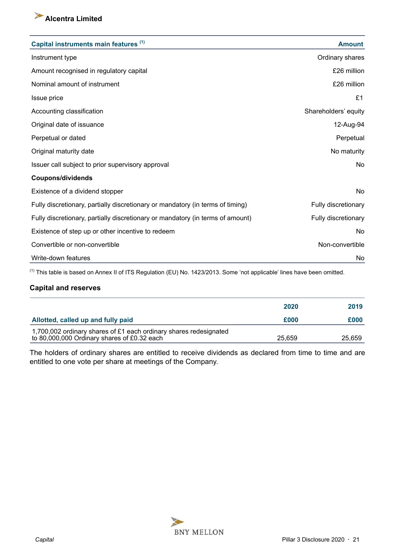

| Capital instruments main features (1)                                          | <b>Amount</b>        |
|--------------------------------------------------------------------------------|----------------------|
| Instrument type                                                                | Ordinary shares      |
| Amount recognised in regulatory capital                                        | £26 million          |
| Nominal amount of instrument                                                   | £26 million          |
| Issue price                                                                    | £1                   |
| Accounting classification                                                      | Shareholders' equity |
| Original date of issuance                                                      | 12-Aug-94            |
| Perpetual or dated                                                             | Perpetual            |
| Original maturity date                                                         | No maturity          |
| Issuer call subject to prior supervisory approval                              | No                   |
| <b>Coupons/dividends</b>                                                       |                      |
| Existence of a dividend stopper                                                | No                   |
| Fully discretionary, partially discretionary or mandatory (in terms of timing) | Fully discretionary  |
| Fully discretionary, partially discretionary or mandatory (in terms of amount) | Fully discretionary  |
| Existence of step up or other incentive to redeem                              | No                   |
| Convertible or non-convertible                                                 | Non-convertible      |
| Write-down features                                                            | No                   |

(1) This table is based on Annex II of ITS Regulation (EU) No. 1423/2013. Some 'not applicable' lines have been omitted.

## **Capital and reserves**

|                                                                                                                  | 2020   | 2019   |
|------------------------------------------------------------------------------------------------------------------|--------|--------|
| Allotted, called up and fully paid                                                                               | £000   | £000   |
| 1,700,002 ordinary shares of £1 each ordinary shares redesignated<br>to 80,000,000 Ordinary shares of £0.32 each | 25.659 | 25,659 |

The holders of ordinary shares are entitled to receive dividends as declared from time to time and are entitled to one vote per share at meetings of the Company.

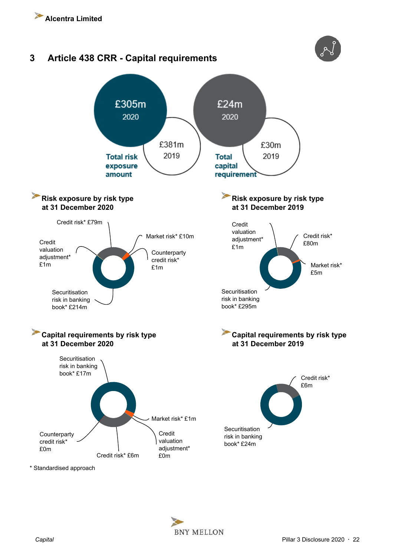<span id="page-21-0"></span>

\* Standardised approach

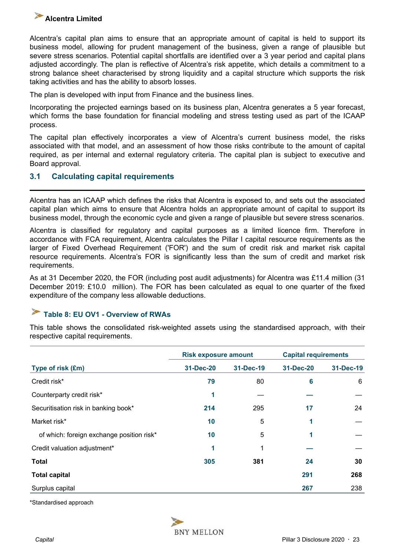<span id="page-22-0"></span>Alcentra's capital plan aims to ensure that an appropriate amount of capital is held to support its business model, allowing for prudent management of the business, given a range of plausible but severe stress scenarios. Potential capital shortfalls are identified over a 3 year period and capital plans adjusted accordingly. The plan is reflective of Alcentra's risk appetite, which details a commitment to a strong balance sheet characterised by strong liquidity and a capital structure which supports the risk taking activities and has the ability to absorb losses.

The plan is developed with input from Finance and the business lines.

Incorporating the projected earnings based on its business plan, Alcentra generates a 5 year forecast, which forms the base foundation for financial modeling and stress testing used as part of the ICAAP process.

The capital plan effectively incorporates a view of Alcentra's current business model, the risks associated with that model, and an assessment of how those risks contribute to the amount of capital required, as per internal and external regulatory criteria. The capital plan is subject to executive and Board approval.

## **3.1 Calculating capital requirements**

Alcentra has an ICAAP which defines the risks that Alcentra is exposed to, and sets out the associated capital plan which aims to ensure that Alcentra holds an appropriate amount of capital to support its business model, through the economic cycle and given a range of plausible but severe stress scenarios.

Alcentra is classified for regulatory and capital purposes as a limited licence firm. Therefore in accordance with FCA requirement, Alcentra calculates the Pillar I capital resource requirements as the larger of Fixed Overhead Requirement ('FOR') and the sum of credit risk and market risk capital resource requirements. Alcentra's FOR is significantly less than the sum of credit and market risk requirements.

As at 31 December 2020, the FOR (including post audit adjustments) for Alcentra was £11.4 million (31 December 2019: £10.0 million). The FOR has been calculated as equal to one quarter of the fixed expenditure of the company less allowable deductions.

#### ➤ **Table 8: EU OV1 - Overview of RWAs**

This table shows the consolidated risk-weighted assets using the standardised approach, with their respective capital requirements.

|                                           | <b>Risk exposure amount</b> |           | <b>Capital requirements</b> |           |  |  |
|-------------------------------------------|-----------------------------|-----------|-----------------------------|-----------|--|--|
| Type of risk (£m)                         | 31-Dec-20                   | 31-Dec-19 | 31-Dec-20                   | 31-Dec-19 |  |  |
| Credit risk*                              | 79                          | 80        | 6                           | 6         |  |  |
| Counterparty credit risk*                 | 1                           |           |                             |           |  |  |
| Securitisation risk in banking book*      | 214                         | 295       | 17                          | 24        |  |  |
| Market risk*                              | 10                          | 5         | 1                           |           |  |  |
| of which: foreign exchange position risk* | 10                          | 5         |                             |           |  |  |
| Credit valuation adjustment*              | 1                           |           |                             |           |  |  |
| <b>Total</b>                              | 305                         | 381       | 24                          | 30        |  |  |
| <b>Total capital</b>                      |                             |           | 291                         | 268       |  |  |
| Surplus capital                           |                             |           | 267                         | 238       |  |  |

\*Standardised approach

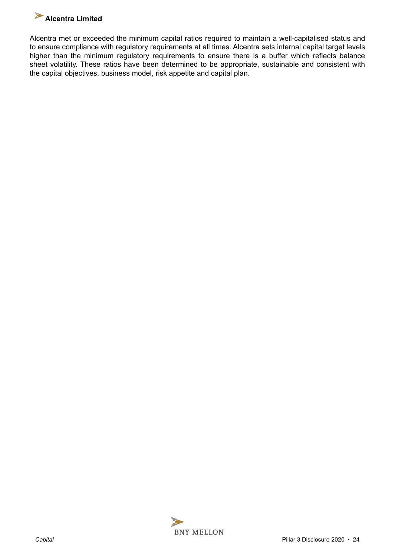

Alcentra met or exceeded the minimum capital ratios required to maintain a well-capitalised status and to ensure compliance with regulatory requirements at all times. Alcentra sets internal capital target levels higher than the minimum regulatory requirements to ensure there is a buffer which reflects balance sheet volatility. These ratios have been determined to be appropriate, sustainable and consistent with the capital objectives, business model, risk appetite and capital plan.

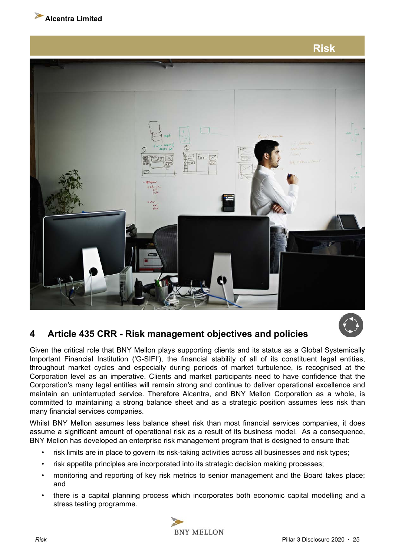<span id="page-24-0"></span>

**Risk**

## **4 Article 435 CRR - Risk management objectives and policies**

Given the critical role that BNY Mellon plays supporting clients and its status as a Global Systemically Important Financial Institution ('G-SIFI'), the financial stability of all of its constituent legal entities, throughout market cycles and especially during periods of market turbulence, is recognised at the Corporation level as an imperative. Clients and market participants need to have confidence that the Corporation's many legal entities will remain strong and continue to deliver operational excellence and maintain an uninterrupted service. Therefore Alcentra, and BNY Mellon Corporation as a whole, is committed to maintaining a strong balance sheet and as a strategic position assumes less risk than many financial services companies.

Whilst BNY Mellon assumes less balance sheet risk than most financial services companies, it does assume a significant amount of operational risk as a result of its business model. As a consequence, BNY Mellon has developed an enterprise risk management program that is designed to ensure that:

- risk limits are in place to govern its risk-taking activities across all businesses and risk types;
- risk appetite principles are incorporated into its strategic decision making processes;
- monitoring and reporting of key risk metrics to senior management and the Board takes place; and
- there is a capital planning process which incorporates both economic capital modelling and a stress testing programme.

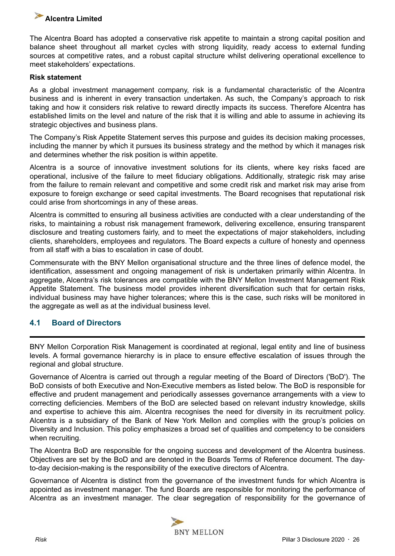<span id="page-25-0"></span>

The Alcentra Board has adopted a conservative risk appetite to maintain a strong capital position and balance sheet throughout all market cycles with strong liquidity, ready access to external funding sources at competitive rates, and a robust capital structure whilst delivering operational excellence to meet stakeholders' expectations.

## **Risk statement**

As a global investment management company, risk is a fundamental characteristic of the Alcentra business and is inherent in every transaction undertaken. As such, the Company's approach to risk taking and how it considers risk relative to reward directly impacts its success. Therefore Alcentra has established limits on the level and nature of the risk that it is willing and able to assume in achieving its strategic objectives and business plans.

The Company's Risk Appetite Statement serves this purpose and guides its decision making processes, including the manner by which it pursues its business strategy and the method by which it manages risk and determines whether the risk position is within appetite.

Alcentra is a source of innovative investment solutions for its clients, where key risks faced are operational, inclusive of the failure to meet fiduciary obligations. Additionally, strategic risk may arise from the failure to remain relevant and competitive and some credit risk and market risk may arise from exposure to foreign exchange or seed capital investments. The Board recognises that reputational risk could arise from shortcomings in any of these areas.

Alcentra is committed to ensuring all business activities are conducted with a clear understanding of the risks, to maintaining a robust risk management framework, delivering excellence, ensuring transparent disclosure and treating customers fairly, and to meet the expectations of major stakeholders, including clients, shareholders, employees and regulators. The Board expects a culture of honesty and openness from all staff with a bias to escalation in case of doubt.

Commensurate with the BNY Mellon organisational structure and the three lines of defence model, the identification, assessment and ongoing management of risk is undertaken primarily within Alcentra. In aggregate, Alcentra's risk tolerances are compatible with the BNY Mellon Investment Management Risk Appetite Statement. The business model provides inherent diversification such that for certain risks, individual business may have higher tolerances; where this is the case, such risks will be monitored in the aggregate as well as at the individual business level.

## **4.1 Board of Directors**

BNY Mellon Corporation Risk Management is coordinated at regional, legal entity and line of business levels. A formal governance hierarchy is in place to ensure effective escalation of issues through the regional and global structure.

Governance of Alcentra is carried out through a regular meeting of the Board of Directors ('BoD'). The BoD consists of both Executive and Non-Executive members as listed below. The BoD is responsible for effective and prudent management and periodically assesses governance arrangements with a view to correcting deficiencies. Members of the BoD are selected based on relevant industry knowledge, skills and expertise to achieve this aim. Alcentra recognises the need for diversity in its recruitment policy. Alcentra is a subsidiary of the Bank of New York Mellon and complies with the group's policies on Diversity and Inclusion. This policy emphasizes a broad set of qualities and competency to be considers when recruiting.

The Alcentra BoD are responsible for the ongoing success and development of the Alcentra business. Objectives are set by the BoD and are denoted in the Boards Terms of Reference document. The dayto-day decision-making is the responsibility of the executive directors of Alcentra.

Governance of Alcentra is distinct from the governance of the investment funds for which Alcentra is appointed as investment manager. The fund Boards are responsible for monitoring the performance of Alcentra as an investment manager. The clear segregation of responsibility for the governance of

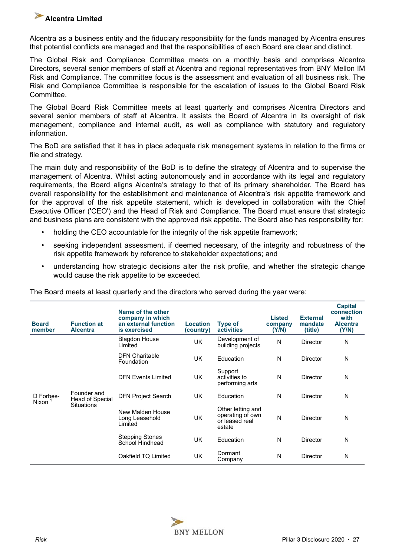Alcentra as a business entity and the fiduciary responsibility for the funds managed by Alcentra ensures that potential conflicts are managed and that the responsibilities of each Board are clear and distinct.

The Global Risk and Compliance Committee meets on a monthly basis and comprises Alcentra Directors, several senior members of staff at Alcentra and regional representatives from BNY Mellon IM Risk and Compliance. The committee focus is the assessment and evaluation of all business risk. The Risk and Compliance Committee is responsible for the escalation of issues to the Global Board Risk Committee.

The Global Board Risk Committee meets at least quarterly and comprises Alcentra Directors and several senior members of staff at Alcentra. It assists the Board of Alcentra in its oversight of risk management, compliance and internal audit, as well as compliance with statutory and regulatory information.

The BoD are satisfied that it has in place adequate risk management systems in relation to the firms or file and strategy.

The main duty and responsibility of the BoD is to define the strategy of Alcentra and to supervise the management of Alcentra. Whilst acting autonomously and in accordance with its legal and regulatory requirements, the Board aligns Alcentra's strategy to that of its primary shareholder. The Board has overall responsibility for the establishment and maintenance of Alcentra's risk appetite framework and for the approval of the risk appetite statement, which is developed in collaboration with the Chief Executive Officer ('CEO') and the Head of Risk and Compliance. The Board must ensure that strategic and business plans are consistent with the approved risk appetite. The Board also has responsibility for:

- holding the CEO accountable for the integrity of the risk appetite framework;
- seeking independent assessment, if deemed necessary, of the integrity and robustness of the risk appetite framework by reference to stakeholder expectations; and
- understanding how strategic decisions alter the risk profile, and whether the strategic change would cause the risk appetite to be exceeded.

| <b>Board</b><br>member                                                    | <b>Function at</b><br><b>Alcentra</b> | Name of the other<br>company in which<br>an external function<br>is exercised | <b>Location</b><br>(country) | <b>Type of</b><br><b>activities</b>                               | <b>Listed</b><br>company<br>(Y/N) | <b>External</b><br>mandate<br>(title) | <b>Capital</b><br>connection<br>with<br><b>Alcentra</b><br>(Y/N) |
|---------------------------------------------------------------------------|---------------------------------------|-------------------------------------------------------------------------------|------------------------------|-------------------------------------------------------------------|-----------------------------------|---------------------------------------|------------------------------------------------------------------|
|                                                                           |                                       | <b>Blagdon House</b><br>Limited                                               | UK                           | Development of<br>building projects                               | N                                 | Director                              | N                                                                |
| Founder and<br>D Forbes-<br>Head of Special<br>Nixon<br><b>Situations</b> | <b>DFN Charitable</b><br>Foundation   | <b>UK</b>                                                                     | Education                    | N                                                                 | <b>Director</b>                   | N                                     |                                                                  |
|                                                                           |                                       | <b>DFN Events Limited</b>                                                     | <b>UK</b>                    | Support<br>activities to<br>performing arts                       | N                                 | Director                              | N                                                                |
|                                                                           |                                       | <b>DFN Project Search</b>                                                     | <b>UK</b>                    | Education                                                         | N                                 | <b>Director</b>                       | N                                                                |
|                                                                           |                                       | New Malden House<br>Long Leasehold<br>Limited                                 | <b>UK</b>                    | Other letting and<br>operating of own<br>or leased real<br>estate | N                                 | <b>Director</b>                       | N                                                                |
|                                                                           |                                       | <b>Stepping Stones</b><br>School Hindhead                                     | <b>UK</b>                    | Education                                                         | N                                 | <b>Director</b>                       | N                                                                |
|                                                                           |                                       | Oakfield TQ Limited                                                           | <b>UK</b>                    | Dormant<br>Company                                                | N                                 | Director                              | N                                                                |

The Board meets at least quarterly and the directors who served during the year were:

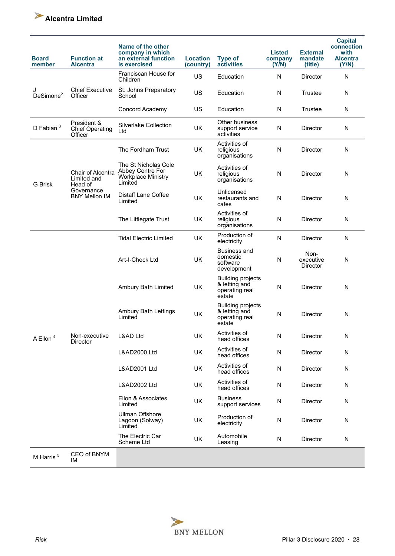

| <b>Board</b><br>member     | <b>Function at</b><br><b>Alcentra</b>            | Name of the other<br>company in which<br>an external function<br>is exercised    | Location<br>(country) | <b>Type of</b><br>activities                                          | <b>Listed</b><br>company<br>(Y/N) | <b>External</b><br>mandate<br>(title) | <b>Capital</b><br>connection<br>with<br><b>Alcentra</b><br>(Y/N) |
|----------------------------|--------------------------------------------------|----------------------------------------------------------------------------------|-----------------------|-----------------------------------------------------------------------|-----------------------------------|---------------------------------------|------------------------------------------------------------------|
|                            |                                                  | Franciscan House for<br>Children                                                 | US                    | Education                                                             | N                                 | <b>Director</b>                       | N                                                                |
| J<br>DeSimone <sup>2</sup> | <b>Chief Executive</b><br>Officer                | St. Johns Preparatory<br>School                                                  | US                    | Education                                                             | N                                 | Trustee                               | N                                                                |
|                            |                                                  | Concord Academy                                                                  | US                    | Education                                                             | N                                 | Trustee                               | N                                                                |
| D Fabian $3$               | President &<br><b>Chief Operating</b><br>Officer | Silverlake Collection<br>Ltd                                                     | <b>UK</b>             | Other business<br>support service<br>activities                       | N                                 | Director                              | N                                                                |
|                            |                                                  | The Fordham Trust                                                                | <b>UK</b>             | Activities of<br>religious<br>organisations                           | N                                 | Director                              | N                                                                |
| <b>G</b> Brisk             | Chair of Alcentra<br>Limited and<br>Head of      | The St Nicholas Cole<br>Abbey Centre For<br><b>Workplace Ministry</b><br>Limited | UK                    | Activities of<br>religious<br>organisations                           | N                                 | Director                              | N                                                                |
|                            | Governance,<br><b>BNY Mellon IM</b>              | Distaff Lane Coffee<br>Limited                                                   | UK                    | Unlicensed<br>restaurants and<br>cafes                                | N                                 | Director                              | N                                                                |
|                            |                                                  | The Littlegate Trust                                                             | <b>UK</b>             | Activities of<br>religious<br>organisations                           | N                                 | Director                              | N                                                                |
|                            | Non-executive<br>Director                        | <b>Tidal Electric Limited</b>                                                    | UK                    | Production of<br>electricity                                          | N                                 | Director                              | N                                                                |
|                            |                                                  | Art-I-Check Ltd                                                                  | <b>UK</b>             | <b>Business and</b><br>domestic<br>software<br>development            | N                                 | Non-<br>executive<br>Director         | N                                                                |
|                            |                                                  | Ambury Bath Limited                                                              | <b>UK</b>             | <b>Building projects</b><br>& letting and<br>operating real<br>estate | N                                 | <b>Director</b>                       | N                                                                |
|                            |                                                  | <b>Ambury Bath Lettings</b><br>Limited                                           | <b>UK</b>             | <b>Building projects</b><br>& letting and<br>operating real<br>estate | N                                 | Director                              | N                                                                |
| A Eilon <sup>4</sup>       |                                                  | <b>L&amp;AD Ltd</b>                                                              | UK                    | Activities of<br>head offices                                         | N                                 | Director                              | N                                                                |
|                            |                                                  | L&AD2000 Ltd                                                                     | UK                    | Activities of<br>head offices                                         | N                                 | Director                              | N                                                                |
|                            |                                                  | L&AD2001 Ltd                                                                     | UK                    | Activities of<br>head offices                                         | N                                 | Director                              | N                                                                |
|                            |                                                  | L&AD2002 Ltd                                                                     | UK                    | Activities of<br>head offices                                         | N                                 | <b>Director</b>                       | N                                                                |
|                            |                                                  | Eilon & Associates<br>Limited                                                    | UK                    | <b>Business</b><br>support services                                   | ${\sf N}$                         | <b>Director</b>                       | N                                                                |
|                            |                                                  | <b>Ullman Offshore</b><br>Lagoon (Solway)<br>Limited                             | UK                    | Production of<br>electricity                                          | ${\sf N}$                         | Director                              | N                                                                |
|                            |                                                  | The Electric Car<br>Scheme Ltd                                                   | UK                    | Automobile<br>Leasing                                                 | N                                 | Director                              | ${\sf N}$                                                        |
| M Harris $5$               | CEO of BNYM<br>IМ                                |                                                                                  |                       |                                                                       |                                   |                                       |                                                                  |

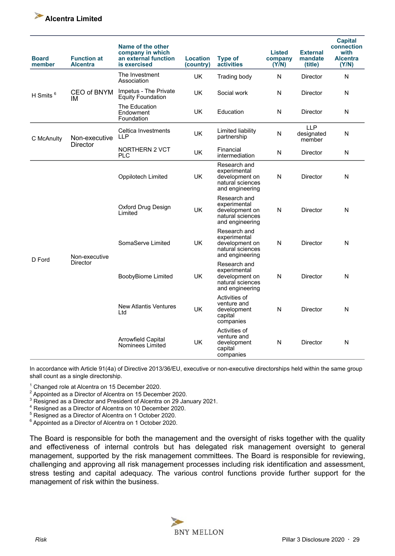

| <b>Board</b><br>member | <b>Function at</b><br><b>Alcentra</b> | Name of the other<br>company in which<br>an external function<br>is exercised | <b>Location</b><br>(country) | <b>Type of</b><br>activities                                                          | <b>Listed</b><br>company<br>(Y/N) | <b>External</b><br>mandate<br>(title) | <b>Capital</b><br>connection<br>with<br><b>Alcentra</b><br>(Y/N) |
|------------------------|---------------------------------------|-------------------------------------------------------------------------------|------------------------------|---------------------------------------------------------------------------------------|-----------------------------------|---------------------------------------|------------------------------------------------------------------|
|                        |                                       | The Investment<br>Association                                                 | UK                           | Trading body                                                                          | ${\sf N}$                         | <b>Director</b>                       | N                                                                |
| H Smits <sup>6</sup>   | CEO of BNYM<br>ΙM                     | Impetus - The Private<br><b>Equity Foundation</b>                             | UK                           | Social work                                                                           | N                                 | Director                              | N                                                                |
|                        |                                       | The Education<br>Endowment<br>Foundation                                      | UK                           | Education                                                                             | $\mathsf{N}$                      | <b>Director</b>                       | N                                                                |
| C McAnulty             | Non-executive                         | Celtica Investments<br><b>LLP</b>                                             | UK                           | Limited liability<br>partnership                                                      | N                                 | <b>LLP</b><br>designated<br>member    | N                                                                |
|                        | <b>Director</b>                       | <b>NORTHERN 2 VCT</b><br><b>PLC</b>                                           | UK                           | Financial<br>intermediation                                                           | N                                 | Director                              | N                                                                |
| D Ford                 |                                       | Oppilotech Limited                                                            | <b>UK</b>                    | Research and<br>experimental<br>development on<br>natural sciences<br>and engineering | $\mathsf{N}$                      | Director                              | N                                                                |
|                        | Non-executive<br>Director             | Oxford Drug Design<br>Limited                                                 | UK                           | Research and<br>experimental<br>development on<br>natural sciences<br>and engineering | $\mathsf{N}$                      | Director                              | $\mathsf{N}$                                                     |
|                        |                                       | SomaServe Limited                                                             | <b>UK</b>                    | Research and<br>experimental<br>development on<br>natural sciences<br>and engineering | N                                 | <b>Director</b>                       | N                                                                |
|                        |                                       | <b>BoobyBiome Limited</b>                                                     | <b>UK</b>                    | Research and<br>experimental<br>development on<br>natural sciences<br>and engineering | N                                 | <b>Director</b>                       | N                                                                |
|                        |                                       | <b>New Atlantis Ventures</b><br>Ltd                                           | <b>UK</b>                    | Activities of<br>venture and<br>development<br>capital<br>companies                   | N                                 | Director                              | N                                                                |
|                        |                                       | <b>Arrowfield Capital</b><br>Nominees Limited                                 | UK                           | Activities of<br>venture and<br>development<br>capital<br>companies                   | N                                 | Director                              | N                                                                |

In accordance with Article 91(4a) of Directive 2013/36/EU, executive or non-executive directorships held within the same group shall count as a single directorship.

1 Changed role at Alcentra on 15 December 2020.

 $2$  Appointed as a Director of Alcentra on 15 December 2020.

 $3$  Resigned as a Director and President of Alcentra on 29 January 2021.

4 Resigned as a Director of Alcentra on 10 December 2020.

<sup>5</sup> Resigned as a Director of Alcentra on 1 October 2020.

<sup>6</sup> Appointed as a Director of Alcentra on 1 October 2020.

The Board is responsible for both the management and the oversight of risks together with the quality and effectiveness of internal controls but has delegated risk management oversight to general management, supported by the risk management committees. The Board is responsible for reviewing, challenging and approving all risk management processes including risk identification and assessment, stress testing and capital adequacy. The various control functions provide further support for the management of risk within the business.

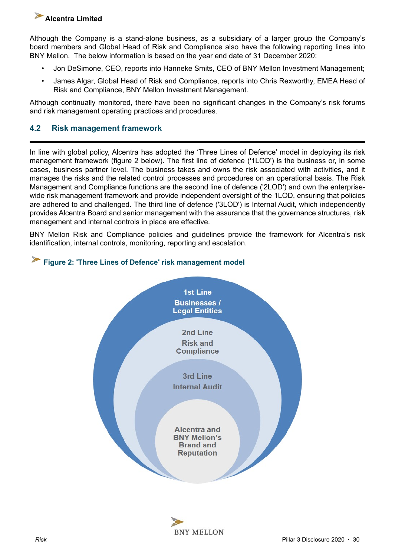<span id="page-29-0"></span>Although the Company is a stand-alone business, as a subsidiary of a larger group the Company's board members and Global Head of Risk and Compliance also have the following reporting lines into BNY Mellon. The below information is based on the year end date of 31 December 2020:

- Jon DeSimone, CEO, reports into Hanneke Smits, CEO of BNY Mellon Investment Management;
- James Algar, Global Head of Risk and Compliance, reports into Chris Rexworthy, EMEA Head of Risk and Compliance, BNY Mellon Investment Management.

Although continually monitored, there have been no significant changes in the Company's risk forums and risk management operating practices and procedures.

## **4.2 Risk management framework**

In line with global policy, Alcentra has adopted the 'Three Lines of Defence' model in deploying its risk management framework (figure 2 below). The first line of defence ('1LOD') is the business or, in some cases, business partner level. The business takes and owns the risk associated with activities, and it manages the risks and the related control processes and procedures on an operational basis. The Risk Management and Compliance functions are the second line of defence ('2LOD') and own the enterprisewide risk management framework and provide independent oversight of the 1LOD, ensuring that policies are adhered to and challenged. The third line of defence ('3LOD') is Internal Audit, which independently provides Alcentra Board and senior management with the assurance that the governance structures, risk management and internal controls in place are effective.

BNY Mellon Risk and Compliance policies and guidelines provide the framework for Alcentra's risk identification, internal controls, monitoring, reporting and escalation.





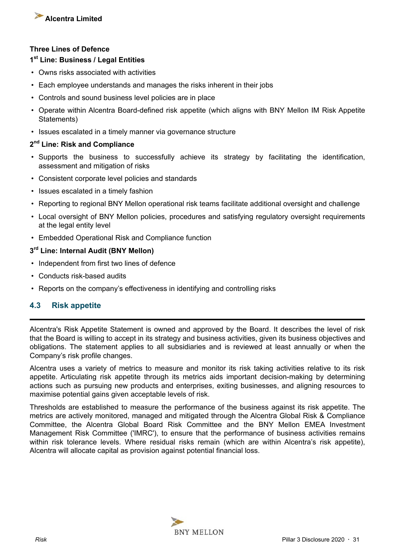<span id="page-30-0"></span>

#### **Three Lines of Defence**

#### **1 st Line: Business / Legal Entities**

- Owns risks associated with activities
- Each employee understands and manages the risks inherent in their jobs
- Controls and sound business level policies are in place
- Operate within Alcentra Board-defined risk appetite (which aligns with BNY Mellon IM Risk Appetite Statements)
- Issues escalated in a timely manner via governance structure

#### **2 nd Line: Risk and Compliance**

- Supports the business to successfully achieve its strategy by facilitating the identification, assessment and mitigation of risks
- Consistent corporate level policies and standards
- Issues escalated in a timely fashion
- Reporting to regional BNY Mellon operational risk teams facilitate additional oversight and challenge
- Local oversight of BNY Mellon policies, procedures and satisfying regulatory oversight requirements at the legal entity level
- Embedded Operational Risk and Compliance function

#### **3 rd Line: Internal Audit (BNY Mellon)**

- Independent from first two lines of defence
- Conducts risk-based audits
- Reports on the company's effectiveness in identifying and controlling risks

## **4.3 Risk appetite**

Alcentra's Risk Appetite Statement is owned and approved by the Board. It describes the level of risk that the Board is willing to accept in its strategy and business activities, given its business objectives and obligations. The statement applies to all subsidiaries and is reviewed at least annually or when the Company's risk profile changes.

Alcentra uses a variety of metrics to measure and monitor its risk taking activities relative to its risk appetite. Articulating risk appetite through its metrics aids important decision-making by determining actions such as pursuing new products and enterprises, exiting businesses, and aligning resources to maximise potential gains given acceptable levels of risk.

Thresholds are established to measure the performance of the business against its risk appetite. The metrics are actively monitored, managed and mitigated through the Alcentra Global Risk & Compliance Committee, the Alcentra Global Board Risk Committee and the BNY Mellon EMEA Investment Management Risk Committee ('IMRC'), to ensure that the performance of business activities remains within risk tolerance levels. Where residual risks remain (which are within Alcentra's risk appetite), Alcentra will allocate capital as provision against potential financial loss.

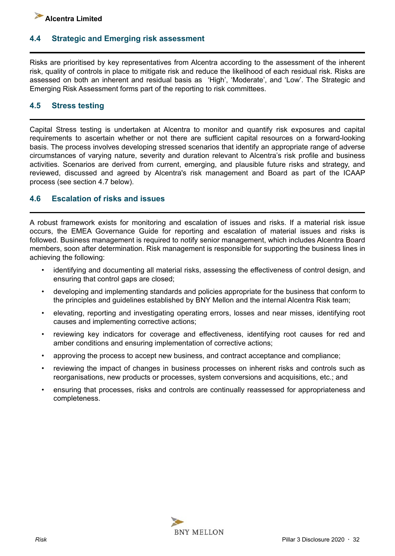## <span id="page-31-0"></span>**4.4 Strategic and Emerging risk assessment**

Risks are prioritised by key representatives from Alcentra according to the assessment of the inherent risk, quality of controls in place to mitigate risk and reduce the likelihood of each residual risk. Risks are assessed on both an inherent and residual basis as 'High', 'Moderate', and 'Low'. The Strategic and Emerging Risk Assessment forms part of the reporting to risk committees.

## **4.5 Stress testing**

Capital Stress testing is undertaken at Alcentra to monitor and quantify risk exposures and capital requirements to ascertain whether or not there are sufficient capital resources on a forward-looking basis. The process involves developing stressed scenarios that identify an appropriate range of adverse circumstances of varying nature, severity and duration relevant to Alcentra's risk profile and business activities. Scenarios are derived from current, emerging, and plausible future risks and strategy, and reviewed, discussed and agreed by Alcentra's risk management and Board as part of the ICAAP process (see section 4.7 below).

## **4.6 Escalation of risks and issues**

A robust framework exists for monitoring and escalation of issues and risks. If a material risk issue occurs, the EMEA Governance Guide for reporting and escalation of material issues and risks is followed. Business management is required to notify senior management, which includes Alcentra Board members, soon after determination. Risk management is responsible for supporting the business lines in achieving the following:

- identifying and documenting all material risks, assessing the effectiveness of control design, and ensuring that control gaps are closed;
- developing and implementing standards and policies appropriate for the business that conform to the principles and guidelines established by BNY Mellon and the internal Alcentra Risk team;
- elevating, reporting and investigating operating errors, losses and near misses, identifying root causes and implementing corrective actions;
- reviewing key indicators for coverage and effectiveness, identifying root causes for red and amber conditions and ensuring implementation of corrective actions;
- approving the process to accept new business, and contract acceptance and compliance;
- reviewing the impact of changes in business processes on inherent risks and controls such as reorganisations, new products or processes, system conversions and acquisitions, etc.; and
- ensuring that processes, risks and controls are continually reassessed for appropriateness and completeness.

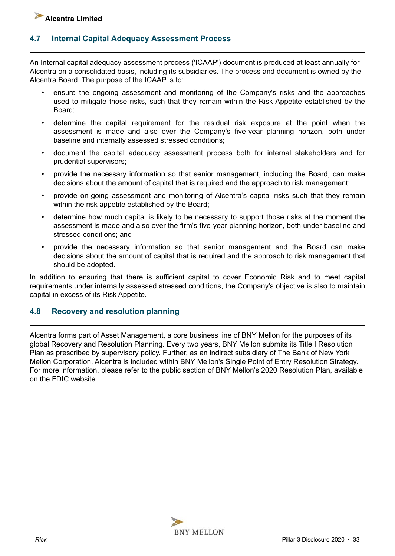## <span id="page-32-0"></span>**4.7 Internal Capital Adequacy Assessment Process**

An Internal capital adequacy assessment process ('ICAAP') document is produced at least annually for Alcentra on a consolidated basis, including its subsidiaries. The process and document is owned by the Alcentra Board. The purpose of the ICAAP is to:

- ensure the ongoing assessment and monitoring of the Company's risks and the approaches used to mitigate those risks, such that they remain within the Risk Appetite established by the Board;
- determine the capital requirement for the residual risk exposure at the point when the assessment is made and also over the Company's five-year planning horizon, both under baseline and internally assessed stressed conditions;
- document the capital adequacy assessment process both for internal stakeholders and for prudential supervisors;
- provide the necessary information so that senior management, including the Board, can make decisions about the amount of capital that is required and the approach to risk management;
- provide on-going assessment and monitoring of Alcentra's capital risks such that they remain within the risk appetite established by the Board;
- determine how much capital is likely to be necessary to support those risks at the moment the assessment is made and also over the firm's five-year planning horizon, both under baseline and stressed conditions; and
- provide the necessary information so that senior management and the Board can make decisions about the amount of capital that is required and the approach to risk management that should be adopted.

In addition to ensuring that there is sufficient capital to cover Economic Risk and to meet capital requirements under internally assessed stressed conditions, the Company's objective is also to maintain capital in excess of its Risk Appetite.

## **4.8 Recovery and resolution planning**

Alcentra forms part of Asset Management, a core business line of BNY Mellon for the purposes of its global Recovery and Resolution Planning. Every two years, BNY Mellon submits its Title I Resolution Plan as prescribed by supervisory policy. Further, as an indirect subsidiary of The Bank of New York Mellon Corporation, Alcentra is included within BNY Mellon's Single Point of Entry Resolution Strategy. For more information, please refer to the public section of BNY Mellon's 2020 Resolution Plan, available on the FDIC website.

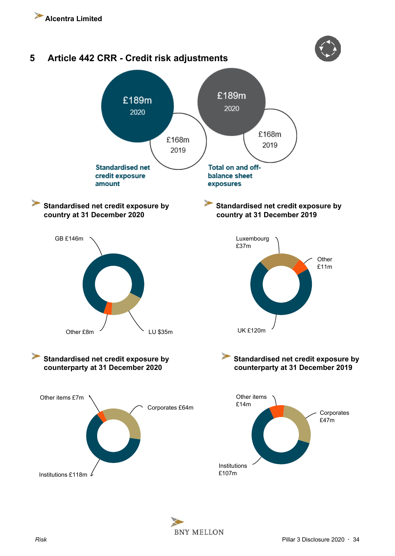<span id="page-33-0"></span>

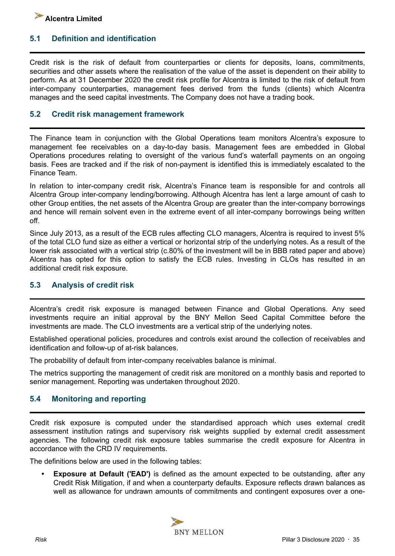## <span id="page-34-0"></span>**5.1 Definition and identification**

Credit risk is the risk of default from counterparties or clients for deposits, loans, commitments, securities and other assets where the realisation of the value of the asset is dependent on their ability to perform. As at 31 December 2020 the credit risk profile for Alcentra is limited to the risk of default from inter-company counterparties, management fees derived from the funds (clients) which Alcentra manages and the seed capital investments. The Company does not have a trading book.

#### **5.2 Credit risk management framework**

The Finance team in conjunction with the Global Operations team monitors Alcentra's exposure to management fee receivables on a day-to-day basis. Management fees are embedded in Global Operations procedures relating to oversight of the various fund's waterfall payments on an ongoing basis. Fees are tracked and if the risk of non-payment is identified this is immediately escalated to the Finance Team.

In relation to inter-company credit risk, Alcentra's Finance team is responsible for and controls all Alcentra Group inter-company lending/borrowing. Although Alcentra has lent a large amount of cash to other Group entities, the net assets of the Alcentra Group are greater than the inter-company borrowings and hence will remain solvent even in the extreme event of all inter-company borrowings being written off.

Since July 2013, as a result of the ECB rules affecting CLO managers, Alcentra is required to invest 5% of the total CLO fund size as either a vertical or horizontal strip of the underlying notes. As a result of the lower risk associated with a vertical strip (c.80% of the investment will be in BBB rated paper and above) Alcentra has opted for this option to satisfy the ECB rules. Investing in CLOs has resulted in an additional credit risk exposure.

## **5.3 Analysis of credit risk**

Alcentra's credit risk exposure is managed between Finance and Global Operations. Any seed investments require an initial approval by the BNY Mellon Seed Capital Committee before the investments are made. The CLO investments are a vertical strip of the underlying notes.

Established operational policies, procedures and controls exist around the collection of receivables and identification and follow-up of at-risk balances.

The probability of default from inter-company receivables balance is minimal.

The metrics supporting the management of credit risk are monitored on a monthly basis and reported to senior management. Reporting was undertaken throughout 2020.

## **5.4 Monitoring and reporting**

Credit risk exposure is computed under the standardised approach which uses external credit assessment institution ratings and supervisory risk weights supplied by external credit assessment agencies. The following credit risk exposure tables summarise the credit exposure for Alcentra in accordance with the CRD IV requirements.

The definitions below are used in the following tables:

**Exposure at Default ('EAD')** is defined as the amount expected to be outstanding, after any Credit Risk Mitigation, if and when a counterparty defaults. Exposure reflects drawn balances as well as allowance for undrawn amounts of commitments and contingent exposures over a one-

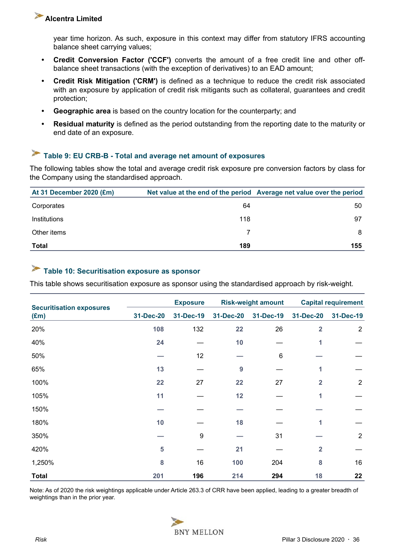<span id="page-35-0"></span>year time horizon. As such, exposure in this context may differ from statutory IFRS accounting balance sheet carrying values;

- **Credit Conversion Factor ('CCF')** converts the amount of a free credit line and other offbalance sheet transactions (with the exception of derivatives) to an EAD amount;
- **Credit Risk Mitigation ('CRM')** is defined as a technique to reduce the credit risk associated with an exposure by application of credit risk mitigants such as collateral, guarantees and credit protection;
- **Geographic area** is based on the country location for the counterparty; and
- **Residual maturity** is defined as the period outstanding from the reporting date to the maturity or end date of an exposure.

## **Table 9: EU CRB-B - Total and average net amount of exposures**

The following tables show the total and average credit risk exposure pre conversion factors by class for the Company using the standardised approach.

| At 31 December 2020 (£m) |     | Net value at the end of the period Average net value over the period |
|--------------------------|-----|----------------------------------------------------------------------|
| Corporates               | 64  | 50                                                                   |
| Institutions             | 118 | 97                                                                   |
| Other items              |     | 8                                                                    |
| <b>Total</b>             | 189 | 155                                                                  |

## **Table 10: Securitisation exposure as sponsor**

This table shows securitisation exposure as sponsor using the standardised approach by risk-weight.

|                                                  |           | <b>Exposure</b>  | <b>Risk-weight amount</b> |           | <b>Capital requirement</b> |                |
|--------------------------------------------------|-----------|------------------|---------------------------|-----------|----------------------------|----------------|
| <b>Securitisation exposures</b><br>$(\text{Em})$ | 31-Dec-20 | 31-Dec-19        | 31-Dec-20                 | 31-Dec-19 | 31-Dec-20                  | 31-Dec-19      |
| 20%                                              | 108       | 132              | 22                        | 26        | $\overline{2}$             | $\overline{2}$ |
| 40%                                              | 24        |                  | 10                        |           |                            |                |
| 50%                                              |           | 12               |                           | $\,6$     |                            |                |
| 65%                                              | 13        |                  | 9                         |           |                            |                |
| 100%                                             | 22        | 27               | 22                        | 27        | $\overline{2}$             | $\sqrt{2}$     |
| 105%                                             | 11        |                  | 12                        |           | 1                          |                |
| 150%                                             |           |                  |                           |           |                            |                |
| 180%                                             | 10        |                  | 18                        |           | 1                          |                |
| 350%                                             |           | $\boldsymbol{9}$ |                           | 31        |                            | $\sqrt{2}$     |
| 420%                                             | 5         |                  | 21                        |           | $\overline{2}$             |                |
| 1,250%                                           | 8         | 16               | 100                       | 204       | 8                          | 16             |
| <b>Total</b>                                     | 201       | 196              | 214                       | 294       | 18                         | 22             |

Note: As of 2020 the risk weightings applicable under Article 263.3 of CRR have been applied, leading to a greater breadth of weightings than in the prior year.

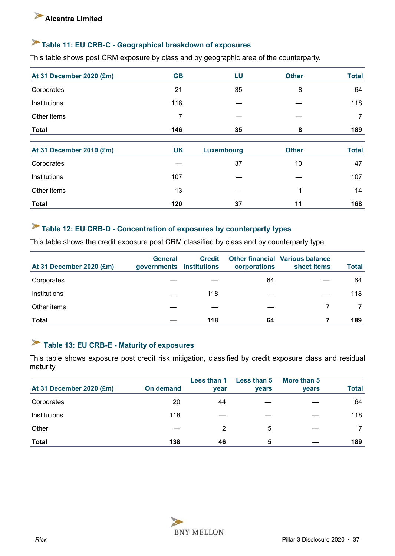### <span id="page-36-0"></span>**Table 11: EU CRB-C - Geographical breakdown of exposures**

This table shows post CRM exposure by class and by geographic area of the counterparty.

| At 31 December 2020 (£m) | <b>GB</b> | LU                | <b>Other</b> | <b>Total</b> |
|--------------------------|-----------|-------------------|--------------|--------------|
| Corporates               | 21        | 35                | 8            | 64           |
| Institutions             | 118       |                   |              | 118          |
| Other items              | 7         |                   |              | 7            |
| <b>Total</b>             | 146       | 35                | 8            | 189          |
| At 31 December 2019 (£m) | <b>UK</b> | <b>Luxembourg</b> | <b>Other</b> | <b>Total</b> |
| Corporates               |           | 37                | 10           | 47           |
| Institutions             | 107       |                   |              | 107          |
| Other items              | 13        |                   | 1            | 14           |
| <b>Total</b>             | 120       | 37                | 11           | 168          |

### **Table 12: EU CRB-D - Concentration of exposures by counterparty types**

This table shows the credit exposure post CRM classified by class and by counterparty type.

| At 31 December 2020 (£m) | <b>General</b><br>governments institutions | <b>Credit</b> | corporations | <b>Other financial Various balance</b><br>sheet items | <b>Total</b> |
|--------------------------|--------------------------------------------|---------------|--------------|-------------------------------------------------------|--------------|
| Corporates               |                                            |               | 64           |                                                       | 64           |
| Institutions             |                                            | 118           |              |                                                       | 118          |
| Other items              |                                            |               |              |                                                       |              |
| Total                    |                                            | 118           | 64           |                                                       | 189          |

### **Table 13: EU CRB-E - Maturity of exposures**

This table shows exposure post credit risk mitigation, classified by credit exposure class and residual maturity.

|                          |                  | Less than 1 | Less than 5  | More than 5  |              |
|--------------------------|------------------|-------------|--------------|--------------|--------------|
| At 31 December 2020 (£m) | <b>On demand</b> | <b>vear</b> | <b>vears</b> | <b>vears</b> | <b>Total</b> |
| Corporates               | 20               | 44          |              |              | 64           |
| Institutions             | 118              |             |              |              | 118          |
| Other                    |                  | 2           | 5            |              |              |
| <b>Total</b>             | 138              | 46          | 5            |              | 189          |

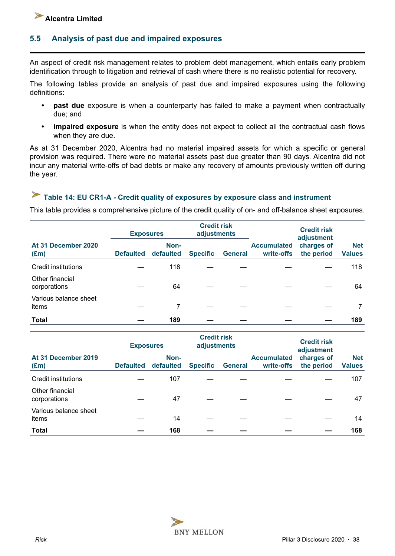### <span id="page-37-0"></span>**5.5 Analysis of past due and impaired exposures**

An aspect of credit risk management relates to problem debt management, which entails early problem identification through to litigation and retrieval of cash where there is no realistic potential for recovery.

The following tables provide an analysis of past due and impaired exposures using the following definitions:

- **past due** exposure is when a counterparty has failed to make a payment when contractually due; and
- **impaired exposure** is when the entity does not expect to collect all the contractual cash flows when they are due.

As at 31 December 2020, Alcentra had no material impaired assets for which a specific or general provision was required. There were no material assets past due greater than 90 days. Alcentra did not incur any material write-offs of bad debts or make any recovery of amounts previously written off during the year.

# **Table 14: EU CR1-A - Credit quality of exposures by exposure class and instrument**

This table provides a comprehensive picture of the credit quality of on- and off-balance sheet exposures.

|                                      | <b>Exposures</b> |                   | <b>Credit risk</b><br>adjustments |                |                                  | <b>Credit risk</b><br>adjustment |                             |  |
|--------------------------------------|------------------|-------------------|-----------------------------------|----------------|----------------------------------|----------------------------------|-----------------------------|--|
| At 31 December 2020<br>$(\text{Em})$ | <b>Defaulted</b> | Non-<br>defaulted | <b>Specific</b>                   | <b>General</b> | <b>Accumulated</b><br>write-offs | charges of<br>the period         | <b>Net</b><br><b>Values</b> |  |
| Credit institutions                  |                  | 118               |                                   |                |                                  |                                  | 118                         |  |
| Other financial<br>corporations      |                  | 64                |                                   |                |                                  |                                  | 64                          |  |
| Various balance sheet<br>items       |                  |                   |                                   |                |                                  |                                  |                             |  |
| <b>Total</b>                         |                  | 189               |                                   |                |                                  |                                  | 189                         |  |

|                                      | <b>Exposures</b> |                   | <b>Credit risk</b><br>adjustments |                |                                  | <b>Credit risk</b><br>adjustment |                             |  |
|--------------------------------------|------------------|-------------------|-----------------------------------|----------------|----------------------------------|----------------------------------|-----------------------------|--|
| At 31 December 2019<br>$(\text{Em})$ | <b>Defaulted</b> | Non-<br>defaulted | <b>Specific</b>                   | <b>General</b> | <b>Accumulated</b><br>write-offs | charges of<br>the period         | <b>Net</b><br><b>Values</b> |  |
| Credit institutions                  |                  | 107               |                                   |                |                                  |                                  | 107                         |  |
| Other financial<br>corporations      |                  | 47                |                                   |                |                                  |                                  | 47                          |  |
| Various balance sheet<br>items       |                  | 14                |                                   |                |                                  |                                  | 14                          |  |
| <b>Total</b>                         |                  | 168               |                                   |                |                                  |                                  | 168                         |  |

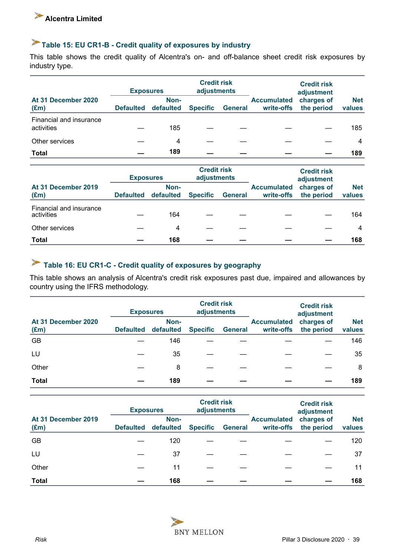# <span id="page-38-0"></span>**Table 15: EU CR1-B - Credit quality of exposures by industry**

This table shows the credit quality of Alcentra's on- and off-balance sheet credit risk exposures by industry type.

|                                       | <b>Credit risk</b><br>adjustments<br><b>Exposures</b> |                   |                 |                | <b>Credit risk</b><br>adjustment |                          |                      |
|---------------------------------------|-------------------------------------------------------|-------------------|-----------------|----------------|----------------------------------|--------------------------|----------------------|
| At 31 December 2020<br>$(\text{Em})$  | <b>Defaulted</b>                                      | Non-<br>defaulted | <b>Specific</b> | <b>General</b> | <b>Accumulated</b><br>write-offs | charges of<br>the period | <b>Net</b><br>values |
| Financial and insurance<br>activities |                                                       | 185               |                 |                |                                  |                          | 185                  |
| Other services                        |                                                       | 4                 |                 |                |                                  |                          | 4                    |
| Total                                 |                                                       | 189               |                 |                |                                  |                          | 189                  |

|                                       | <b>Credit risk</b><br>adjustments<br><b>Exposures</b> |                   |                 |                | <b>Credit risk</b><br>adjustment |                          |                      |
|---------------------------------------|-------------------------------------------------------|-------------------|-----------------|----------------|----------------------------------|--------------------------|----------------------|
| At 31 December 2019<br>$(\text{Em})$  | <b>Defaulted</b>                                      | Non-<br>defaulted | <b>Specific</b> | <b>General</b> | <b>Accumulated</b><br>write-offs | charges of<br>the period | <b>Net</b><br>values |
| Financial and insurance<br>activities |                                                       | 164               |                 |                |                                  |                          | 164                  |
| Other services                        |                                                       | $\overline{4}$    |                 |                |                                  |                          | 4                    |
| <b>Total</b>                          |                                                       | 168               |                 |                |                                  |                          | 168                  |

# **Table 16: EU CR1-C - Credit quality of exposures by geography**

This table shows an analysis of Alcentra's credit risk exposures past due, impaired and allowances by country using the IFRS methodology.

|                                      | <b>Exposures</b> |                   | <b>Credit risk</b><br>adjustments |                |                                  | <b>Credit risk</b><br>adjustment |                      |
|--------------------------------------|------------------|-------------------|-----------------------------------|----------------|----------------------------------|----------------------------------|----------------------|
| At 31 December 2020<br>$(\text{Em})$ | <b>Defaulted</b> | Non-<br>defaulted | <b>Specific</b>                   | <b>General</b> | <b>Accumulated</b><br>write-offs | charges of<br>the period         | <b>Net</b><br>values |
| <b>GB</b>                            |                  | 146               |                                   |                |                                  |                                  | 146                  |
| LU                                   |                  | 35                |                                   |                |                                  |                                  | 35                   |
| Other                                |                  | 8                 |                                   |                |                                  |                                  | 8                    |
| <b>Total</b>                         |                  | 189               |                                   |                |                                  |                                  | 189                  |

|                                      | <b>Exposures</b> |                   | <b>Credit risk</b><br>adjustments |                |                                  | <b>Credit risk</b><br>adjustment |                      |
|--------------------------------------|------------------|-------------------|-----------------------------------|----------------|----------------------------------|----------------------------------|----------------------|
| At 31 December 2019<br>$(\text{Em})$ | <b>Defaulted</b> | Non-<br>defaulted | <b>Specific</b>                   | <b>General</b> | <b>Accumulated</b><br>write-offs | charges of<br>the period         | <b>Net</b><br>values |
| GB                                   |                  | 120               |                                   |                |                                  |                                  | 120                  |
| LU                                   |                  | 37                |                                   |                |                                  |                                  | 37                   |
| Other                                |                  | 11                |                                   |                |                                  |                                  | 11                   |
| <b>Total</b>                         |                  | 168               |                                   |                |                                  |                                  | 168                  |

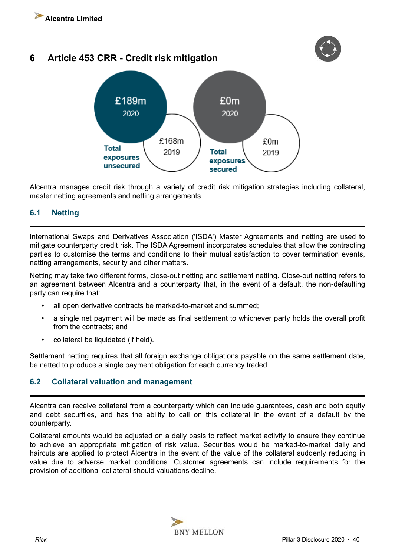<span id="page-39-0"></span>





Alcentra manages credit risk through a variety of credit risk mitigation strategies including collateral, master netting agreements and netting arrangements.

### **6.1 Netting**

International Swaps and Derivatives Association ('ISDA') Master Agreements and netting are used to mitigate counterparty credit risk. The ISDA Agreement incorporates schedules that allow the contracting parties to customise the terms and conditions to their mutual satisfaction to cover termination events, netting arrangements, security and other matters.

Netting may take two different forms, close-out netting and settlement netting. Close-out netting refers to an agreement between Alcentra and a counterparty that, in the event of a default, the non-defaulting party can require that:

- all open derivative contracts be marked-to-market and summed:
- a single net payment will be made as final settlement to whichever party holds the overall profit from the contracts; and
- collateral be liquidated (if held).

Settlement netting requires that all foreign exchange obligations payable on the same settlement date, be netted to produce a single payment obligation for each currency traded.

### **6.2 Collateral valuation and management**

Alcentra can receive collateral from a counterparty which can include guarantees, cash and both equity and debt securities, and has the ability to call on this collateral in the event of a default by the counterparty.

Collateral amounts would be adjusted on a daily basis to reflect market activity to ensure they continue to achieve an appropriate mitigation of risk value. Securities would be marked-to-market daily and haircuts are applied to protect Alcentra in the event of the value of the collateral suddenly reducing in value due to adverse market conditions. Customer agreements can include requirements for the provision of additional collateral should valuations decline.

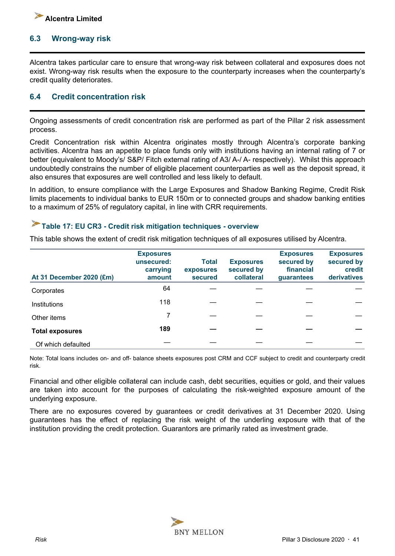<span id="page-40-0"></span>

#### **6.3 Wrong-way risk**

Alcentra takes particular care to ensure that wrong-way risk between collateral and exposures does not exist. Wrong-way risk results when the exposure to the counterparty increases when the counterparty's credit quality deteriorates.

#### **6.4 Credit concentration risk**

Ongoing assessments of credit concentration risk are performed as part of the Pillar 2 risk assessment process.

Credit Concentration risk within Alcentra originates mostly through Alcentra's corporate banking activities. Alcentra has an appetite to place funds only with institutions having an internal rating of 7 or better (equivalent to Moody's/ S&P/ Fitch external rating of A3/ A-/ A- respectively). Whilst this approach undoubtedly constrains the number of eligible placement counterparties as well as the deposit spread, it also ensures that exposures are well controlled and less likely to default.

In addition, to ensure compliance with the Large Exposures and Shadow Banking Regime, Credit Risk limits placements to individual banks to EUR 150m or to connected groups and shadow banking entities to a maximum of 25% of regulatory capital, in line with CRR requirements.

#### **Table 17: EU CR3 - Credit risk mitigation techniques - overview**

| At 31 December 2020 (£m) | <b>Exposures</b><br>unsecured:<br>carrying<br>amount | <b>Total</b><br>exposures<br>secured | <b>Exposures</b><br>secured by<br>collateral | <b>Exposures</b><br>secured by<br>financial<br>guarantees | <b>Exposures</b><br>secured by<br>credit<br>derivatives |
|--------------------------|------------------------------------------------------|--------------------------------------|----------------------------------------------|-----------------------------------------------------------|---------------------------------------------------------|
| Corporates               | 64                                                   |                                      |                                              |                                                           |                                                         |
| Institutions             | 118                                                  |                                      |                                              |                                                           |                                                         |
| Other items              |                                                      |                                      |                                              |                                                           |                                                         |
| <b>Total exposures</b>   | 189                                                  |                                      |                                              |                                                           |                                                         |
| Of which defaulted       |                                                      |                                      |                                              |                                                           |                                                         |

This table shows the extent of credit risk mitigation techniques of all exposures utilised by Alcentra.

Note: Total loans includes on- and off- balance sheets exposures post CRM and CCF subject to credit and counterparty credit risk.

Financial and other eligible collateral can include cash, debt securities, equities or gold, and their values are taken into account for the purposes of calculating the risk-weighted exposure amount of the underlying exposure.

There are no exposures covered by guarantees or credit derivatives at 31 December 2020. Using guarantees has the effect of replacing the risk weight of the underling exposure with that of the institution providing the credit protection. Guarantors are primarily rated as investment grade.

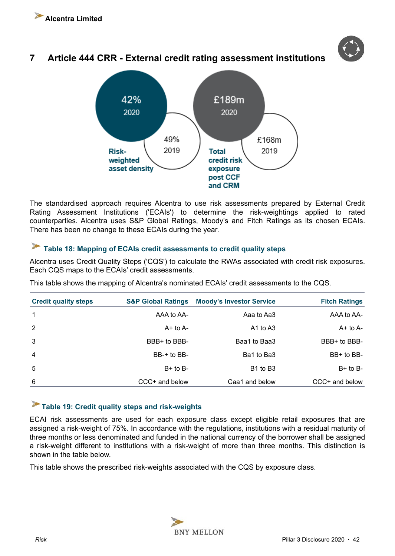### <span id="page-41-0"></span>**7 Article 444 CRR - External credit rating assessment institutions**



The standardised approach requires Alcentra to use risk assessments prepared by External Credit Rating Assessment Institutions ('ECAIs') to determine the risk-weightings applied to rated counterparties. Alcentra uses S&P Global Ratings, Moody's and Fitch Ratings as its chosen ECAIs. There has been no change to these ECAIs during the year.

### **Table 18: Mapping of ECAIs credit assessments to credit quality steps**

Alcentra uses Credit Quality Steps ('CQS') to calculate the RWAs associated with credit risk exposures. Each CQS maps to the ECAIs' credit assessments.

| <b>Credit quality steps</b> | <b>S&amp;P Global Ratings</b> | <b>Moody's Investor Service</b>  | <b>Fitch Ratings</b> |
|-----------------------------|-------------------------------|----------------------------------|----------------------|
| $\overline{1}$              | AAA to AA-                    | Aaa to Aa3                       | AAA to AA-           |
| $\overline{2}$              | $A+$ to $A-$                  | $A1$ to $A3$                     | $A+$ to $A-$         |
| 3                           | BBB+ to BBB-                  | Baa1 to Baa3                     | BBB+ to BBB-         |
| $\overline{4}$              | BB-+ to BB-                   | Ba1 to Ba3                       | BB+ to BB-           |
| 5                           | $B+$ to $B-$                  | B <sub>1</sub> to B <sub>3</sub> | $B+$ to $B-$         |
| 6                           | CCC+ and below                | Caa1 and below                   | CCC+ and below       |

This table shows the mapping of Alcentra's nominated ECAIs' credit assessments to the CQS.

### **Table 19: Credit quality steps and risk-weights**

ECAI risk assessments are used for each exposure class except eligible retail exposures that are assigned a risk-weight of 75%. In accordance with the regulations, institutions with a residual maturity of three months or less denominated and funded in the national currency of the borrower shall be assigned a risk-weight different to institutions with a risk-weight of more than three months. This distinction is shown in the table below.

This table shows the prescribed risk-weights associated with the CQS by exposure class.

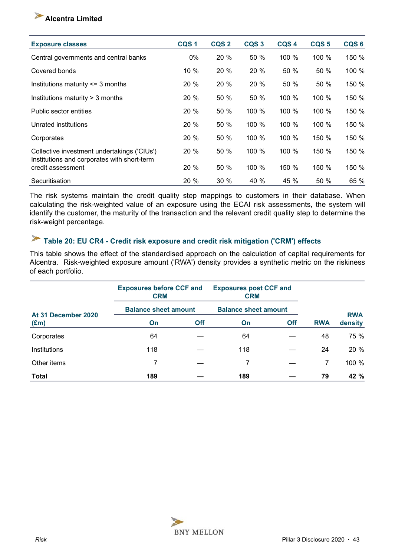### <span id="page-42-0"></span>**Alcentra Limited**

| <b>Exposure classes</b>                                                                    | CQS <sub>1</sub> | CQS <sub>2</sub> | CQS <sub>3</sub> | CQS <sub>4</sub> | CQS <sub>5</sub> | CQS <sub>6</sub> |
|--------------------------------------------------------------------------------------------|------------------|------------------|------------------|------------------|------------------|------------------|
| Central governments and central banks                                                      | 0%               | 20 %             | 50 %             | 100 %            | 100 %            | 150 %            |
| Covered bonds                                                                              | 10 %             | 20 %             | 20 %             | 50 %             | 50 %             | 100 %            |
| Institutions maturity $\leq$ 3 months                                                      | 20 %             | 20%              | 20 %             | 50 %             | 50 %             | 150 %            |
| Institutions maturity > 3 months                                                           | 20 %             | 50 %             | 50 %             | 100 %            | 100 %            | 150 %            |
| Public sector entities                                                                     | 20 %             | 50 %             | 100 %            | 100 %            | 100 %            | 150 %            |
| Unrated institutions                                                                       | 20 %             | 50 %             | 100 %            | 100 %            | 100 %            | 150 %            |
| Corporates                                                                                 | 20 %             | 50 %             | 100 %            | 100 %            | 150 %            | 150 %            |
| Collective investment undertakings ('CIUs')<br>Institutions and corporates with short-term | 20 %             | 50 %             | 100 %            | 100 %            | 150 %            | 150 %            |
| credit assessment                                                                          | 20 %             | 50 %             | 100 %            | 150 %            | 150 %            | 150 %            |
| Securitisation                                                                             | 20 %             | 30%              | 40 %             | 45 %             | 50 %             | 65 %             |

The risk systems maintain the credit quality step mappings to customers in their database. When calculating the risk-weighted value of an exposure using the ECAI risk assessments, the system will identify the customer, the maturity of the transaction and the relevant credit quality step to determine the risk-weight percentage.

#### **Table 20: EU CR4 - Credit risk exposure and credit risk mitigation ('CRM') effects**  $\blacktriangleright$

This table shows the effect of the standardised approach on the calculation of capital requirements for Alcentra. Risk-weighted exposure amount ('RWA') density provides a synthetic metric on the riskiness of each portfolio.

|                                      | <b>Exposures before CCF and</b><br><b>CRM</b> |            | <b>Exposures post CCF and</b><br><b>CRM</b> |     |            |            |
|--------------------------------------|-----------------------------------------------|------------|---------------------------------------------|-----|------------|------------|
| At 31 December 2020<br>$(\text{Em})$ | <b>Balance sheet amount</b>                   |            | <b>Balance sheet amount</b>                 |     |            | <b>RWA</b> |
|                                      | On                                            | <b>Off</b> | On                                          | Off | <b>RWA</b> | density    |
| Corporates                           | 64                                            |            | 64                                          |     | 48         | 75 %       |
| Institutions                         | 118                                           |            | 118                                         |     | 24         | 20 %       |
| Other items                          | 7                                             |            | 7                                           |     | 7          | 100 %      |
| Total                                | 189                                           |            | 189                                         |     | 79         | 42 %       |

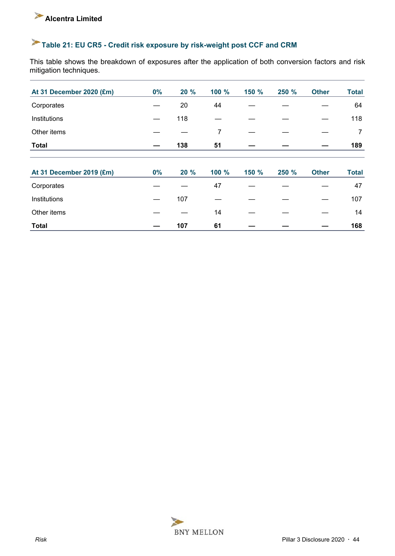# **Table 21: EU CR5 - Credit risk exposure by risk-weight post CCF and CRM**

This table shows the breakdown of exposures after the application of both conversion factors and risk mitigation techniques.

| At 31 December 2020 (£m) | 0% | 20 % | 100 % | 150 % | 250 % | <b>Other</b> | <b>Total</b> |
|--------------------------|----|------|-------|-------|-------|--------------|--------------|
| Corporates               |    | 20   | 44    |       |       |              | 64           |
| Institutions             |    | 118  |       |       |       |              | 118          |
| Other items              |    |      | 7     |       |       |              | 7            |
| <b>Total</b>             |    | 138  | 51    |       |       |              | 189          |
|                          |    |      |       |       |       |              |              |
| At 31 December 2019 (£m) | 0% | 20 % | 100 % | 150 % | 250 % | <b>Other</b> | <b>Total</b> |
| Corporates               |    |      | 47    |       |       |              | 47           |
| Institutions             |    | 107  |       |       |       |              | 107          |
| Other items              |    |      | 14    |       |       |              | 14           |
| <b>Total</b>             |    | 107  | 61    |       |       |              | 168          |

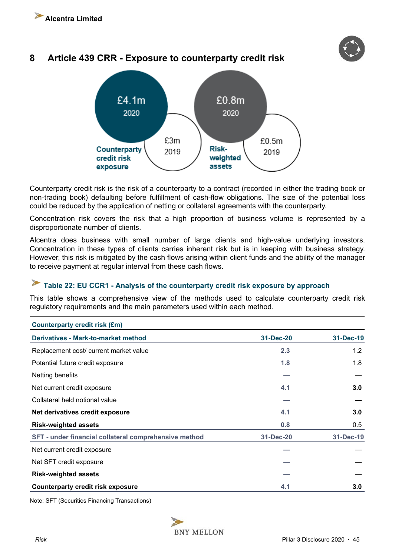### <span id="page-44-0"></span>**8 Article 439 CRR - Exposure to counterparty credit risk**



Counterparty credit risk is the risk of a counterparty to a contract (recorded in either the trading book or non-trading book) defaulting before fulfillment of cash-flow obligations. The size of the potential loss could be reduced by the application of netting or collateral agreements with the counterparty.

Concentration risk covers the risk that a high proportion of business volume is represented by a disproportionate number of clients.

Alcentra does business with small number of large clients and high-value underlying investors. Concentration in these types of clients carries inherent risk but is in keeping with business strategy. However, this risk is mitigated by the cash flows arising within client funds and the ability of the manager to receive payment at regular interval from these cash flows.

#### $\blacktriangleright$ **Table 22: EU CCR1 - Analysis of the counterparty credit risk exposure by approach**

This table shows a comprehensive view of the methods used to calculate counterparty credit risk regulatory requirements and the main parameters used within each method.

| <b>Counterparty credit risk (£m)</b>                  |           |           |
|-------------------------------------------------------|-----------|-----------|
| <b>Derivatives - Mark-to-market method</b>            | 31-Dec-20 | 31-Dec-19 |
| Replacement cost/ current market value                | 2.3       | 1.2       |
| Potential future credit exposure                      | 1.8       | 1.8       |
| Netting benefits                                      |           |           |
| Net current credit exposure                           | 4.1       | 3.0       |
| Collateral held notional value                        |           |           |
| Net derivatives credit exposure                       | 4.1       | 3.0       |
| <b>Risk-weighted assets</b>                           | 0.8       | 0.5       |
| SFT - under financial collateral comprehensive method | 31-Dec-20 | 31-Dec-19 |
| Net current credit exposure                           |           |           |
| Net SFT credit exposure                               |           |           |
| <b>Risk-weighted assets</b>                           |           |           |
| <b>Counterparty credit risk exposure</b>              | 4.1       | 3.0       |

Note: SFT (Securities Financing Transactions)

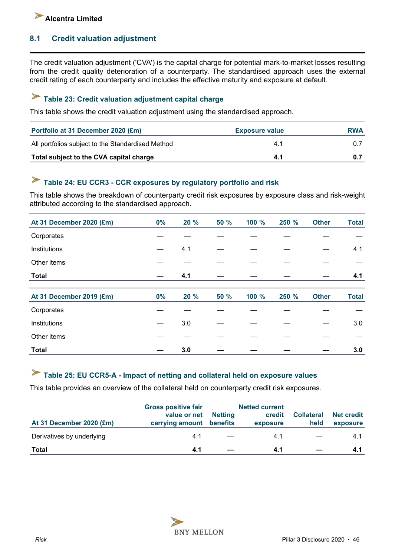

### **8.1 Credit valuation adjustment**

The credit valuation adjustment ('CVA') is the capital charge for potential mark-to-market losses resulting from the credit quality deterioration of a counterparty. The standardised approach uses the external credit rating of each counterparty and includes the effective maturity and exposure at default.

#### $\blacktriangleright$ **Table 23: Credit valuation adjustment capital charge**

This table shows the credit valuation adjustment using the standardised approach.

| Portfolio at 31 December 2020 (£m)                | <b>Exposure value</b> | <b>RWA</b> |
|---------------------------------------------------|-----------------------|------------|
| All portfolios subject to the Standardised Method | 4.1                   |            |
| Total subject to the CVA capital charge           | 4.1                   |            |

# **Table 24: EU CCR3 - CCR exposures by regulatory portfolio and risk**

This table shows the breakdown of counterparty credit risk exposures by exposure class and risk-weight attributed according to the standardised approach.

| At 31 December 2020 (£m) | 0%    | 20 % | <b>50 %</b> | 100 % | 250 % | <b>Other</b> | <b>Total</b> |
|--------------------------|-------|------|-------------|-------|-------|--------------|--------------|
| Corporates               |       |      |             |       |       |              |              |
| Institutions             |       | 4.1  |             |       |       |              | 4.1          |
| Other items              |       |      |             |       |       |              |              |
| <b>Total</b>             |       | 4.1  |             |       |       |              | 4.1          |
|                          |       |      |             |       |       |              |              |
| At 31 December 2019 (£m) | $0\%$ | 20 % | <b>50 %</b> | 100 % | 250 % | <b>Other</b> | <b>Total</b> |
| Corporates               |       |      |             |       |       |              |              |
| Institutions             |       | 3.0  |             |       |       |              | 3.0          |
| Other items              |       |      |             |       |       |              |              |
| <b>Total</b>             |       | 3.0  |             |       |       |              | 3.0          |

#### $\blacktriangleright$ **Table 25: EU CCR5-A - Impact of netting and collateral held on exposure values**

This table provides an overview of the collateral held on counterparty credit risk exposures.

| At 31 December 2020 (£m)  | <b>Gross positive fair</b><br>value or net<br>carrying amount benefits | <b>Netting</b> | <b>Netted current</b><br>credit<br>exposure | <b>Collateral</b><br>held | <b>Net credit</b><br>exposure |
|---------------------------|------------------------------------------------------------------------|----------------|---------------------------------------------|---------------------------|-------------------------------|
| Derivatives by underlying | 4.1                                                                    |                | 4.1                                         |                           | 4.1                           |
| Total                     | 4.1                                                                    |                | 4.1                                         |                           | 4.1                           |

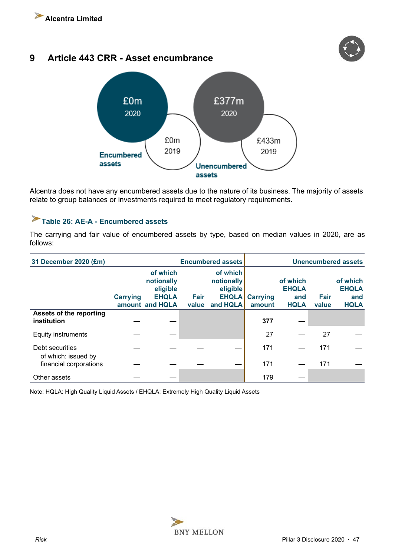

### <span id="page-46-0"></span>**9 Article 443 CRR - Asset encumbrance**



Alcentra does not have any encumbered assets due to the nature of its business. The majority of assets relate to group balances or investments required to meet regulatory requirements.

### **Table 26: AE-A - Encumbered assets**

The carrying and fair value of encumbered assets by type, based on median values in 2020, are as follows:

| 31 December 2020 (£m)                  | <b>Encumbered assets</b> |                                                    |       |                                                    |                 | <b>Unencumbered assets</b>      |             |                                                |
|----------------------------------------|--------------------------|----------------------------------------------------|-------|----------------------------------------------------|-----------------|---------------------------------|-------------|------------------------------------------------|
|                                        | <b>Carrying</b>          | of which<br>notionally<br>eligible<br><b>EHQLA</b> | Fair  | of which<br>notionally<br>eligible<br><b>EHQLA</b> | <b>Carrying</b> | of which<br><b>EHQLA</b><br>and | <b>Fair</b> | of which<br><b>EHQLA</b><br>and<br><b>HQLA</b> |
| Assets of the reporting                |                          | amount and HQLA                                    | value | and HQLA                                           | amount          | <b>HQLA</b>                     | value       |                                                |
| institution                            |                          |                                                    |       |                                                    | 377             |                                 |             |                                                |
| <b>Equity instruments</b>              |                          |                                                    |       |                                                    | 27              |                                 | 27          |                                                |
| Debt securities<br>of which: issued by |                          |                                                    |       |                                                    | 171             |                                 | 171         |                                                |
| financial corporations                 |                          |                                                    |       |                                                    | 171             |                                 | 171         |                                                |
| Other assets                           |                          |                                                    |       |                                                    | 179             |                                 |             |                                                |

Note: HQLA: High Quality Liquid Assets / EHQLA: Extremely High Quality Liquid Assets

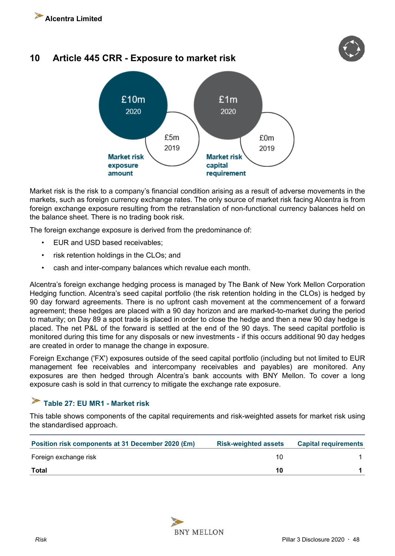

### <span id="page-47-0"></span>**10 Article 445 CRR - Exposure to market risk**



Market risk is the risk to a company's financial condition arising as a result of adverse movements in the markets, such as foreign currency exchange rates. The only source of market risk facing Alcentra is from foreign exchange exposure resulting from the retranslation of non-functional currency balances held on the balance sheet. There is no trading book risk.

The foreign exchange exposure is derived from the predominance of:

- EUR and USD based receivables;
- risk retention holdings in the CLOs; and
- cash and inter-company balances which revalue each month.

Alcentra's foreign exchange hedging process is managed by The Bank of New York Mellon Corporation Hedging function. Alcentra's seed capital portfolio (the risk retention holding in the CLOs) is hedged by 90 day forward agreements. There is no upfront cash movement at the commencement of a forward agreement; these hedges are placed with a 90 day horizon and are marked-to-market during the period to maturity; on Day 89 a spot trade is placed in order to close the hedge and then a new 90 day hedge is placed. The net P&L of the forward is settled at the end of the 90 days. The seed capital portfolio is monitored during this time for any disposals or new investments - if this occurs additional 90 day hedges are created in order to manage the change in exposure.

Foreign Exchange ('FX') exposures outside of the seed capital portfolio (including but not limited to EUR management fee receivables and intercompany receivables and payables) are monitored. Any exposures are then hedged through Alcentra's bank accounts with BNY Mellon. To cover a long exposure cash is sold in that currency to mitigate the exchange rate exposure.

#### $\blacktriangleright$ **Table 27: EU MR1 - Market risk**

This table shows components of the capital requirements and risk-weighted assets for market risk using the standardised approach.

| Position risk components at 31 December 2020 (£m) | <b>Risk-weighted assets</b> | <b>Capital requirements</b> |
|---------------------------------------------------|-----------------------------|-----------------------------|
| Foreign exchange risk                             | 10                          |                             |
| Total                                             | 10                          |                             |

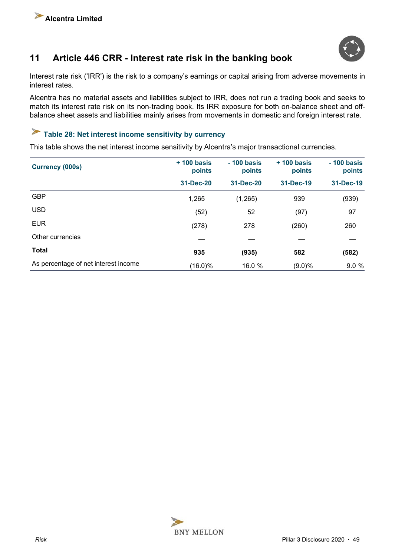

### <span id="page-48-0"></span>**11 Article 446 CRR - Interest rate risk in the banking book**

Interest rate risk ('IRR') is the risk to a company's earnings or capital arising from adverse movements in interest rates.

Alcentra has no material assets and liabilities subject to IRR, does not run a trading book and seeks to match its interest rate risk on its non-trading book. Its IRR exposure for both on-balance sheet and offbalance sheet assets and liabilities mainly arises from movements in domestic and foreign interest rate.

# **Table 28: Net interest income sensitivity by currency**

This table shows the net interest income sensitivity by Alcentra's major transactional currencies.

| <b>Currency (000s)</b>               | $+100$ basis<br>points | $-100$ basis<br>points | $+$ 100 basis<br>points | $-100$ basis<br>points |
|--------------------------------------|------------------------|------------------------|-------------------------|------------------------|
|                                      | 31-Dec-20              | 31-Dec-20              | 31-Dec-19               | 31-Dec-19              |
| <b>GBP</b>                           | 1,265                  | (1,265)                | 939                     | (939)                  |
| <b>USD</b>                           | (52)                   | 52                     | (97)                    | 97                     |
| <b>EUR</b>                           | (278)                  | 278                    | (260)                   | 260                    |
| Other currencies                     |                        |                        |                         |                        |
| <b>Total</b>                         | 935                    | (935)                  | 582                     | (582)                  |
| As percentage of net interest income | $(16.0)\%$             | 16.0 %                 | $(9.0)\%$               | 9.0%                   |

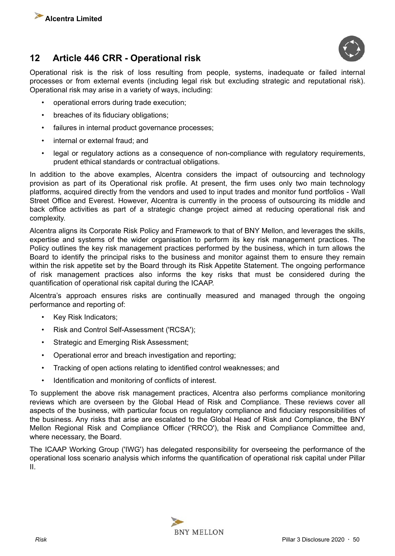<span id="page-49-0"></span>





Operational risk is the risk of loss resulting from people, systems, inadequate or failed internal processes or from external events (including legal risk but excluding strategic and reputational risk). Operational risk may arise in a variety of ways, including:

- operational errors during trade execution;
- breaches of its fiduciary obligations;
- failures in internal product governance processes;
- internal or external fraud; and
- legal or regulatory actions as a consequence of non-compliance with regulatory requirements, prudent ethical standards or contractual obligations.

In addition to the above examples, Alcentra considers the impact of outsourcing and technology provision as part of its Operational risk profile. At present, the firm uses only two main technology platforms, acquired directly from the vendors and used to input trades and monitor fund portfolios - Wall Street Office and Everest. However, Alcentra is currently in the process of outsourcing its middle and back office activities as part of a strategic change project aimed at reducing operational risk and complexity.

Alcentra aligns its Corporate Risk Policy and Framework to that of BNY Mellon, and leverages the skills, expertise and systems of the wider organisation to perform its key risk management practices. The Policy outlines the key risk management practices performed by the business, which in turn allows the Board to identify the principal risks to the business and monitor against them to ensure they remain within the risk appetite set by the Board through its Risk Appetite Statement. The ongoing performance of risk management practices also informs the key risks that must be considered during the quantification of operational risk capital during the ICAAP.

Alcentra's approach ensures risks are continually measured and managed through the ongoing performance and reporting of:

- Key Risk Indicators;
- Risk and Control Self-Assessment ('RCSA');
- Strategic and Emerging Risk Assessment;
- Operational error and breach investigation and reporting;
- Tracking of open actions relating to identified control weaknesses; and
- Identification and monitoring of conflicts of interest.

To supplement the above risk management practices, Alcentra also performs compliance monitoring reviews which are overseen by the Global Head of Risk and Compliance. These reviews cover all aspects of the business, with particular focus on regulatory compliance and fiduciary responsibilities of the business. Any risks that arise are escalated to the Global Head of Risk and Compliance, the BNY Mellon Regional Risk and Compliance Officer ('RRCO'), the Risk and Compliance Committee and, where necessary, the Board.

The ICAAP Working Group ('IWG') has delegated responsibility for overseeing the performance of the operational loss scenario analysis which informs the quantification of operational risk capital under Pillar II.

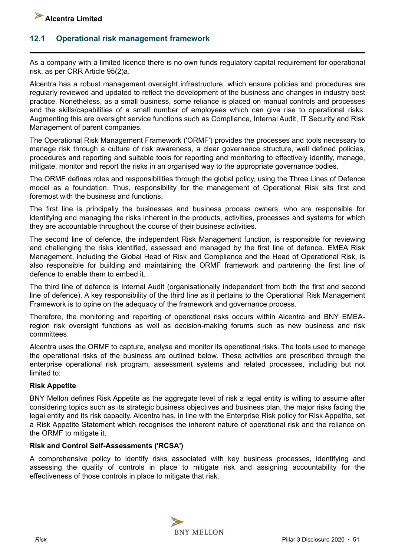

#### **12.1 Operational risk management framework**

As a company with a limited licence there is no own funds regulatory capital requirement for operational risk, as per CRR Article 95(2)a.

Alcentra has a robust management oversight infrastructure, which ensure policies and procedures are regularly reviewed and updated to reflect the development of the business and changes in industry best practice. Nonetheless, as a small business, some reliance is placed on manual controls and processes and the skills/capabilities of a small number of employees which can give rise to operational risks. Augmenting this are oversight service functions such as Compliance, Internal Audit, IT Security and Risk Management of parent companies.

The Operational Risk Management Framework ('ORMF') provides the processes and tools necessary to manage risk through a culture of risk awareness, a clear governance structure, well defined policies, procedures and reporting and suitable tools for reporting and monitoring to effectively identify, manage, mitigate, monitor and report the risks in an organised way to the appropriate governance bodies.

The ORMF defines roles and responsibilities through the global policy, using the Three Lines of Defence model as a foundation. Thus, responsibility for the management of Operational Risk sits first and foremost with the business and functions.

The first line is principally the businesses and business process owners, who are responsible for identifying and managing the risks inherent in the products, activities, processes and systems for which they are accountable throughout the course of their business activities.

The second line of defence, the independent Risk Management function, is responsible for reviewing and challenging the risks identified, assessed and managed by the first line of defence. EMEA Risk Management, including the Global Head of Risk and Compliance and the Head of Operational Risk, is also responsible for building and maintaining the ORMF framework and partnering the first line of defence to enable them to embed it.

The third line of defence is Internal Audit (organisationally independent from both the first and second line of defence). A key responsibility of the third line as it pertains to the Operational Risk Management Framework is to opine on the adequacy of the framework and governance process.

Therefore, the monitoring and reporting of operational risks occurs within Alcentra and BNY EMEAregion risk oversight functions as well as decision-making forums such as new business and risk committees.

Alcentra uses the ORMF to capture, analyse and monitor its operational risks. The tools used to manage the operational risks of the business are outlined below. These activities are prescribed through the enterprise operational risk program, assessment systems and related processes, including but not limited to:

#### **Risk Appetite**

BNY Mellon defines Risk Appetite as the aggregate level of risk a legal entity is willing to assume after considering topics such as its strategic business objectives and business plan, the major risks facing the legal entity and its risk capacity. Alcentra has, in line with the Enterprise Risk policy for Risk Appetite, set a Risk Appetite Statement which recognises the inherent nature of operational risk and the reliance on the ORMF to mitigate it.

#### **Risk and Control Self-Assessments ('RCSA')**

A comprehensive policy to identify risks associated with key business processes, identifying and assessing the quality of controls in place to mitigate risk and assigning accountability for the effectiveness of those controls in place to mitigate that risk.

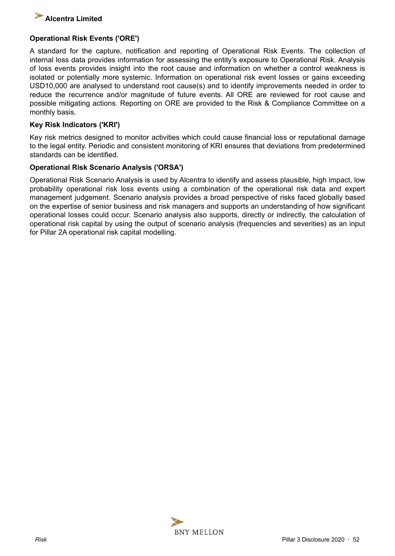

#### **Operational Risk Events ('ORE')**

A standard for the capture, notification and reporting of Operational Risk Events. The collection of internal loss data provides information for assessing the entity's exposure to Operational Risk. Analysis of loss events provides insight into the root cause and information on whether a control weakness is isolated or potentially more systemic. Information on operational risk event losses or gains exceeding USD10,000 are analysed to understand root cause(s) and to identify improvements needed in order to reduce the recurrence and/or magnitude of future events. All ORE are reviewed for root cause and possible mitigating actions. Reporting on ORE are provided to the Risk & Compliance Committee on a monthly basis.

#### **Key Risk Indicators ('KRI')**

Key risk metrics designed to monitor activities which could cause financial loss or reputational damage to the legal entity. Periodic and consistent monitoring of KRI ensures that deviations from predetermined standards can be identified.

#### **Operational Risk Scenario Analysis ('ORSA')**

Operational Risk Scenario Analysis is used by Alcentra to identify and assess plausible, high impact, low probability operational risk loss events using a combination of the operational risk data and expert management judgement. Scenario analysis provides a broad perspective of risks faced globally based on the expertise of senior business and risk managers and supports an understanding of how significant operational losses could occur. Scenario analysis also supports, directly or indirectly, the calculation of operational risk capital by using the output of scenario analysis (frequencies and severities) as an input for Pillar 2A operational risk capital modelling.

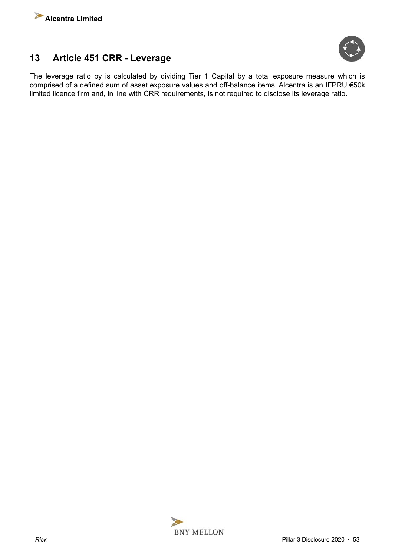<span id="page-52-0"></span>



### **13 Article 451 CRR - Leverage**

The leverage ratio by is calculated by dividing Tier 1 Capital by a total exposure measure which is comprised of a defined sum of asset exposure values and off-balance items. Alcentra is an IFPRU €50k limited licence firm and, in line with CRR requirements, is not required to disclose its leverage ratio.

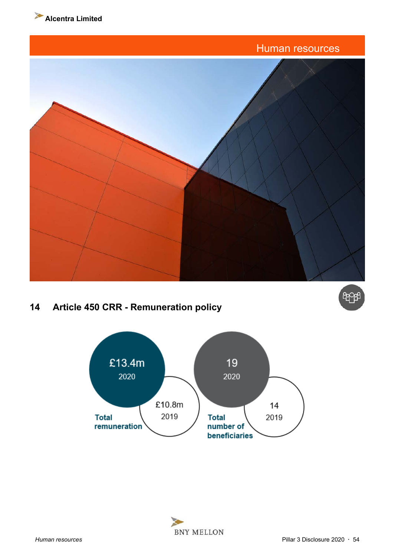

<span id="page-53-0"></span>

### **14 Article 450 CRR - Remuneration policy**



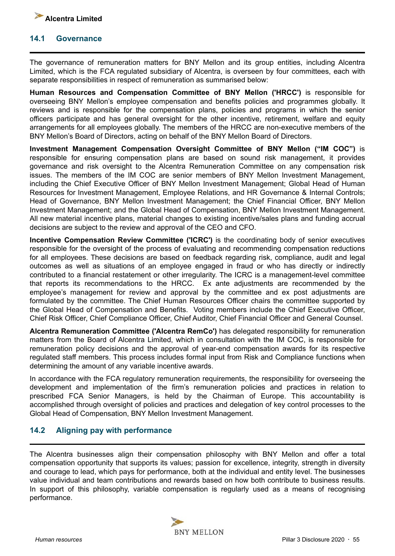<span id="page-54-0"></span>

#### **14.1 Governance**

The governance of remuneration matters for BNY Mellon and its group entities, including Alcentra Limited, which is the FCA regulated subsidiary of Alcentra, is overseen by four committees, each with separate responsibilities in respect of remuneration as summarised below:

**Human Resources and Compensation Committee of BNY Mellon ('HRCC')** is responsible for overseeing BNY Mellon's employee compensation and benefits policies and programmes globally. It reviews and is responsible for the compensation plans, policies and programs in which the senior officers participate and has general oversight for the other incentive, retirement, welfare and equity arrangements for all employees globally. The members of the HRCC are non-executive members of the BNY Mellon's Board of Directors, acting on behalf of the BNY Mellon Board of Directors.

**Investment Management Compensation Oversight Committee of BNY Mellon ("IM COC")** is responsible for ensuring compensation plans are based on sound risk management, it provides governance and risk oversight to the Alcentra Remuneration Committee on any compensation risk issues. The members of the IM COC are senior members of BNY Mellon Investment Management, including the Chief Executive Officer of BNY Mellon Investment Management; Global Head of Human Resources for Investment Management, Employee Relations, and HR Governance & Internal Controls; Head of Governance, BNY Mellon Investment Management; the Chief Financial Officer, BNY Mellon Investment Management; and the Global Head of Compensation, BNY Mellon Investment Management. All new material incentive plans, material changes to existing incentive/sales plans and funding accrual decisions are subject to the review and approval of the CEO and CFO.

**Incentive Compensation Review Committee ('ICRC')** is the coordinating body of senior executives responsible for the oversight of the process of evaluating and recommending compensation reductions for all employees. These decisions are based on feedback regarding risk, compliance, audit and legal outcomes as well as situations of an employee engaged in fraud or who has directly or indirectly contributed to a financial restatement or other irregularity. The ICRC is a management-level committee that reports its recommendations to the HRCC. Ex ante adjustments are recommended by the employee's management for review and approval by the committee and ex post adjustments are formulated by the committee. The Chief Human Resources Officer chairs the committee supported by the Global Head of Compensation and Benefits. Voting members include the Chief Executive Officer, Chief Risk Officer, Chief Compliance Officer, Chief Auditor, Chief Financial Officer and General Counsel.

**Alcentra Remuneration Committee ('Alcentra RemCo')** has delegated responsibility for remuneration matters from the Board of Alcentra Limited, which in consultation with the IM COC, is responsible for remuneration policy decisions and the approval of year-end compensation awards for its respective regulated staff members. This process includes formal input from Risk and Compliance functions when determining the amount of any variable incentive awards.

In accordance with the FCA regulatory remuneration requirements, the responsibility for overseeing the development and implementation of the firm's remuneration policies and practices in relation to prescribed FCA Senior Managers, is held by the Chairman of Europe. This accountability is accomplished through oversight of policies and practices and delegation of key control processes to the Global Head of Compensation, BNY Mellon Investment Management.

### **14.2 Aligning pay with performance**

The Alcentra businesses align their compensation philosophy with BNY Mellon and offer a total compensation opportunity that supports its values; passion for excellence, integrity, strength in diversity and courage to lead, which pays for performance, both at the individual and entity level. The businesses value individual and team contributions and rewards based on how both contribute to business results. In support of this philosophy, variable compensation is regularly used as a means of recognising performance.

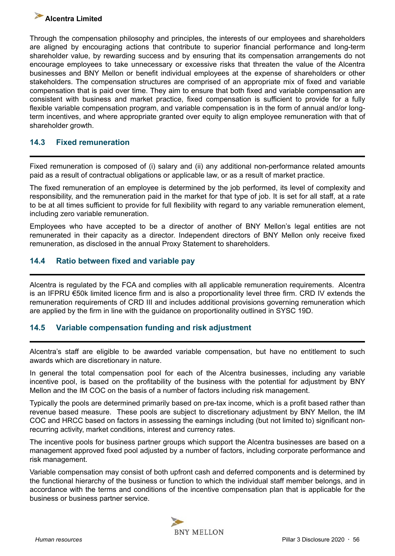### <span id="page-55-0"></span>**Alcentra Limited**

Through the compensation philosophy and principles, the interests of our employees and shareholders are aligned by encouraging actions that contribute to superior financial performance and long-term shareholder value, by rewarding success and by ensuring that its compensation arrangements do not encourage employees to take unnecessary or excessive risks that threaten the value of the Alcentra businesses and BNY Mellon or benefit individual employees at the expense of shareholders or other stakeholders. The compensation structures are comprised of an appropriate mix of fixed and variable compensation that is paid over time. They aim to ensure that both fixed and variable compensation are consistent with business and market practice, fixed compensation is sufficient to provide for a fully flexible variable compensation program, and variable compensation is in the form of annual and/or longterm incentives, and where appropriate granted over equity to align employee remuneration with that of shareholder growth.

### **14.3 Fixed remuneration**

Fixed remuneration is composed of (i) salary and (ii) any additional non-performance related amounts paid as a result of contractual obligations or applicable law, or as a result of market practice.

The fixed remuneration of an employee is determined by the job performed, its level of complexity and responsibility, and the remuneration paid in the market for that type of job. It is set for all staff, at a rate to be at all times sufficient to provide for full flexibility with regard to any variable remuneration element, including zero variable remuneration.

Employees who have accepted to be a director of another of BNY Mellon's legal entities are not remunerated in their capacity as a director. Independent directors of BNY Mellon only receive fixed remuneration, as disclosed in the annual Proxy Statement to shareholders.

### **14.4 Ratio between fixed and variable pay**

Alcentra is regulated by the FCA and complies with all applicable remuneration requirements. Alcentra is an IFPRU €50k limited licence firm and is also a proportionality level three firm. CRD IV extends the remuneration requirements of CRD III and includes additional provisions governing remuneration which are applied by the firm in line with the guidance on proportionality outlined in SYSC 19D.

### **14.5 Variable compensation funding and risk adjustment**

Alcentra's staff are eligible to be awarded variable compensation, but have no entitlement to such awards which are discretionary in nature.

In general the total compensation pool for each of the Alcentra businesses, including any variable incentive pool, is based on the profitability of the business with the potential for adjustment by BNY Mellon and the IM COC on the basis of a number of factors including risk management.

Typically the pools are determined primarily based on pre-tax income, which is a profit based rather than revenue based measure. These pools are subject to discretionary adjustment by BNY Mellon, the IM COC and HRCC based on factors in assessing the earnings including (but not limited to) significant nonrecurring activity, market conditions, interest and currency rates.

The incentive pools for business partner groups which support the Alcentra businesses are based on a management approved fixed pool adjusted by a number of factors, including corporate performance and risk management.

Variable compensation may consist of both upfront cash and deferred components and is determined by the functional hierarchy of the business or function to which the individual staff member belongs, and in accordance with the terms and conditions of the incentive compensation plan that is applicable for the business or business partner service.

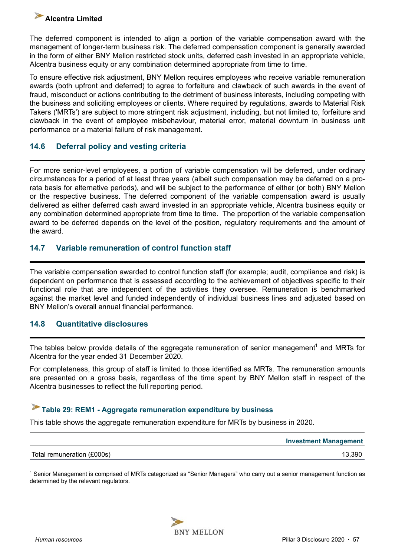### <span id="page-56-0"></span>**Alcentra Limited**

The deferred component is intended to align a portion of the variable compensation award with the management of longer-term business risk. The deferred compensation component is generally awarded in the form of either BNY Mellon restricted stock units, deferred cash invested in an appropriate vehicle, Alcentra business equity or any combination determined appropriate from time to time.

To ensure effective risk adjustment, BNY Mellon requires employees who receive variable remuneration awards (both upfront and deferred) to agree to forfeiture and clawback of such awards in the event of fraud, misconduct or actions contributing to the detriment of business interests, including competing with the business and soliciting employees or clients. Where required by regulations, awards to Material Risk Takers ('MRTs') are subject to more stringent risk adjustment, including, but not limited to, forfeiture and clawback in the event of employee misbehaviour, material error, material downturn in business unit performance or a material failure of risk management.

### **14.6 Deferral policy and vesting criteria**

For more senior-level employees, a portion of variable compensation will be deferred, under ordinary circumstances for a period of at least three years (albeit such compensation may be deferred on a prorata basis for alternative periods), and will be subject to the performance of either (or both) BNY Mellon or the respective business. The deferred component of the variable compensation award is usually delivered as either deferred cash award invested in an appropriate vehicle, Alcentra business equity or any combination determined appropriate from time to time. The proportion of the variable compensation award to be deferred depends on the level of the position, regulatory requirements and the amount of the award.

### **14.7 Variable remuneration of control function staff**

The variable compensation awarded to control function staff (for example; audit, compliance and risk) is dependent on performance that is assessed according to the achievement of objectives specific to their functional role that are independent of the activities they oversee. Remuneration is benchmarked against the market level and funded independently of individual business lines and adjusted based on BNY Mellon's overall annual financial performance.

### **14.8 Quantitative disclosures**

The tables below provide details of the aggregate remuneration of senior management<sup>1</sup> and MRTs for Alcentra for the year ended 31 December 2020.

For completeness, this group of staff is limited to those identified as MRTs. The remuneration amounts are presented on a gross basis, regardless of the time spent by BNY Mellon staff in respect of the Alcentra businesses to reflect the full reporting period.

### **Table 29: REM1 - Aggregate remuneration expenditure by business**

This table shows the aggregate remuneration expenditure for MRTs by business in 2020.

|                            | <b>Investment Management</b> |
|----------------------------|------------------------------|
| Total remuneration (£000s) | 13.390                       |

<sup>1</sup> Senior Management is comprised of MRTs categorized as "Senior Managers" who carry out a senior management function as determined by the relevant regulators.

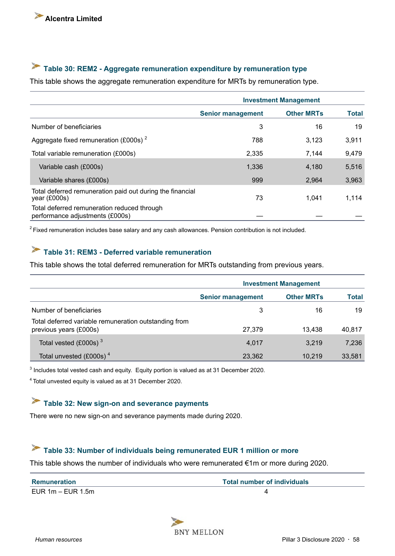#### <span id="page-57-0"></span>S **Table 30: REM2 - Aggregate remuneration expenditure by remuneration type**

This table shows the aggregate remuneration expenditure for MRTs by remuneration type.

|                                                                                | <b>Investment Management</b> |                   |              |  |
|--------------------------------------------------------------------------------|------------------------------|-------------------|--------------|--|
|                                                                                | <b>Senior management</b>     | <b>Other MRTs</b> | <b>Total</b> |  |
| Number of beneficiaries                                                        | 3                            | 16                | 19           |  |
| Aggregate fixed remuneration (£000s) <sup>2</sup>                              | 788                          | 3,123             | 3,911        |  |
| Total variable remuneration (£000s)                                            | 2,335                        | 7.144             | 9,479        |  |
| Variable cash (£000s)                                                          | 1,336                        | 4.180             | 5,516        |  |
| Variable shares (£000s)                                                        | 999                          | 2,964             | 3,963        |  |
| Total deferred remuneration paid out during the financial<br>year (£000s)      | 73                           | 1.041             | 1,114        |  |
| Total deferred remuneration reduced through<br>performance adjustments (£000s) |                              |                   |              |  |

 $2$ Fixed remuneration includes base salary and any cash allowances. Pension contribution is not included.

### **Table 31: REM3 - Deferred variable remuneration**

This table shows the total deferred remuneration for MRTs outstanding from previous years.

|                                                                                 |                          | <b>Investment Management</b> |              |
|---------------------------------------------------------------------------------|--------------------------|------------------------------|--------------|
|                                                                                 | <b>Senior management</b> | <b>Other MRTs</b>            | <b>Total</b> |
| Number of beneficiaries                                                         | 3                        | 16                           | 19           |
| Total deferred variable remuneration outstanding from<br>previous years (£000s) | 27,379                   | 13.438                       | 40,817       |
| Total vested $(£000s)$ <sup>3</sup>                                             | 4,017                    | 3.219                        | 7,236        |
| Total unvested (£000s) <sup>4</sup>                                             | 23,362                   | 10.219                       | 33,581       |

 $3$  Includes total vested cash and equity. Equity portion is valued as at 31 December 2020.

<sup>4</sup>Total unvested equity is valued as at 31 December 2020.

### **Table 32: New sign-on and severance payments**

There were no new sign-on and severance payments made during 2020.

### **Table 33: Number of individuals being remunerated EUR 1 million or more**

This table shows the number of individuals who were remunerated €1m or more during 2020.

| Remuneration        | Total number of individuals |
|---------------------|-----------------------------|
| EUR $1m - EUR$ 1.5m |                             |

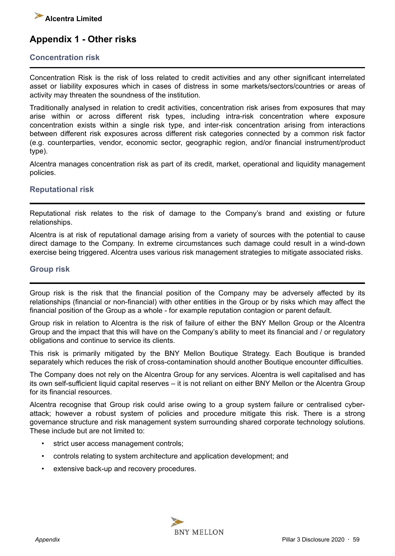

### **Appendix 1 - Other risks**

#### **Concentration risk**

Concentration Risk is the risk of loss related to credit activities and any other significant interrelated asset or liability exposures which in cases of distress in some markets/sectors/countries or areas of activity may threaten the soundness of the institution.

Traditionally analysed in relation to credit activities, concentration risk arises from exposures that may arise within or across different risk types, including intra-risk concentration where exposure concentration exists within a single risk type, and inter-risk concentration arising from interactions between different risk exposures across different risk categories connected by a common risk factor (e.g. counterparties, vendor, economic sector, geographic region, and/or financial instrument/product type).

Alcentra manages concentration risk as part of its credit, market, operational and liquidity management policies.

#### **Reputational risk**

Reputational risk relates to the risk of damage to the Company's brand and existing or future relationships.

Alcentra is at risk of reputational damage arising from a variety of sources with the potential to cause direct damage to the Company. In extreme circumstances such damage could result in a wind-down exercise being triggered. Alcentra uses various risk management strategies to mitigate associated risks.

#### **Group risk**

Group risk is the risk that the financial position of the Company may be adversely affected by its relationships (financial or non-financial) with other entities in the Group or by risks which may affect the financial position of the Group as a whole - for example reputation contagion or parent default.

Group risk in relation to Alcentra is the risk of failure of either the BNY Mellon Group or the Alcentra Group and the impact that this will have on the Company's ability to meet its financial and / or regulatory obligations and continue to service its clients.

This risk is primarily mitigated by the BNY Mellon Boutique Strategy. Each Boutique is branded separately which reduces the risk of cross-contamination should another Boutique encounter difficulties.

The Company does not rely on the Alcentra Group for any services. Alcentra is well capitalised and has its own self-sufficient liquid capital reserves – it is not reliant on either BNY Mellon or the Alcentra Group for its financial resources.

Alcentra recognise that Group risk could arise owing to a group system failure or centralised cyberattack; however a robust system of policies and procedure mitigate this risk. There is a strong governance structure and risk management system surrounding shared corporate technology solutions. These include but are not limited to:

- strict user access management controls;
- controls relating to system architecture and application development; and
- extensive back-up and recovery procedures.

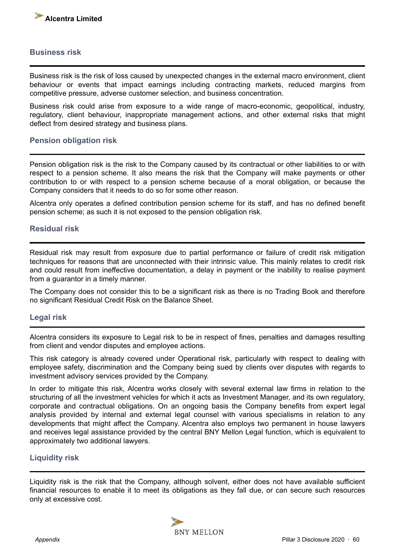

#### **Business risk**

Business risk is the risk of loss caused by unexpected changes in the external macro environment, client behaviour or events that impact earnings including contracting markets, reduced margins from competitive pressure, adverse customer selection, and business concentration.

Business risk could arise from exposure to a wide range of macro-economic, geopolitical, industry, regulatory, client behaviour, inappropriate management actions, and other external risks that might deflect from desired strategy and business plans.

#### **Pension obligation risk**

Pension obligation risk is the risk to the Company caused by its contractual or other liabilities to or with respect to a pension scheme. It also means the risk that the Company will make payments or other contribution to or with respect to a pension scheme because of a moral obligation, or because the Company considers that it needs to do so for some other reason.

Alcentra only operates a defined contribution pension scheme for its staff, and has no defined benefit pension scheme; as such it is not exposed to the pension obligation risk.

#### **Residual risk**

Residual risk may result from exposure due to partial performance or failure of credit risk mitigation techniques for reasons that are unconnected with their intrinsic value. This mainly relates to credit risk and could result from ineffective documentation, a delay in payment or the inability to realise payment from a guarantor in a timely manner.

The Company does not consider this to be a significant risk as there is no Trading Book and therefore no significant Residual Credit Risk on the Balance Sheet.

#### **Legal risk**

Alcentra considers its exposure to Legal risk to be in respect of fines, penalties and damages resulting from client and vendor disputes and employee actions.

This risk category is already covered under Operational risk, particularly with respect to dealing with employee safety, discrimination and the Company being sued by clients over disputes with regards to investment advisory services provided by the Company.

In order to mitigate this risk, Alcentra works closely with several external law firms in relation to the structuring of all the investment vehicles for which it acts as Investment Manager, and its own regulatory, corporate and contractual obligations. On an ongoing basis the Company benefits from expert legal analysis provided by internal and external legal counsel with various specialisms in relation to any developments that might affect the Company. Alcentra also employs two permanent in house lawyers and receives legal assistance provided by the central BNY Mellon Legal function, which is equivalent to approximately two additional lawyers.

#### **Liquidity risk**

Liquidity risk is the risk that the Company, although solvent, either does not have available sufficient financial resources to enable it to meet its obligations as they fall due, or can secure such resources only at excessive cost.

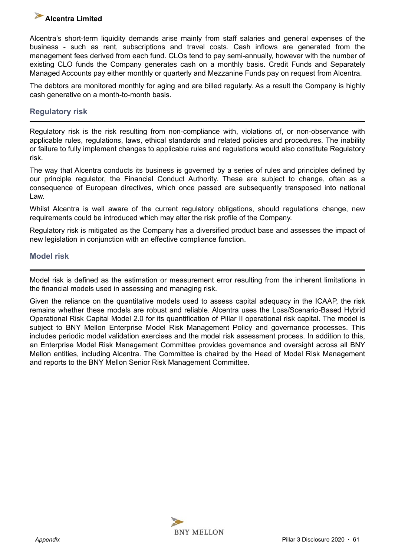### **Alcentra Limited**

Alcentra's short-term liquidity demands arise mainly from staff salaries and general expenses of the business - such as rent, subscriptions and travel costs. Cash inflows are generated from the management fees derived from each fund. CLOs tend to pay semi-annually, however with the number of existing CLO funds the Company generates cash on a monthly basis. Credit Funds and Separately Managed Accounts pay either monthly or quarterly and Mezzanine Funds pay on request from Alcentra.

The debtors are monitored monthly for aging and are billed regularly. As a result the Company is highly cash generative on a month-to-month basis.

### **Regulatory risk**

Regulatory risk is the risk resulting from non-compliance with, violations of, or non-observance with applicable rules, regulations, laws, ethical standards and related policies and procedures. The inability or failure to fully implement changes to applicable rules and regulations would also constitute Regulatory risk.

The way that Alcentra conducts its business is governed by a series of rules and principles defined by our principle regulator, the Financial Conduct Authority. These are subject to change, often as a consequence of European directives, which once passed are subsequently transposed into national Law.

Whilst Alcentra is well aware of the current regulatory obligations, should regulations change, new requirements could be introduced which may alter the risk profile of the Company.

Regulatory risk is mitigated as the Company has a diversified product base and assesses the impact of new legislation in conjunction with an effective compliance function.

### **Model risk**

Model risk is defined as the estimation or measurement error resulting from the inherent limitations in the financial models used in assessing and managing risk.

Given the reliance on the quantitative models used to assess capital adequacy in the ICAAP, the risk remains whether these models are robust and reliable. Alcentra uses the Loss/Scenario-Based Hybrid Operational Risk Capital Model 2.0 for its quantification of Pillar II operational risk capital. The model is subject to BNY Mellon Enterprise Model Risk Management Policy and governance processes. This includes periodic model validation exercises and the model risk assessment process. In addition to this, an Enterprise Model Risk Management Committee provides governance and oversight across all BNY Mellon entities, including Alcentra. The Committee is chaired by the Head of Model Risk Management and reports to the BNY Mellon Senior Risk Management Committee.

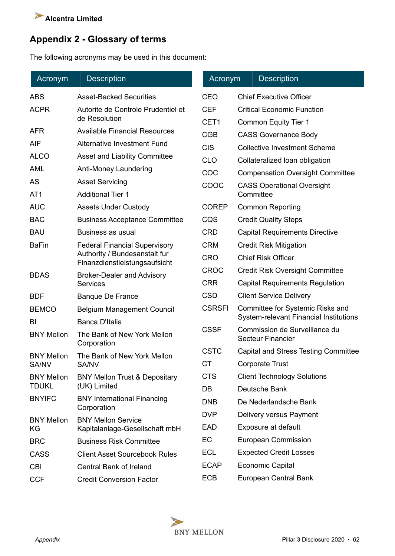

### **Appendix 2 - Glossary of terms**

The following acronyms may be used in this document:

| Acronym           | <b>Description</b>                                             | Acronym       | <b>Description</b>                                        |
|-------------------|----------------------------------------------------------------|---------------|-----------------------------------------------------------|
| <b>ABS</b>        | <b>Asset-Backed Securities</b>                                 | <b>CEO</b>    | <b>Chief Executive Officer</b>                            |
| <b>ACPR</b>       | Autorite de Controle Prudentiel et                             | <b>CEF</b>    | <b>Critical Economic Function</b>                         |
|                   | de Resolution                                                  | CET1          | Common Equity Tier 1                                      |
| <b>AFR</b>        | <b>Available Financial Resources</b>                           | <b>CGB</b>    | <b>CASS Governance Body</b>                               |
| <b>AIF</b>        | <b>Alternative Investment Fund</b>                             | <b>CIS</b>    | <b>Collective Investment Scheme</b>                       |
| <b>ALCO</b>       | <b>Asset and Liability Committee</b>                           | <b>CLO</b>    | Collateralized loan obligation                            |
| <b>AML</b>        | Anti-Money Laundering                                          | COC           | <b>Compensation Oversight Committee</b>                   |
| AS                | <b>Asset Servicing</b>                                         | COOC          | <b>CASS Operational Oversight</b>                         |
| AT <sub>1</sub>   | <b>Additional Tier 1</b>                                       |               | Committee                                                 |
| <b>AUC</b>        | <b>Assets Under Custody</b>                                    | <b>COREP</b>  | <b>Common Reporting</b>                                   |
| <b>BAC</b>        | <b>Business Acceptance Committee</b>                           | CQS           | <b>Credit Quality Steps</b>                               |
| <b>BAU</b>        | Business as usual                                              | <b>CRD</b>    | <b>Capital Requirements Directive</b>                     |
| <b>BaFin</b>      | <b>Federal Financial Supervisory</b>                           | <b>CRM</b>    | <b>Credit Risk Mitigation</b>                             |
|                   | Authority / Bundesanstalt fur<br>Finanzdienstleistungsaufsicht | <b>CRO</b>    | <b>Chief Risk Officer</b>                                 |
| <b>BDAS</b>       | <b>Broker-Dealer and Advisory</b>                              | <b>CROC</b>   | <b>Credit Risk Oversight Committee</b>                    |
|                   | <b>Services</b>                                                | <b>CRR</b>    | <b>Capital Requirements Regulation</b>                    |
| <b>BDF</b>        | <b>Banque De France</b>                                        | <b>CSD</b>    | <b>Client Service Delivery</b>                            |
| <b>BEMCO</b>      | <b>Belgium Management Council</b>                              | <b>CSRSFI</b> | Committee for Systemic Risks and                          |
| BI                | Banca D'Italia                                                 |               | System-relevant Financial Institutions                    |
| <b>BNY Mellon</b> | The Bank of New York Mellon<br>Corporation                     | <b>CSSF</b>   | Commission de Surveillance du<br><b>Secteur Financier</b> |
| <b>BNY Mellon</b> | The Bank of New York Mellon                                    | <b>CSTC</b>   | <b>Capital and Stress Testing Committee</b>               |
| SA/NV             | SA/NV                                                          | <b>CT</b>     | <b>Corporate Trust</b>                                    |
| <b>BNY Mellon</b> | <b>BNY Mellon Trust &amp; Depositary</b>                       | <b>CTS</b>    | <b>Client Technology Solutions</b>                        |
| <b>TDUKL</b>      | (UK) Limited                                                   | DB            | Deutsche Bank                                             |
| <b>BNYIFC</b>     | <b>BNY International Financing</b><br>Corporation              | <b>DNB</b>    | De Nederlandsche Bank                                     |
| <b>BNY Mellon</b> | <b>BNY Mellon Service</b>                                      | <b>DVP</b>    | Delivery versus Payment                                   |
| KG                | Kapitalanlage-Gesellschaft mbH                                 | EAD           | Exposure at default                                       |
| <b>BRC</b>        | <b>Business Risk Committee</b>                                 | EC            | <b>European Commission</b>                                |
| <b>CASS</b>       | <b>Client Asset Sourcebook Rules</b>                           | <b>ECL</b>    | <b>Expected Credit Losses</b>                             |
| <b>CBI</b>        | <b>Central Bank of Ireland</b>                                 | <b>ECAP</b>   | <b>Economic Capital</b>                                   |
| <b>CCF</b>        | <b>Credit Conversion Factor</b>                                | <b>ECB</b>    | <b>European Central Bank</b>                              |

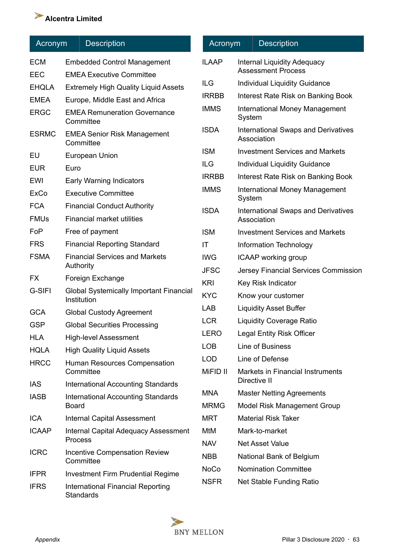# **Alcentra Limited**

| Acronym      | <b>Description</b>                                            | Α                        |
|--------------|---------------------------------------------------------------|--------------------------|
| <b>ECM</b>   | <b>Embedded Control Management</b>                            | ILA                      |
| EEC          | <b>EMEA Executive Committee</b>                               |                          |
| <b>EHQLA</b> | <b>Extremely High Quality Liquid Assets</b>                   | <b>ILG</b>               |
| <b>EMEA</b>  | Europe, Middle East and Africa                                | <b>IRR</b>               |
| <b>ERGC</b>  | <b>EMEA Remuneration Governance</b><br>Committee              | <b>IMN</b>               |
| <b>ESRMC</b> | <b>EMEA Senior Risk Management</b><br>Committee               | <b>ISD</b>               |
| EU           | European Union                                                | <b>ISM</b>               |
| <b>EUR</b>   | Euro                                                          | <b>ILG</b>               |
| EWI          | <b>Early Warning Indicators</b>                               | <b>IRR</b>               |
| ExCo         | <b>Executive Committee</b>                                    | <b>IMN</b>               |
| <b>FCA</b>   | <b>Financial Conduct Authority</b>                            | ISD.                     |
| <b>FMUs</b>  | <b>Financial market utilities</b>                             |                          |
| FoP          | Free of payment                                               | <b>ISM</b>               |
| <b>FRS</b>   | <b>Financial Reporting Standard</b>                           | ΙT                       |
| <b>FSMA</b>  | <b>Financial Services and Markets</b><br>Authority            | <b>IWC</b><br><b>JFS</b> |
| <b>FX</b>    | Foreign Exchange                                              | <b>KRI</b>               |
| G-SIFI       | <b>Global Systemically Important Financial</b><br>Institution | KY <sub>C</sub>          |
| <b>GCA</b>   | <b>Global Custody Agreement</b>                               | LAB                      |
| <b>GSP</b>   | <b>Global Securities Processing</b>                           | <b>LCF</b>               |
| <b>HLA</b>   | <b>High-level Assessment</b>                                  | LEF                      |
| <b>HQLA</b>  | <b>High Quality Liquid Assets</b>                             | <b>LOE</b>               |
| <b>HRCC</b>  | Human Resources Compensation<br>Committee                     | LOD<br>MiF               |
| <b>IAS</b>   | <b>International Accounting Standards</b>                     |                          |
| <b>IASB</b>  | <b>International Accounting Standards</b><br><b>Board</b>     | MN,<br><b>MRI</b>        |
| <b>ICA</b>   | <b>Internal Capital Assessment</b>                            | MR <sup>-</sup>          |
| <b>ICAAP</b> | <b>Internal Capital Adequacy Assessment</b><br>Process        | MtM<br><b>NAV</b>        |
| <b>ICRC</b>  | <b>Incentive Compensation Review</b><br>Committee             | <b>NBE</b>               |
| <b>IFPR</b>  | <b>Investment Firm Prudential Regime</b>                      | NoC                      |
| <b>IFRS</b>  | <b>International Financial Reporting</b><br>Standards         | <b>NSF</b>               |

| <b>Acronym</b> |        | <b>Description</b>                                              |
|----------------|--------|-----------------------------------------------------------------|
| <b>ILAAP</b>   |        | <b>Internal Liquidity Adequacy</b><br><b>Assessment Process</b> |
| ILG            |        | <b>Individual Liquidity Guidance</b>                            |
| <b>IRRBB</b>   |        | Interest Rate Risk on Banking Book                              |
| <b>IMMS</b>    | System | <b>International Money Management</b>                           |
| <b>ISDA</b>    |        | <b>International Swaps and Derivatives</b><br>Association       |
| <b>ISM</b>     |        | <b>Investment Services and Markets</b>                          |
| <b>ILG</b>     |        | <b>Individual Liquidity Guidance</b>                            |
| <b>IRRBB</b>   |        | Interest Rate Risk on Banking Book                              |
| <b>IMMS</b>    | System | <b>International Money Management</b>                           |
| <b>ISDA</b>    |        | <b>International Swaps and Derivatives</b><br>Association       |
| <b>ISM</b>     |        | <b>Investment Services and Markets</b>                          |
| IT             |        | Information Technology                                          |
| <b>IWG</b>     |        | <b>ICAAP</b> working group                                      |
| <b>JFSC</b>    |        | <b>Jersey Financial Services Commission</b>                     |
| <b>KRI</b>     |        | Key Risk Indicator                                              |
| <b>KYC</b>     |        | Know your customer                                              |
| <b>LAB</b>     |        | <b>Liquidity Asset Buffer</b>                                   |
| <b>LCR</b>     |        | <b>Liquidity Coverage Ratio</b>                                 |
| <b>LERO</b>    |        | <b>Legal Entity Risk Officer</b>                                |
| <b>LOB</b>     |        | Line of Business                                                |
| <b>LOD</b>     |        | Line of Defense                                                 |
| MiFID II       |        | <b>Markets in Financial Instruments</b><br>Directive II         |
| <b>MNA</b>     |        | <b>Master Netting Agreements</b>                                |
| <b>MRMG</b>    |        | <b>Model Risk Management Group</b>                              |
| MRT            |        | <b>Material Risk Taker</b>                                      |
| MtM            |        | Mark-to-market                                                  |
| <b>NAV</b>     |        | <b>Net Asset Value</b>                                          |
| <b>NBB</b>     |        | National Bank of Belgium                                        |
| <b>NoCo</b>    |        | <b>Nomination Committee</b>                                     |
| NSFR           |        | Net Stable Funding Ratio                                        |

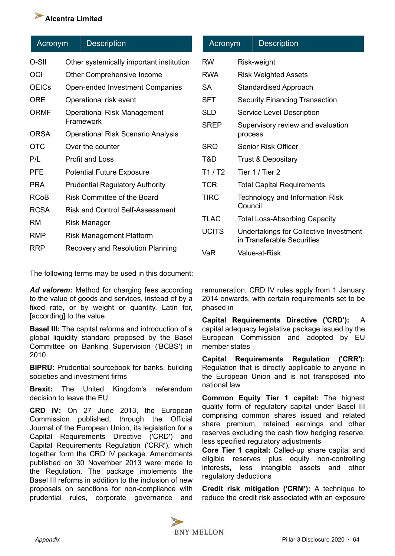### **Alcentra Limited**

| Acronym      |                                                 | <b>Description</b>                       |
|--------------|-------------------------------------------------|------------------------------------------|
| O-SII        |                                                 | Other systemically important institution |
| OCI          |                                                 | Other Comprehensive Income               |
| <b>OEICs</b> |                                                 | Open-ended Investment Companies          |
| ORE          |                                                 | Operational risk event                   |
| ORMF         | <b>Operational Risk Management</b><br>Framework |                                          |
| ORSA         |                                                 | Operational Risk Scenario Analysis       |
| <b>OTC</b>   |                                                 | Over the counter                         |
| P/L          |                                                 | Profit and Loss                          |
| <b>PFE</b>   |                                                 | <b>Potential Future Exposure</b>         |
| PRA          |                                                 | <b>Prudential Regulatory Authority</b>   |
| RCoB         |                                                 | Risk Committee of the Board              |
| <b>RCSA</b>  |                                                 | Risk and Control Self-Assessment         |
| RM           |                                                 | Risk Manager                             |
| <b>RMP</b>   |                                                 | <b>Risk Management Platform</b>          |
| RRP          |                                                 | Recovery and Resolution Planning         |

The following terms may be used in this document:

Ad valorem: Method for charging fees according to the value of goods and services, instead of by a fixed rate, or by weight or quantity. Latin for, [according] to the value

**Basel III:** The capital reforms and introduction of a global liquidity standard proposed by the Basel Committee on Banking Supervision ('BCBS') in 2010

**BIPRU:** Prudential sourcebook for banks, building societies and investment firms

**Brexit:** The United Kingdom's referendum decision to leave the EU

**CRD IV:** On 27 June 2013, the European Commission published, through the Official Journal of the European Union, its legislation for a Capital Requirements Directive ('CRD') and Capital Requirements Regulation ('CRR'), which together form the CRD IV package. Amendments published on 30 November 2013 were made to the Regulation. The package implements the Basel III reforms in addition to the inclusion of new proposals on sanctions for non-compliance with prudential rules, corporate governance and

| Acronym      |         | <b>Description</b>                                                   |
|--------------|---------|----------------------------------------------------------------------|
| <b>RW</b>    |         | Risk-weight                                                          |
| <b>RWA</b>   |         | <b>Risk Weighted Assets</b>                                          |
| SA           |         | Standardised Approach                                                |
| <b>SFT</b>   |         | <b>Security Financing Transaction</b>                                |
| SLD          |         | Service Level Description                                            |
| <b>SREP</b>  | process | Supervisory review and evaluation                                    |
| <b>SRO</b>   |         | Senior Risk Officer                                                  |
| T&D          |         | <b>Trust &amp; Depositary</b>                                        |
| T1/ T2       |         | Tier 1 / Tier 2                                                      |
| <b>TCR</b>   |         | <b>Total Capital Requirements</b>                                    |
| TIRC         | Council | Technology and Information Risk                                      |
| TLAC         |         | <b>Total Loss-Absorbing Capacity</b>                                 |
| <b>UCITS</b> |         | Undertakings for Collective Investment<br>in Transferable Securities |
| VaR          |         | Value-at-Risk                                                        |

remuneration. CRD IV rules apply from 1 January 2014 onwards, with certain requirements set to be phased in

**Capital Requirements Directive ('CRD'):** A capital adequacy legislative package issued by the European Commission and adopted by EU member states

**Capital Requirements Regulation ('CRR'):** Regulation that is directly applicable to anyone in the European Union and is not transposed into national law

**Common Equity Tier 1 capital:** The highest quality form of regulatory capital under Basel III comprising common shares issued and related share premium, retained earnings and other reserves excluding the cash flow hedging reserve, less specified regulatory adjustments

**Core Tier 1 capital:** Called-up share capital and eligible reserves plus equity non-controlling interests, less intangible assets and other regulatory deductions

**Credit risk mitigation ('CRM'):** A technique to reduce the credit risk associated with an exposure

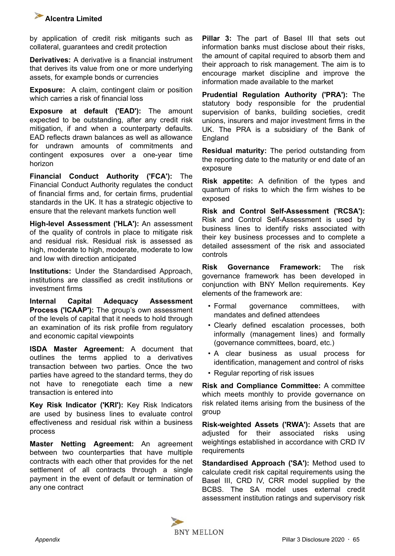

by application of credit risk mitigants such as collateral, guarantees and credit protection

**Derivatives:** A derivative is a financial instrument that derives its value from one or more underlying assets, for example bonds or currencies

**Exposure:** A claim, contingent claim or position which carries a risk of financial loss

**Exposure at default ('EAD'):** The amount expected to be outstanding, after any credit risk mitigation, if and when a counterparty defaults. EAD reflects drawn balances as well as allowance for undrawn amounts of commitments and contingent exposures over a one-year time horizon

**Financial Conduct Authority ('FCA'):** The Financial Conduct Authority regulates the conduct of financial firms and, for certain firms, prudential standards in the UK. It has a strategic objective to ensure that the relevant markets function well

**High-level Assessment ('HLA'):** An assessment of the quality of controls in place to mitigate risk and residual risk. Residual risk is assessed as high, moderate to high, moderate, moderate to low and low with direction anticipated

**Institutions:** Under the Standardised Approach, institutions are classified as credit institutions or investment firms

**Internal Capital Adequacy Assessment Process ('ICAAP'):** The group's own assessment of the levels of capital that it needs to hold through an examination of its risk profile from regulatory and economic capital viewpoints

**ISDA Master Agreement:** A document that outlines the terms applied to a derivatives transaction between two parties. Once the two parties have agreed to the standard terms, they do not have to renegotiate each time a new transaction is entered into

**Key Risk Indicator ('KRI'):** Key Risk Indicators are used by business lines to evaluate control effectiveness and residual risk within a business process

**Master Netting Agreement:** An agreement between two counterparties that have multiple contracts with each other that provides for the net settlement of all contracts through a single payment in the event of default or termination of any one contract

**Pillar 3:** The part of Basel III that sets out information banks must disclose about their risks, the amount of capital required to absorb them and their approach to risk management. The aim is to encourage market discipline and improve the information made available to the market

**Prudential Regulation Authority ('PRA'):** The statutory body responsible for the prudential supervision of banks, building societies, credit unions, insurers and major investment firms in the UK. The PRA is a subsidiary of the Bank of **England** 

**Residual maturity:** The period outstanding from the reporting date to the maturity or end date of an exposure

**Risk appetite:** A definition of the types and quantum of risks to which the firm wishes to be exposed

**Risk and Control Self-Assessment ('RCSA'):**  Risk and Control Self-Assessment is used by business lines to identify risks associated with their key business processes and to complete a detailed assessment of the risk and associated controls

**Risk Governance Framework:** The risk governance framework has been developed in conjunction with BNY Mellon requirements. Key elements of the framework are:

- Formal governance committees, with mandates and defined attendees
- Clearly defined escalation processes, both informally (management lines) and formally (governance committees, board, etc.)
- A clear business as usual process for identification, management and control of risks
- Regular reporting of risk issues

**Risk and Compliance Committee:** A committee which meets monthly to provide governance on risk related items arising from the business of the group

**Risk-weighted Assets ('RWA'):** Assets that are adjusted for their associated risks using weightings established in accordance with CRD IV **requirements** 

**Standardised Approach ('SA'):** Method used to calculate credit risk capital requirements using the Basel III, CRD IV, CRR model supplied by the BCBS. The SA model uses external credit assessment institution ratings and supervisory risk

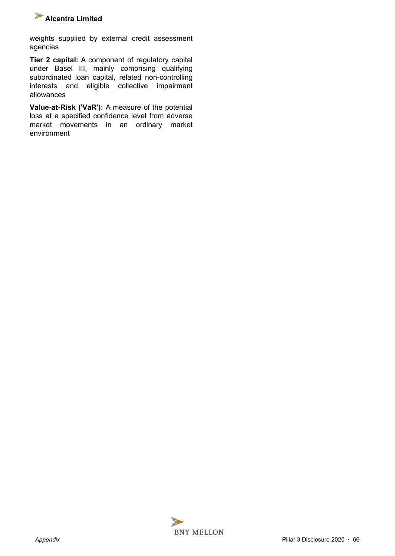

weights supplied by external credit assessment agencies

**Tier 2 capital:** A component of regulatory capital under Basel III, mainly comprising qualifying subordinated loan capital, related non-controlling interests and eligible collective impairment allowances

**Value-at-Risk ('VaR'):** A measure of the potential loss at a specified confidence level from adverse market movements in an ordinary market environment

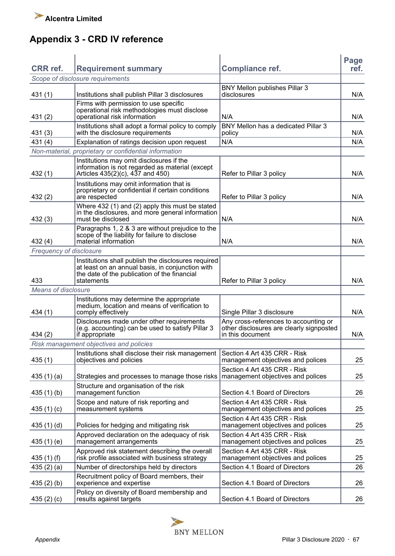# **Appendix 3 - CRD IV reference**

| <b>CRR</b> ref.            | <b>Requirement summary</b>                                                                              | <b>Compliance ref.</b>                                              | Page<br>ref. |
|----------------------------|---------------------------------------------------------------------------------------------------------|---------------------------------------------------------------------|--------------|
|                            | Scope of disclosure requirements                                                                        |                                                                     |              |
|                            |                                                                                                         | BNY Mellon publishes Pillar 3                                       |              |
| 431 (1)                    | Institutions shall publish Pillar 3 disclosures                                                         | disclosures                                                         | N/A          |
|                            | Firms with permission to use specific                                                                   |                                                                     |              |
| 431(2)                     | operational risk methodologies must disclose<br>operational risk information                            | N/A                                                                 | N/A          |
|                            | Institutions shall adopt a formal policy to comply                                                      | BNY Mellon has a dedicated Pillar 3                                 |              |
| 431(3)                     | with the disclosure requirements                                                                        | policy                                                              | N/A          |
| 431(4)                     | Explanation of ratings decision upon request                                                            | N/A                                                                 | N/A          |
|                            | Non-material, proprietary or confidential information                                                   |                                                                     |              |
|                            | Institutions may omit disclosures if the                                                                |                                                                     |              |
| 432 (1)                    | information is not regarded as material (except<br>Articles 435(2)(c), 437 and 450)                     | Refer to Pillar 3 policy                                            | N/A          |
|                            | Institutions may omit information that is                                                               |                                                                     |              |
|                            | proprietary or confidential if certain conditions                                                       |                                                                     |              |
| 432(2)                     | are respected                                                                                           | Refer to Pillar 3 policy                                            | N/A          |
|                            | Where 432 (1) and (2) apply this must be stated<br>in the disclosures, and more general information     |                                                                     |              |
| 432(3)                     | must be disclosed                                                                                       | N/A                                                                 | N/A          |
|                            | Paragraphs 1, 2 & 3 are without prejudice to the                                                        |                                                                     |              |
|                            | scope of the liability for failure to disclose<br>material information                                  | N/A                                                                 | N/A          |
| 432 (4)                    |                                                                                                         |                                                                     |              |
| Frequency of disclosure    |                                                                                                         |                                                                     |              |
|                            | Institutions shall publish the disclosures required<br>at least on an annual basis, in conjunction with |                                                                     |              |
|                            | the date of the publication of the financial                                                            |                                                                     |              |
| 433                        | statements                                                                                              | Refer to Pillar 3 policy                                            | N/A          |
| <b>Means of disclosure</b> |                                                                                                         |                                                                     |              |
|                            | Institutions may determine the appropriate<br>medium, location and means of verification to             |                                                                     |              |
| 434 (1)                    | comply effectively                                                                                      | Single Pillar 3 disclosure                                          | N/A          |
|                            | Disclosures made under other requirements                                                               | Any cross-references to accounting or                               |              |
| 434 (2)                    | (e.g. accounting) can be used to satisfy Pillar 3<br>if appropriate                                     | other disclosures are clearly signposted<br>in this document        | N/A          |
|                            | Risk management objectives and policies                                                                 |                                                                     |              |
|                            | Institutions shall disclose their risk management                                                       | Section 4 Art 435 CRR - Risk                                        |              |
| 435(1)                     | objectives and policies                                                                                 | management objectives and polices                                   | 25           |
|                            |                                                                                                         | Section 4 Art 435 CRR - Risk                                        |              |
| 435 $(1)(a)$               | Strategies and processes to manage those risks                                                          | management objectives and polices                                   | 25           |
|                            | Structure and organisation of the risk                                                                  |                                                                     |              |
| 435(1)(b)                  | management function                                                                                     | Section 4.1 Board of Directors                                      | 26           |
| 435 $(1)(c)$               | Scope and nature of risk reporting and<br>measurement systems                                           | Section 4 Art 435 CRR - Risk<br>management objectives and polices   | 25           |
|                            |                                                                                                         | Section 4 Art 435 CRR - Risk                                        |              |
| 435(1)(d)                  | Policies for hedging and mitigating risk                                                                | management objectives and polices                                   | 25           |
|                            | Approved declaration on the adequacy of risk                                                            | Section 4 Art 435 CRR - Risk                                        |              |
| 435(1)(e)                  | management arrangements                                                                                 | management objectives and polices                                   | 25           |
|                            | Approved risk statement describing the overall                                                          | Section 4 Art 435 CRR - Risk                                        |              |
| 435 $(1)$ $(f)$            | risk profile associated with business strategy<br>Number of directorships held by directors             | management objectives and polices<br>Section 4.1 Board of Directors | 25<br>26     |
| 435 $(2)$ $(a)$            | Recruitment policy of Board members, their                                                              |                                                                     |              |
| 435(2)(b)                  | experience and expertise                                                                                | Section 4.1 Board of Directors                                      | 26           |
|                            | Policy on diversity of Board membership and                                                             |                                                                     |              |
| 435 $(2)$ $(c)$            | results against targets                                                                                 | Section 4.1 Board of Directors                                      | 26           |

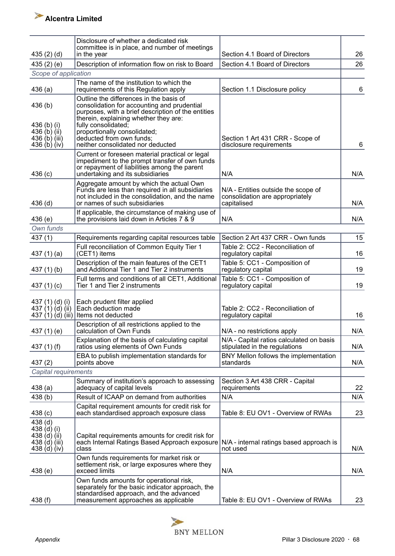| 435(2)(d)                                                                  | Disclosure of whether a dedicated risk<br>committee is in place, and number of meetings<br>in the year                                                                                                       | Section 4.1 Board of Directors                                                        | 26  |
|----------------------------------------------------------------------------|--------------------------------------------------------------------------------------------------------------------------------------------------------------------------------------------------------------|---------------------------------------------------------------------------------------|-----|
| 435 $(2)$ $(e)$                                                            | Description of information flow on risk to Board                                                                                                                                                             | Section 4.1 Board of Directors                                                        | 26  |
| Scope of application                                                       |                                                                                                                                                                                                              |                                                                                       |     |
| 436(a)                                                                     | The name of the institution to which the<br>requirements of this Regulation apply                                                                                                                            | Section 1.1 Disclosure policy                                                         | 6   |
| 436(b)<br>436 (b) (i)<br>436 $(b)$ $(ii)$                                  | Outline the differences in the basis of<br>consolidation for accounting and prudential<br>purposes, with a brief description of the entities<br>therein, explaining whether they are:<br>fully consolidated; |                                                                                       |     |
| 436 (b) (iii)<br>436 (b) (iv)                                              | proportionally consolidated;<br>deducted from own funds;<br>neither consolidated nor deducted                                                                                                                | Section 1 Art 431 CRR - Scope of<br>disclosure requirements                           | 6   |
| 436(c)                                                                     | Current or foreseen material practical or legal<br>impediment to the prompt transfer of own funds<br>or repayment of liabilities among the parent<br>undertaking and its subsidiaries                        | N/A                                                                                   | N/A |
| $436$ (d)                                                                  | Aggregate amount by which the actual Own<br>Funds are less than required in all subsidiaries<br>not included in the consolidation, and the name<br>or names of such subsidiaries                             | N/A - Entities outside the scope of<br>consolidation are appropriately<br>capitalised | N/A |
| 436(e)                                                                     | If applicable, the circumstance of making use of<br>the provisions laid down in Articles 7 & 9                                                                                                               | N/A                                                                                   | N/A |
| Own funds                                                                  |                                                                                                                                                                                                              |                                                                                       |     |
| 437(1)                                                                     | Requirements regarding capital resources table                                                                                                                                                               | Section 2 Art 437 CRR - Own funds                                                     | 15  |
| 437 $(1)(a)$                                                               | Full reconciliation of Common Equity Tier 1<br>(CET1) items                                                                                                                                                  | Table 2: CC2 - Reconciliation of<br>regulatory capital                                | 16  |
| 437 $(1)$ $(b)$                                                            | Description of the main features of the CET1<br>and Additional Tier 1 and Tier 2 instruments                                                                                                                 | Table 5: CC1 - Composition of<br>regulatory capital                                   | 19  |
| 437 $(1)(c)$                                                               | Full terms and conditions of all CET1, Additional<br>Tier 1 and Tier 2 instruments                                                                                                                           | Table 5: CC1 - Composition of<br>regulatory capital                                   | 19  |
| 437 (1) (d) (i)<br>437 $(1)(d)(ii)$                                        | Each prudent filter applied<br>Each deduction made<br>437 (1) (d) (iii) Items not deducted                                                                                                                   | Table 2: CC2 - Reconciliation of<br>regulatory capital                                | 16  |
| 437 (1) (e)                                                                | Description of all restrictions applied to the<br>calculation of Own Funds                                                                                                                                   | N/A - no restrictions apply                                                           | N/A |
| 437 $(1)$ $(f)$                                                            | Explanation of the basis of calculating capital<br>ratios using elements of Own Funds                                                                                                                        | N/A - Capital ratios calculated on basis<br>stipulated in the regulations             | N/A |
| 437(2)                                                                     | EBA to publish implementation standards for<br>points above                                                                                                                                                  | BNY Mellon follows the implementation<br>standards                                    | N/A |
| Capital requirements                                                       |                                                                                                                                                                                                              |                                                                                       |     |
| 438(a)                                                                     | Summary of institution's approach to assessing<br>adequacy of capital levels                                                                                                                                 | Section 3 Art 438 CRR - Capital<br>requirements                                       | 22  |
| 438(b)                                                                     | Result of ICAAP on demand from authorities                                                                                                                                                                   | N/A                                                                                   | N/A |
| 438 <sub>(c)</sub>                                                         | Capital requirement amounts for credit risk for<br>each standardised approach exposure class                                                                                                                 | Table 8: EU OV1 - Overview of RWAs                                                    | 23  |
| $438$ (d)<br>438 (d) (i)<br>438 (d) (ii)<br>438 (d) (iii)<br>438 $(d)(iv)$ | Capital requirements amounts for credit risk for<br>each Internal Ratings Based Approach exposure<br>class                                                                                                   | N/A - internal ratings based approach is<br>not used                                  | N/A |
| 438(e)                                                                     | Own funds requirements for market risk or<br>settlement risk, or large exposures where they<br>exceed limits                                                                                                 | N/A                                                                                   | N/A |
|                                                                            | Own funds amounts for operational risk,<br>separately for the basic indicator approach, the<br>standardised approach, and the advanced                                                                       |                                                                                       |     |
| 438 (f)                                                                    | measurement approaches as applicable                                                                                                                                                                         | Table 8: EU OV1 - Overview of RWAs                                                    | 23  |

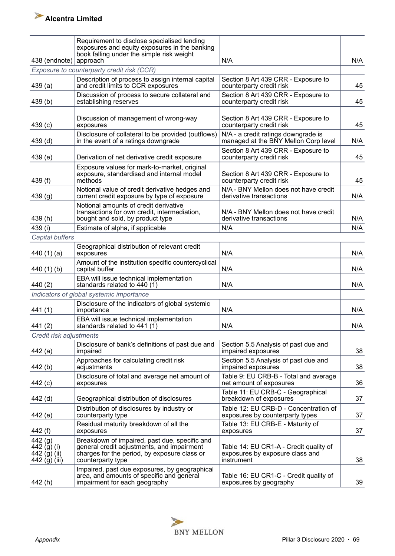| 438 (endnote)                                            | Requirement to disclose specialised lending<br>exposures and equity exposures in the banking<br>book falling under the simple risk weight<br>approach            | N/A                                                                                     | N/A |
|----------------------------------------------------------|------------------------------------------------------------------------------------------------------------------------------------------------------------------|-----------------------------------------------------------------------------------------|-----|
|                                                          | Exposure to counterparty credit risk (CCR)                                                                                                                       |                                                                                         |     |
| 439(a)                                                   | Description of process to assign internal capital<br>and credit limits to CCR exposures                                                                          | Section 8 Art 439 CRR - Exposure to<br>counterparty credit risk                         | 45  |
| 439(b)                                                   | Discussion of process to secure collateral and<br>establishing reserves                                                                                          | Section 8 Art 439 CRR - Exposure to<br>counterparty credit risk                         | 45  |
| 439(c)                                                   | Discussion of management of wrong-way<br>exposures                                                                                                               | Section 8 Art 439 CRR - Exposure to<br>counterparty credit risk                         | 45  |
| 439 <sub>(d)</sub>                                       | Disclosure of collateral to be provided (outflows)<br>in the event of a ratings downgrade                                                                        | N/A - a credit ratings downgrade is<br>managed at the BNY Mellon Corp level             | N/A |
| 439(e)                                                   | Derivation of net derivative credit exposure                                                                                                                     | Section 8 Art 439 CRR - Exposure to<br>counterparty credit risk                         | 45  |
| 439 $(f)$                                                | Exposure values for mark-to-market, original<br>exposure, standardised and internal model<br>methods                                                             | Section 8 Art 439 CRR - Exposure to<br>counterparty credit risk                         | 45  |
| 439(g)                                                   | Notional value of credit derivative hedges and<br>current credit exposure by type of exposure                                                                    | N/A - BNY Mellon does not have credit<br>derivative transactions                        | N/A |
| 439(h)                                                   | Notional amounts of credit derivative<br>transactions for own credit, intermediation,<br>bought and sold, by product type                                        | N/A - BNY Mellon does not have credit<br>derivative transactions                        | N/A |
| 439 (i)                                                  | Estimate of alpha, if applicable                                                                                                                                 | N/A                                                                                     | N/A |
| Capital buffers                                          |                                                                                                                                                                  |                                                                                         |     |
| 440 $(1)(a)$                                             | Geographical distribution of relevant credit<br>exposures                                                                                                        | N/A                                                                                     | N/A |
| 440 $(1)$ $(b)$                                          | Amount of the institution specific countercyclical<br>capital buffer                                                                                             | N/A                                                                                     | N/A |
| 440 (2)                                                  | EBA will issue technical implementation<br>standards related to $440(1)$                                                                                         | N/A                                                                                     | N/A |
|                                                          | Indicators of global systemic importance                                                                                                                         |                                                                                         |     |
| 441(1)                                                   | Disclosure of the indicators of global systemic<br>importance                                                                                                    | N/A                                                                                     | N/A |
| 441(2)                                                   | EBA will issue technical implementation<br>standards related to 441 (1)                                                                                          | N/A                                                                                     | N/A |
| Credit risk adjustments                                  |                                                                                                                                                                  |                                                                                         |     |
| 442 (a)                                                  | Disclosure of bank's definitions of past due and<br>impaired                                                                                                     | Section 5.5 Analysis of past due and<br>impaired exposures                              | 38  |
| 442 (b)                                                  | Approaches for calculating credit risk<br>adjustments                                                                                                            | Section 5.5 Analysis of past due and<br>impaired exposures                              | 38  |
| 442 (c)                                                  | Disclosure of total and average net amount of<br>exposures                                                                                                       | Table 9: EU CRB-B - Total and average<br>net amount of exposures                        | 36  |
| 442 (d)                                                  | Geographical distribution of disclosures                                                                                                                         | Table 11: EU CRB-C - Geographical<br>breakdown of exposures                             | 37  |
| 442 (e)                                                  | Distribution of disclosures by industry or<br>counterparty type                                                                                                  | Table 12: EU CRB-D - Concentration of<br>exposures by counterparty types                | 37  |
| 442 (f)                                                  | Residual maturity breakdown of all the<br>exposures                                                                                                              | Table 13: EU CRB-E - Maturity of<br>exposures                                           | 37  |
| 442(g)<br>442 (g) (i)<br>442 $(j)$ (ii)<br>442 (g) (iii) | Breakdown of impaired, past due, specific and<br>general credit adjustments, and impairment<br>charges for the period, by exposure class or<br>counterparty type | Table 14: EU CR1-A - Credit quality of<br>exposures by exposure class and<br>instrument | 38  |
| 442 (h)                                                  | Impaired, past due exposures, by geographical<br>area, and amounts of specific and general<br>impairment for each geography                                      | Table 16: EU CR1-C - Credit quality of<br>exposures by geography                        | 39  |

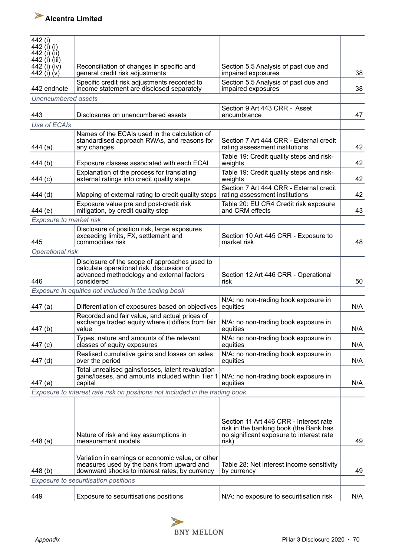

| 442 (i)<br>442 (i) (i)<br>442 (i) (ii)<br>442 (i) (iii) |                                                                                                                                                  |                                                                                                                                       |     |
|---------------------------------------------------------|--------------------------------------------------------------------------------------------------------------------------------------------------|---------------------------------------------------------------------------------------------------------------------------------------|-----|
| 442 (i) (iv)<br>442 (i) $(v)$                           | Reconciliation of changes in specific and<br>general credit risk adjustments                                                                     | Section 5.5 Analysis of past due and<br>impaired exposures                                                                            | 38  |
| 442 endnote                                             | Specific credit risk adjustments recorded to<br>income statement are disclosed separately                                                        | Section 5.5 Analysis of past due and<br>impaired exposures                                                                            | 38  |
| Unencumbered assets                                     |                                                                                                                                                  |                                                                                                                                       |     |
|                                                         |                                                                                                                                                  | Section 9 Art 443 CRR - Asset                                                                                                         |     |
| 443<br>Use of ECAIs                                     | Disclosures on unencumbered assets                                                                                                               | encumbrance                                                                                                                           | 47  |
|                                                         |                                                                                                                                                  |                                                                                                                                       |     |
| 444 (a)                                                 | Names of the ECAIs used in the calculation of<br>standardised approach RWAs, and reasons for<br>any changes                                      | Section 7 Art 444 CRR - External credit<br>rating assessment institutions                                                             | 42  |
| 444 (b)                                                 | Exposure classes associated with each ECAI                                                                                                       | Table 19: Credit quality steps and risk-<br>weights                                                                                   | 42  |
| 444 (c)                                                 | Explanation of the process for translating<br>external ratings into credit quality steps                                                         | Table 19: Credit quality steps and risk-<br>weights                                                                                   | 42  |
| 444 (d)                                                 | Mapping of external rating to credit quality steps                                                                                               | Section 7 Art 444 CRR - External credit<br>rating assessment institutions                                                             | 42  |
| 444 (e)                                                 | Exposure value pre and post-credit risk<br>mitigation, by credit quality step                                                                    | Table 20: EU CR4 Credit risk exposure<br>and CRM effects                                                                              | 43  |
| Exposure to market risk                                 |                                                                                                                                                  |                                                                                                                                       |     |
|                                                         | Disclosure of position risk, large exposures                                                                                                     |                                                                                                                                       |     |
| 445                                                     | exceeding limits, FX, settlement and<br>commodities risk                                                                                         | Section 10 Art 445 CRR - Exposure to<br>market risk                                                                                   | 48  |
| Operational risk                                        |                                                                                                                                                  |                                                                                                                                       |     |
|                                                         | Disclosure of the scope of approaches used to                                                                                                    |                                                                                                                                       |     |
| 446                                                     | calculate operational risk, discussion of<br>advanced methodology and external factors<br>considered                                             | Section 12 Art 446 CRR - Operational<br>risk                                                                                          | 50  |
|                                                         | Exposure in equities not included in the trading book                                                                                            |                                                                                                                                       |     |
| 447 (a)                                                 | Differentiation of exposures based on objectives                                                                                                 | N/A: no non-trading book exposure in<br>equities                                                                                      | N/A |
| 447(b)                                                  | Recorded and fair value, and actual prices of<br>exchange traded equity where it differs from fair<br>value                                      | N/A: no non-trading book exposure in<br>equities                                                                                      | N/A |
| 447 (c)                                                 | Types, nature and amounts of the relevant<br>classes of equity exposures                                                                         | N/A: no non-trading book exposure in<br>equities                                                                                      | N/A |
| 447 (d)                                                 | Realised cumulative gains and losses on sales<br>over the period                                                                                 | N/A: no non-trading book exposure in<br>equities                                                                                      | N/A |
| 447 (e)                                                 | Total unrealised gains/losses, latent revaluation<br>gains/losses, and amounts included within Tier 1<br>capital                                 | N/A: no non-trading book exposure in<br>equities                                                                                      | N/A |
|                                                         | Exposure to interest rate risk on positions not included in the trading book                                                                     |                                                                                                                                       |     |
| 448 (a)                                                 | Nature of risk and key assumptions in<br>measurement models                                                                                      | Section 11 Art 446 CRR - Interest rate<br>risk in the banking book (the Bank has<br>no significant exposure to interest rate<br>risk) | 49  |
| 448 (b)                                                 | Variation in earnings or economic value, or other<br>measures used by the bank from upward and<br>downward shocks to interest rates, by currency | Table 28: Net interest income sensitivity<br>by currency                                                                              | 49  |
|                                                         | Exposure to securitisation positions                                                                                                             |                                                                                                                                       |     |
| 449                                                     | Exposure to securitisations positions                                                                                                            | N/A: no exposure to securitisation risk                                                                                               | N/A |

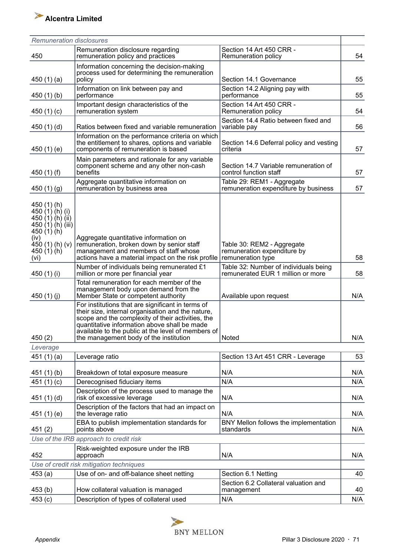| <b>Remuneration disclosures</b>                                                                                                                              |                                                                                                                                                                                                                                                                                                             |                                                                                |     |
|--------------------------------------------------------------------------------------------------------------------------------------------------------------|-------------------------------------------------------------------------------------------------------------------------------------------------------------------------------------------------------------------------------------------------------------------------------------------------------------|--------------------------------------------------------------------------------|-----|
| 450                                                                                                                                                          | Remuneration disclosure regarding<br>remuneration policy and practices                                                                                                                                                                                                                                      | Section 14 Art 450 CRR -<br>Remuneration policy                                | 54  |
| 450 $(1)(a)$                                                                                                                                                 | Information concerning the decision-making<br>process used for determining the remuneration<br>policy                                                                                                                                                                                                       | Section 14.1 Governance                                                        | 55  |
| 450 $(1)(b)$                                                                                                                                                 | Information on link between pay and<br>performance                                                                                                                                                                                                                                                          | Section 14.2 Aligning pay with<br>performance                                  | 55  |
| 450 $(1)(c)$                                                                                                                                                 | Important design characteristics of the<br>remuneration system                                                                                                                                                                                                                                              | Section 14 Art 450 CRR -<br>Remuneration policy                                | 54  |
| 450 $(1)(d)$                                                                                                                                                 | Ratios between fixed and variable remuneration                                                                                                                                                                                                                                                              | Section 14.4 Ratio between fixed and<br>variable pay                           | 56  |
| 450 $(1)(e)$                                                                                                                                                 | Information on the performance criteria on which<br>the entitlement to shares, options and variable<br>components of remuneration is based                                                                                                                                                                  | Section 14.6 Deferral policy and vesting<br>criteria                           | 57  |
| 450 $(1)$ $(f)$                                                                                                                                              | Main parameters and rationale for any variable<br>component scheme and any other non-cash<br>benefits                                                                                                                                                                                                       | Section 14.7 Variable remuneration of<br>control function staff                | 57  |
| 450 $(1)(g)$                                                                                                                                                 | Aggregate quantitative information on<br>remuneration by business area                                                                                                                                                                                                                                      | Table 29: REM1 - Aggregate<br>remuneration expenditure by business             | 57  |
| 450 (1) (h)<br>450 $(1)$ $(h)$ $(i)$<br>450 $(1)$ $(h)$ $(ii)$<br>450 $(1)$ $(h)$ $(iii)$<br>450 $(1)(h)$<br>(iv)<br>$450(1)$ (h) (v)<br>450 (1) (h)<br>(vi) | Aggregate quantitative information on<br>remuneration, broken down by senior staff<br>management and members of staff whose<br>actions have a material impact on the risk profile                                                                                                                           | Table 30: REM2 - Aggregate<br>remuneration expenditure by<br>remuneration type | 58  |
| 450 (1) (i)                                                                                                                                                  | Number of individuals being remunerated £1<br>million or more per financial year                                                                                                                                                                                                                            | Table 32: Number of individuals being<br>remunerated EUR 1 million or more     | 58  |
| 450 $(1)(j)$                                                                                                                                                 | Total remuneration for each member of the<br>management body upon demand from the<br>Member State or competent authority                                                                                                                                                                                    | Available upon request                                                         | N/A |
| 450(2)                                                                                                                                                       | For institutions that are significant in terms of<br>their size, internal organisation and the nature,<br>scope and the complexity of their activities, the<br>quantitative information above shall be made<br>available to the public at the level of members of<br>the management body of the institution | Noted                                                                          | N/A |
| Leverage                                                                                                                                                     |                                                                                                                                                                                                                                                                                                             |                                                                                |     |
| 451 $(1)(a)$                                                                                                                                                 | Leverage ratio                                                                                                                                                                                                                                                                                              | Section 13 Art 451 CRR - Leverage                                              | 53  |
| 451(1)(b)                                                                                                                                                    | Breakdown of total exposure measure                                                                                                                                                                                                                                                                         | N/A                                                                            | N/A |
| 451 $(1)(c)$                                                                                                                                                 | Derecognised fiduciary items                                                                                                                                                                                                                                                                                | N/A                                                                            | N/A |
| 451 $(1)(d)$                                                                                                                                                 | Description of the process used to manage the<br>risk of excessive leverage                                                                                                                                                                                                                                 | N/A                                                                            | N/A |
| 451 (1) (e)                                                                                                                                                  | Description of the factors that had an impact on<br>the leverage ratio                                                                                                                                                                                                                                      | N/A                                                                            | N/A |
| 451(2)                                                                                                                                                       | EBA to publish implementation standards for<br>points above                                                                                                                                                                                                                                                 | BNY Mellon follows the implementation<br>standards                             | N/A |
|                                                                                                                                                              | Use of the IRB approach to credit risk                                                                                                                                                                                                                                                                      |                                                                                |     |
| 452                                                                                                                                                          | Risk-weighted exposure under the IRB<br>approach                                                                                                                                                                                                                                                            | N/A                                                                            | N/A |
|                                                                                                                                                              | Use of credit risk mitigation techniques                                                                                                                                                                                                                                                                    |                                                                                |     |
| 453(a)                                                                                                                                                       | Use of on- and off-balance sheet netting                                                                                                                                                                                                                                                                    | Section 6.1 Netting                                                            | 40  |
| 453(b)                                                                                                                                                       | How collateral valuation is managed                                                                                                                                                                                                                                                                         | Section 6.2 Collateral valuation and<br>management                             | 40  |
| 453(c)                                                                                                                                                       | Description of types of collateral used                                                                                                                                                                                                                                                                     | N/A                                                                            | N/A |

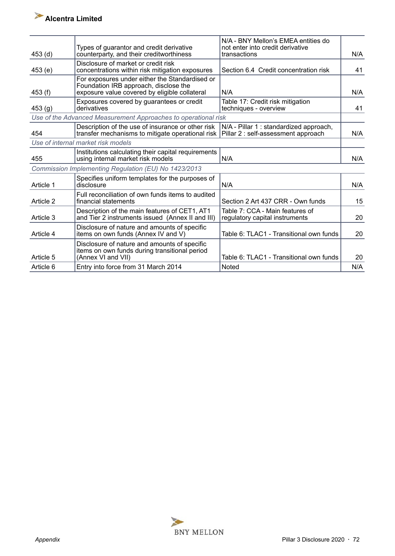

| 453 <sub>(d)</sub> | Types of guarantor and credit derivative<br>counterparty, and their creditworthiness                                                     | N/A - BNY Mellon's EMEA entities do<br>not enter into credit derivative<br>transactions | N/A |
|--------------------|------------------------------------------------------------------------------------------------------------------------------------------|-----------------------------------------------------------------------------------------|-----|
| 453(e)             | Disclosure of market or credit risk<br>concentrations within risk mitigation exposures                                                   | Section 6.4 Credit concentration risk                                                   | 41  |
| 453(f)             | For exposures under either the Standardised or<br>Foundation IRB approach, disclose the<br>exposure value covered by eligible collateral | N/A                                                                                     | N/A |
| 453 (g)            | Exposures covered by guarantees or credit<br>derivatives                                                                                 | Table 17: Credit risk mitigation<br>techniques - overview                               | 41  |
|                    | Use of the Advanced Measurement Approaches to operational risk                                                                           |                                                                                         |     |
| 454                | Description of the use of insurance or other risk<br>transfer mechanisms to mitigate operational risk                                    | N/A - Pillar 1 : standardized approach,<br>Pillar 2: self-assessment approach           | N/A |
|                    | Use of internal market risk models                                                                                                       |                                                                                         |     |
| 455                | Institutions calculating their capital requirements<br>using internal market risk models                                                 | N/A                                                                                     | N/A |
|                    | Commission Implementing Regulation (EU) No 1423/2013                                                                                     |                                                                                         |     |
| Article 1          | Specifies uniform templates for the purposes of<br>disclosure                                                                            | N/A                                                                                     | N/A |
| Article 2          | Full reconciliation of own funds items to audited<br>financial statements                                                                | Section 2 Art 437 CRR - Own funds                                                       | 15  |
| Article 3          | Description of the main features of CET1, AT1<br>and Tier 2 instruments issued (Annex II and III)                                        | Table 7: CCA - Main features of<br>regulatory capital instruments                       | 20  |
| Article 4          | Disclosure of nature and amounts of specific<br>items on own funds (Annex IV and V)                                                      | Table 6: TLAC1 - Transitional own funds                                                 | 20  |
| Article 5          | Disclosure of nature and amounts of specific<br>items on own funds during transitional period<br>(Annex VI and VII)                      | Table 6: TLAC1 - Transitional own funds                                                 | 20  |
| Article 6          | Entry into force from 31 March 2014                                                                                                      | Noted                                                                                   | N/A |